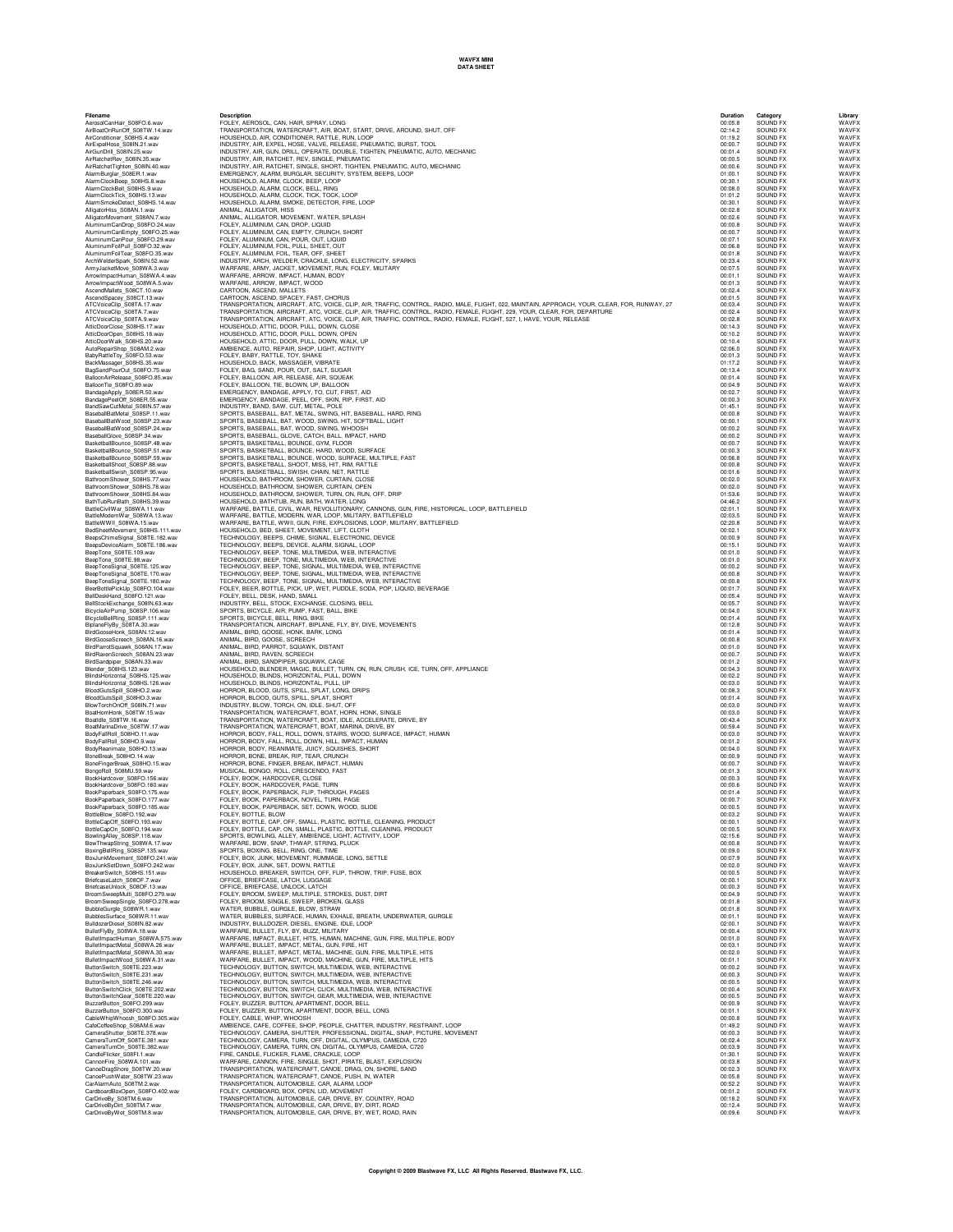| AirBoatOnRunOff_S08TW.14.wav                                                                                                                                                                                                  |
|-------------------------------------------------------------------------------------------------------------------------------------------------------------------------------------------------------------------------------|
| All boaton (MODILECT)<br>AirConditioner_S08HS.4.way                                                                                                                                                                           |
| AirExpelHose_S08IN.21.w<br>AirGunDrill_S08IN.25.wav                                                                                                                                                                           |
| AirRatchetRev_S08IN.35.wav<br>AirRatchetTighten_S08IN.40.wav                                                                                                                                                                  |
| AlarmBurglar_S08ER.1.wav<br>AlarmClockBeep_S08HS.8.wav                                                                                                                                                                        |
| AlarmClockBell_S08HS.9.wav<br>AlarmClockTick_S08HS.13.wav                                                                                                                                                                     |
| AlarmSmokeDetect_S08HS.14.wav<br>AlligatorHiss_S08AN.1.wav                                                                                                                                                                    |
| AlligatorMovement_S08AN.7.wav<br>AluminumCanDrop_S08FO.24.wav                                                                                                                                                                 |
| AluminumCanEmpty_S08FO.25.wav<br>AluminumCanPour_S08FO.29.wav                                                                                                                                                                 |
| Aluminum FoilPull_S08FO.32.wav<br>Aluminum FoilPull_S08FO.35.wav<br>Arch Welder Spark_S08IN.52.wav                                                                                                                            |
| ArchWelderSpark_S08IN.52.wav<br>ArmyJacketMove_S08WA.3.wav                                                                                                                                                                    |
| S08WA.4.wav                                                                                                                                                                                                                   |
|                                                                                                                                                                                                                               |
|                                                                                                                                                                                                                               |
| ATCVoiceClip_S08TA.7.wav<br>ATCVoiceClip_S08TA.9.wav                                                                                                                                                                          |
| AtticDoorClose_S08HS.17.wav<br>AtticDoorOpen_S08HS.18.wav                                                                                                                                                                     |
| AtticDoorWalk_S08HS.20.wav<br>AutoRepairShop<br>S08AM.2.wav                                                                                                                                                                   |
| BabyRattleToy_S08FO.53.wav<br>BackMassager_S08HS.35.wav                                                                                                                                                                       |
|                                                                                                                                                                                                                               |
| BagSandPourOut_S08FO.75.wav<br>BalloonAirRelease_S08FO.85.wav<br>BalloonTie_S08FO.89.wav<br>S08FO.85.wav<br>BalloonTie                                                                                                        |
| BandageApply_S08ER.50.wav<br>BandagePeelOff_S08ER.55.wav                                                                                                                                                                      |
| BandSawCutMetal_S08IN.57.wav                                                                                                                                                                                                  |
| BaseballBatMetal_S08SP.11.wav<br>BaseballBatWood_S08SP.23.wav<br>BaseballBatWood_S08SP.24.wav<br>BaseballGlove_S08SP.24.wav                                                                                                   |
|                                                                                                                                                                                                                               |
| Example Discovery 1999-1999<br>BasketballBounce_S08SP.51.wav<br>BasketballBounce_S08SP.59.wav<br>BasketballShoot_S08SP.88.wav<br>BasketballShoot_S08SP.95.wav<br>BasketballShoot_S08SP.95.wav<br>BasketballShoot_S08BP.95.wav |
|                                                                                                                                                                                                                               |
|                                                                                                                                                                                                                               |
| BathroomShower_S08HS.77.wav<br>BathroomShower_S08HS.78.wav<br>BathroomShower_S08HS.84.wav                                                                                                                                     |
| BathroomShower_S08HS.84.wav<br>BathTubRunBath_S08HS.39.wav<br>BathTubRunBath                                                                                                                                                  |
| BattleCivilWar_S08WA.11.wav<br>BattleCivilWar_S08WA.13.wav<br>BattleWorll_S08WA.15.wav<br>BedSheetMovement_S08HS.111.wav<br>BedSheetMovement_S08HS.111.wav                                                                    |
|                                                                                                                                                                                                                               |
| BeepsChimeSignal_S08TE.182.wav<br>BeepsDeviceAlarm_S08TE.186.wav<br>BeepsDeviceAlarm                                                                                                                                          |
| BeepTone_S08TE.109.wav<br>BeepTone_S08TE.98.wav                                                                                                                                                                               |
| BeepToneSignal_S08TE.125.wav<br>BeepToneSignal_S08TE.170.wav<br>Experiment C08TE.170.wav                                                                                                                                      |
| BeepToneSignal_S08TE.180.wav<br>BeerBottlePickUp_S08FO.104.wav<br>180.wav                                                                                                                                                     |
| BellDeskHand_S08FO.121.wav                                                                                                                                                                                                    |
| BellStockExchange_S08IN.63.wa                                                                                                                                                                                                 |
| BicycleAirPump_S08SP.106.wav<br>BicycleBellRing_S08SP.111.wav<br>BicycleBellRing_S08SP.111.wa<br>BiplaneFlyBy_S08TA.30.wav<br>BirdGooseHonk_S08AN.12.wav<br>BirdGooseHonk_S08AN.12.wav                                        |
|                                                                                                                                                                                                                               |
| S08AN.16.wav<br>BirdGooseScreech<br>BirdParrotSquawk_S08AN.17<br>way.                                                                                                                                                         |
| BirdRavenScreech_S08AN.23.wav<br>S08AN.33.wav<br>BirdSandpiper                                                                                                                                                                |
| Blender_S08HS.123.wav                                                                                                                                                                                                         |
|                                                                                                                                                                                                                               |
| BlindsHorizontal_S08HS.125.wav<br>BlindsHorizontal_S08HS.126.wav                                                                                                                                                              |
| Blunds. William 2008HO.2.wav                                                                                                                                                                                                  |
| BlowTorchOnOff<br>S08IN.71.wav<br>BoatHornHonk<br>S08TW.15.wav                                                                                                                                                                |
|                                                                                                                                                                                                                               |
| BoatIdle_S08TW.16.wav<br>BoatMarinaDrive_S08TW.17.wav                                                                                                                                                                         |
| BodyFallRoll_S08HO.11.wav<br>BodyFallRoll_S08HO.9.wav<br>S08HO.13.wav                                                                                                                                                         |
| BodyReanimate_S08HO.13<br>BoneBreak_S08HO.14.wav                                                                                                                                                                              |
| BoneFingerBreak_S08HO.15.wav<br>BongoRoll_S08MU.59.wav<br>S08FO.156.wav<br>BookHardcover                                                                                                                                      |
| BookHardcover_S08FO.160.wav                                                                                                                                                                                                   |
| BookPaperback_S08FO.175.wav<br>BookPaperback_S08FO.177.wav                                                                                                                                                                    |
| BookPaperback<br>S08FO.185.wav<br>SORFC<br>ttlo<br>Blc<br>192<br>w                                                                                                                                                            |
| BottleCapOff_S08F<br>0.193.wa<br>BottleCapOn_S08F0<br>).194.wav                                                                                                                                                               |
| BowlingAlley_S08SP.118.wav<br>BowThwapString<br>S08WA.17.wav                                                                                                                                                                  |
| BoxingBellRing_S08SP.135.wav<br>BoxJunkMovement<br>S08FO.241.wav                                                                                                                                                              |
| S08FO.242.wav<br>BoxJunkSetDown                                                                                                                                                                                               |
|                                                                                                                                                                                                                               |
| Boxounivenesses<br>BreakerSwitch_S08HS.151.wav<br>BriefcaseUnlock_S08OF.13.wav<br>BroomSweepMulti_S08FO.279.wav                                                                                                               |
| BroomSweepSingle_<br>S08FO.278.wav<br>BubbleGurgle_S08WR.1.wav                                                                                                                                                                |
| BubblesSurface_S08WR.11.wav<br>BulldozerDiesel_S08IN.82.wav                                                                                                                                                                   |
| S08WA.575.wav                                                                                                                                                                                                                 |
| BulletFlyBy_S08WA.18.wav<br>BulletImpactHuman_S08WA<br>BulletImpactMetal_S08WA.26.wav                                                                                                                                         |
| BulletImpactMetal_S08WA.30.wav<br>BulletImpactWood_S08WA.31.wav                                                                                                                                                               |
| ButtonSwitch_S08TE.223.way                                                                                                                                                                                                    |
|                                                                                                                                                                                                                               |
| ButtonSwitch_S08TE.231.wav<br>ButtonSwitch_S08TE.246.wav<br>ButtonSwitchClick_S08TE.246.wav<br>S08TE.220.wav<br><b>ButtonSwitchGear</b><br>O.299.wav                                                                          |
| BuzzerButton_S08F<br>S08FO.300.wav<br><b>BuzzerButton</b><br>CableWhipWhoosh<br>S08FO.305.wav                                                                                                                                 |
| CafeCoffeeShop<br>S08AM.6.way                                                                                                                                                                                                 |
| CameraShutter_S08TE.378.wav<br>CameraTurnOff_S08TE.381.wav                                                                                                                                                                    |
| CameraTurnOn<br>S08TE.382.wav<br>S08FI.1.wav<br>CandleFlicker                                                                                                                                                                 |
| CannonFire S08WA.101.wav<br>20.wav                                                                                                                                                                                            |
| CanoeDragShore_S08TW<br>CanoePushWater_S08TW<br>S08TW.23.wav<br>CarAlarmAuto_S08TM.2.wav                                                                                                                                      |
| S08FO.402.wav<br>CardboardBoxOpen<br>CarDriveBy_S08TM.6.wav<br>CarDriveByDirt_S08TM.7.wav                                                                                                                                     |

Ellename Description Description Description Description (Elerany Library Library Library Library Library Library<br>AerosolGanHair\_S08FO.6.wav FOLEY, AEROSOL, CAN, HAIR, SPRAY, LONG<br>AirBealOnRunOff\_S08TW.14.wav TRANSPOR AirConditioner\_S08HS.4.wav HOUSEHOLD, AIR, CONDITIONER, RATTLE, RUN, LOOP 01:19.2 SOUND FX WAVFX AirExpelHose\_S08IN.21.wav INDUSTRY, AIR, EXPEL, HOSE, VALVE, RELEASE, PNEUMATIC, BURST, TOOL 00:00.7 SOUND FX WAVFX AirGunDrill\_S08IN.25.wav INDUSTRY, AIR, GUN, DRILL, OPERATE, DOUBLE, TIGHTEN, PNEUMATIC, AUTO, MECHANIC 00:01.4 SOUND FX WAVFX AirRatchetRev\_S08IN.35.wav INDUSTRY, AIR, RATCHET, REV, SINGLE, PNEUMATIC 00:00.5 SOUND FX WAVFX AirMadem ET May ave Muusthy, AIR, RATCHET, SINGLE, SHORT, TIGHTEN, PREMANTO, AUTO, MECHANIC<br>Alam Burglar\_S08ER.1.wav HMERGENCY, ALARM, EURGLAR, SECURTY, SYSTEM, BEEPS, LOOP<br>Alam DockBeep, S08HS.8.wav HOUSEHOLD, HOUSEHOLD, ALARM, CLOCK, TICK, TOOK, LOOP<br>HOUSEHOLD, ALARM, CLOCK, TICK, TOOK, ENE, LOOP 1999<br>ANIMAL, ALLIGATOR, MOVEMENT, WATER, PIE, LOOP 1999<br>FOLEY, ALUMINIUM, CAN, EMPTY, CRUNCH, SHORT<br>FOLEY, ALUMINIUM, CAN, EMPTY, CRU Alimpstroduced Soles (1994S1 - Market ALIGATOR, RAPING, SACKE, DETECTOR, FIRE, LOOP<br>Alimpstroduced Soles (1994), www. ANIMAL, ALLIGATOR, INSECTION, FIRE, ISPN: 1994-1994<br>Alimpstroduced Sole (1994), www. ANIMAL, ALLIGATOR, ArmyJacketMove\_S08WA.3.wav WARFARE, ARMY, JACKET, MOVEMENT, RUN, FOLEY, MILITARY 00:07.5 SOUND FX WAVFX ArrowImpactHuman\_S08WA.4.wav WARFARE, ARROW, IMPACT, HUMAN, BODY 00:01.1 SOUND FX WAVFX ArrowImpactWood\_S08WA.5.wav WARFARE, ARROW, IMPACT, WOOD 00:01.3 SOUND FX WAVFX AscendMallets\_S08CT.10.wav CARTOON, ASCEND, MALLETS 00:02.4 SOUND FX WAVFX AscendSpacey\_S08CT.13.wav CARTOON, ASCEND, SPACEY, FAST, CHORUS 00:01.5 SOUND FX WAVFX ATCVoiceClip\_S08TA.17.wav TRANSPORTATION, AIRCRAFT, ATC, VOICE, CLIP, AIR, TRAFFIC, CONTROL, RADIO, MALE, FLIGHT, 022, MAINTAIN, APPROACH, YOUR, CLEAR, FOR, RUNWAY, 27 00:03.4 SOUND FX WAVFX ATCVoiceClip\_S08TA.7.wav TRANSPORTATION, AIRCRAFT, ATC, VOICE, CLIP, AIR, TRAFFIC, CONTROL, RADIO, FEMALE, FLIGHT, 229, YOUR, CLEAR, FOR, DEPARTURE 00:02.4 SOUND FX WAVFX ATCVoiceClip\_S08TA.9.wav TRANSPORTATION, AIRCRAFT, ATC, VOICE, CLIP, AIR, TRAFFIC, CONTROL, RADIO, FEMALE, FLIGHT, 527, I, HAVE, YOUR, RELEASE 00:02.8 SOUND FX WAVFX AtticDoorClose\_S08HS.17.wav HOUSEHOLD, ATTIC, DOOR, PULL, DOWN, CLOSE 00:14.3 SOUND FX WAVFX AtticDoorOpen\_S08HS.18.wav HOUSEHOLD, ATTIC, DOOR, PULL, DOWN, OPEN 00:10.2 SOUND FX WAVFX AtticDoorWalk\_S08HS.20.wav HOUSEHOLD, ATTIC, DOOR, PULL, DOWN, WALK, UP 00:10.4 SOUND FX WAVFX AutoRepairShop\_S08AM.2.wav AMBIENCE, AUTO, REPAIR, SHOP, LIGHT, ACTIVITY 02:06.0 SOUND FX WAVFX BabyRattleToy\_S08FO.53.wav FOLEY, BABY, RATTLE, TOY, SHAKE 00:01.3 SOUND FX WAVFX BackMassager\_S08HS.35.wav HOUSEHOLD, BACK, MASSAGER, VIBRATE 01:17.2 SOUND FX WAVFX BagSandPourOut\_S08FO.75.wav FOLEY, BAG, SAND, POUR, OUT, SALT, SUGAR 00:13.4 SOUND FX WAVFX BalloonAirRelease\_S08FO.85.wav FOLEY, BALLOON, AIR, RELEASE, AIR, SQUEAK 00:01.4 SOUND FX WAVFX BalloonTie\_S08FO.89.wav FOLEY, BALLOON, TIE, BLOWN, UP, BALLOON 00:04.9 SOUND FX WAVFX BandageApply\_S08ER.50.wav EMERGENCY, BANDAGE, APPLY, TO, CUT, FIRST, AID 00:02.7 SOUND FX WAVFX BandagePeelOff\_S08ER.55.wav EMERGENCY, BANDAGE, PEEL, OFF, SKIN, RIP, FIRST, AID 00:00.3 SOUND FX WAVFX BandSawCutMetal\_S08IN.57.wav INDUSTRY, BAND, SAW, CUT, METAL, POLE 01:45.1 SOUND FX WAVFX BaseballBatMetal\_S08SP.11.wav SPORTS, BASEBALL, BAT, METAL, SWING, HIT, BASEBALL, HARD, RING 00:00.8 SOUND FX WAVFX BaseballBatWood\_S08SP.23.wav SPORTS, BASEBALL, BAT, WOOD, SWING, HIT, SOFTBALL, LIGHT 00:00.1 SOUND FX WAVFX BaseballBatWood\_S08SP.24.wav SPORTS, BASEBALL, BAT, WOOD, SWING, WHOOSH 00:00.2 SOUND FX WAVFX BaseballGlove\_S08SP.34.wav SPORTS, BASEBALL, GLOVE, CATCH, BALL, IMPACT, HARD 00:00.2 SOUND FX WAVFX BasketballBounce\_S08SP.48.wav SPORTS, BASKETBALL, BOUNCE, GYM, FLOOR 00:00.7 SOUND FX WAVFX BasketballBounce\_S08SP.51.wav SPORTS, BASKETBALL, BOUNCE, HARD, WOOD, SURFACE 00:00.3 SOUND FX WAVFX BasketballBounce\_S08SP.59.wav SPORTS, BASKETBALL, BOUNCE, WOOD, SURFACE, MULTIPLE, FAST 00:06.8 SOUND FX WAVFX BasketballShoot\_S08SP.88.wav SPORTS, BASKETBALL, SHOOT, MISS, HIT, RIM, RATTLE 00:00.8 SOUND FX WAVFX BasketballSwish\_S08SP.95.wav SPORTS, BASKETBALL, SWISH, CHAIN, NET, RATTLE 00:01.6 SOUND FX WAVFX BathroomShower\_S08HS.77.wav HOUSEHOLD, BATHROOM, SHOWER, CURTAIN, CLOSE 00:02.0 SOUND FX WAVFX BathroomShower\_S08HS.78.wav HOUSEHOLD, BATHROOM, SHOWER, CURTAIN, OPEN 00:02.0 SOUND FX WAVFX BathroomShower\_S08HS.84.wav HOUSEHOLD, BATHROOM, SHOWER, TURN, ON, RUN, OFF, DRIP 01:53.6 SOUND FX WAVFX BathTubRunBath\_S08HS.39.wav HOUSEHOLD, BATHTUB, RUN, BATH, WATER, LONG 04:46.2 SOUND FX WAVFX BattleCivilWar\_S08WA.11.wav WARFARE, BATTLE, CIVIL, WAR, REVOLUTIONARY, CANNONS, GUN, FIRE, HISTORICAL, LOOP, BATTLEFIELD 02:01.1 SOUND FX WAVFX BattleModernWar\_S08WA.13.wav WARFARE, BATTLE, MODERN, WAR, LOOP, MILITARY, BATTLEFIELD 02:03.5 SOUND FX WAVFX BattleWWII\_S08WA.15.wav WARFARE, BATTLE, WWII, GUN, FIRE, EXPLOSIONS, LOOP, MILITARY, BATTLEFIELD 02:20.8 SOUND FX WAVFX BedSheetMovement\_S08HS.111.wav HOUSEHOLD, BED, SHEET, MOVEMENT, LIFT, CLOTH 00:02.1 SOUND FX WAVFX BeepsChimeSignal\_S08TE.182.wav TECHNOLOGY, BEEPS, CHIME, SIGNAL, ELECTRONIC, DEVICE 00:00.9 SOUND FX WAVFX BeepsDeviceAlarm\_S08TE.186.wav TECHNOLOGY, BEEPS, DEVICE, ALARM, SIGNAL, LOOP 00:15.1 SOUND FX WAVFX BeepTone\_S08TE.109.wav TECHNOLOGY, BEEP, TONE, MULTIMEDIA, WEB, INTERACTIVE 00:01.0 SOUND FX WAVFX BeepTone\_S08TE.98.wav TECHNOLOGY, BEEP, TONE, MULTIMEDIA, WEB, INTERACTIVE 00:01.0 SOUND FX WAVFX BeepToneSignal\_S08TE.125.wav TECHNOLOGY, BEEP, TONE, SIGNAL, MULTIMEDIA, WEB, INTERACTIVE 00:00.2 SOUND FX WAVFX BeepToneSignal\_S08TE.170.wav TECHNOLOGY, BEEP, TONE, SIGNAL, MULTIMEDIA, WEB, INTERACTIVE 00:00.8 SOUND FX WAVFX Beep"oneShignal.com - TECHNOLOGY, BEEP, TONE, SIGNAL, MULTIMEDIA, WEB, INTERACTIVE<br>BeePSchilePoking\_SOBFN.63.wav - FOLEY, BEER, BOTTLE, PICK, UP, WET, PUDLE, SODA, POP, LIQUID, BEVERAGE<br>BellDeskHand\_S08FO.121.wav - POLEY, Bio-delengthing\_substrates in the Second Property of May are the material of the May are the material of the material of the material of the material of the material of the material of the material of the material of the BirdRavenScreech\_S08AN.23.wav ANIMAL, BIRD, RAVEN, SCREECH 00:00.7 SOUND FX WAVFX BirdSandpiper\_S08AN.33.wav ANIMAL, BIRD, SANDPIPER, SQUAWK, CAGE 00:01.2 SOUND FX WAVFX Blender\_S08HS.123.wav HOUSEHOLD, BLENDER, MAGIC, BULLET, TURN, ON, RUN, CRUSH, ICE, TURN, OFF, APPLIANCE 00:04.3 SOUND FX WAVFX BlindsHorizontal\_S08HS.125.wav HOUSEHOLD, BLINDS, HORIZONTAL, PULL, DOWN 00:02.2 SOUND FX WAVFX BlindsHorizontal\_S08HS.126.wav HOUSEHOLD, BLINDS, HORIZONTAL, PULL, UP 00:03.0 SOUND FX WAVFX BloodGutsSpill\_S08HO.2.wav HORROR, BLOOD, GUTS, SPILL, SPLAT, LONG, DRIPS 00:08.3 SOUND FX WAVFX BloodGutsSpill\_S08HO.3.wav HORROR, BLOOD, GUTS, SPILL, SPLAT, SHORT 00:01.4 SOUND FX WAVFX BlowTorchOnOff\_S08IN.71.wav INDUSTRY, BLOW, TORCH, ON, IDLE, SHUT, OFF 00:03.0 SOUND FX WAVFX BoatHornHonk\_S08TW.15.wav TRANSPORTATION, WATERCRAFT, BOAT, HORN, HONK, SINGLE 00:03.0 SOUND FX WAVFX BoatIdle\_S08TW.16.wav TRANSPORTATION, WATERCRAFT, BOAT, IDLE, ACCELERATE, DRIVE, BY 00:43.4 SOUND FX WAVFX BoatMarinaDrive\_S08TW.17.wav TRANSPORTATION, WATERCRAFT, BOAT, MARINA, DRIVE, BY 00:59.4 SOUND FX WAVFX BodyFallRoll\_S08HO.11.wav HORROR, BODY, FALL, ROLL, DOWN, STAIRS, WOOD, SURFACE, IMPACT, HUMAN 00:03.0 SOUND FX WAVFX BodyFallRoll\_S08HO.9.wav HORROR, BODY, FALL, ROLL, DOWN, HILL, IMPACT, HUMAN 00:01.2 SOUND FX WAVFX BodyReanimate\_S08HO.13.wav HORROR, BODY, REANIMATE, JUICY, SQUISHES, SHORT 00:04.0 SOUND FX WAVFX BoneBreak\_S08HO.14.wav HORROR, BONE, BREAK, RIP, TEAR, CRUNCH 00:00.9 SOUND FX WAVFX BoneFingerBreak\_S08HO.15.wav HORROR, BONE, FINGER, BREAK, IMPACT, HUMAN 00:00.7 SOUND FX WAVFX BongoRoll\_S08MU.59.wav MUSICAL, BONGO, ROLL, CRESCENDO, FAST 00:01.3 SOUND FX WAVFX BookHardcover\_S08FO.156.wav FOLEY, BOOK, HARDCOVER, CLOSE 00:00.3 SOUND FX WAVFX BookHardcover\_S08FO.160.wav FOLEY, BOOK, HARDCOVER, PAGE, TURN 00:00.6 SOUND FX WAVFX BookPaperback\_S08FO.175.wav FOLEY, BOOK, PAPERBACK, FLIP, THROUGH, PAGES 00:01.4 SOUND FX WAVFX BookPaperback\_S08FO.177.wav FOLEY, BOOK, PAPERBACK, NOVEL, TURN, PAGE 00:00.7 SOUND FX WAVFX BookPaperback\_S08FO.185.wav FOLEY, BOOK, PAPERBACK, SET, DOWN, WOOD, SLIDE 00:00.5 SOUND FX WAVFX BottleBlow\_S08FO.192.wav FOLEY, BOTTLE, BLOW 00:03.2 SOUND FX WAVFX BottleCapOff\_S08FO.193.wav FOLEY, BOTTLE, CAP, OFF, SMALL, PLASTIC, BOTTLE, CLEANING, PRODUCT 00:00.1 SOUND FX WAVFX BottleCapOn\_S08FO.194.wav FOLEY, BOTTLE, CAP, ON, SMALL, PLASTIC, BOTTLE, CLEANING, PRODUCT 00:00.5 SOUND FX WAVFX BowlingAlley\_S08SP.118.wav SPORTS, BOWLING, ALLEY, AMBIENCE, LIGHT, ACTIVITY, LOOP 02:15.6 SOUND FX WAVFX BowThwapString\_S08WA.17.wav WARFARE, BOW, SNAP, THWAP, STRING, PLUCK 00:00.8 SOUND FX WAVFX BoxingBellRing\_S08SP.135.wav SPORTS, BOXING, BELL, RING, ONE, TIME 00:09.0 SOUND FX WAVFX BoxJunkMovement\_S08FO.241.wav FOLEY, BOX, JUNK, MOVEMENT, RUMMAGE, LONG, SETTLE 00:07.9 SOUND FX WAVFX BoxJunkSetDown\_S08FO.242.wav FOLEY, BOX, JUNK, SET, DOWN, RATTLE 00:02.0 SOUND FX WAVFX BreakerSwitch\_S08HS.151.wav HOUSEHOLD, BREAKER, SWITCH, OFF, FLIP, THROW, TRIP, FUSE, BOX 00:00.5 SOUND FX WAVFX BriefcaseLatch\_S08OF.7.wav OFFICE, BRIEFCASE, LATCH, LUGGAGE 00:00.1 SOUND FX WAVFX BriefcaseUnlock\_S08OF.13.wav OFFICE, BRIEFCASE, UNLOCK, LATCH 00:00.3 SOUND FX WAVFX BroomSweepMulti\_S08FO.279.wav FOLEY, BROOM, SWEEP, MULTIPLE, STROKES, DUST, DIRT 00:04.9 SOUND FX WAVFX BroomSweepSingle\_S08FO.278.wav FOLEY, BROOM, SINGLE, SWEEP, BROKEN, GLASS 00:01.8 SOUND FX WAVFX BubbleGurgle\_S08WR.1.wav WATER, BUBBLE, GURGLE, BLOW, STRAW 00:01.8 SOUND FX WAVFX BubblesSurface\_S08WR.11.wav WATER, BUBBLES, SURFACE, HUMAN, EXHALE, BREATH, UNDERWATER, GURGLE 00:01.1 SOUND FX WAVFX BulldozerDiesel\_S08IN.82.wav INDUSTRY, BULLDOZER, DIESEL, ENGINE, IDLE, LOOP 02:00.1 SOUND FX WAVFX BulletFlyBy\_S08WA.18.wav WARFARE, BULLET, FLY, BY, BUZZ, MILITARY 00:00.4 SOUND FX WAVFX BulletImpactHuman\_S08WA.575.wav WARFARE, IMPACT, BULLET, HITS, HUMAN, MACHINE, GUN, FIRE, MULTIPLE, BODY 00:01.0 SOUND FX WAVFX BulletImpactMetal\_S08WA.26.wav WARFARE, BULLET, IMPACT, METAL, GUN, FIRE, HIT 00:03.1 SOUND FX WAVFX BulletImpactMetal\_S08WA.30.wav WARFARE, BULLET, IMPACT, METAL, MACHINE, GUN, FIRE, MULTIPLE, HITS 00:02.0 SOUND FX WAVFX BulletImpactWood\_S08WA.31.wav WARFARE, BULLET, IMPACT, WOOD, MACHINE, GUN, FIRE, MULTIPLE, HITS 00:01.1 SOUND FX WAVFX ButtonSwitch\_S08TE.223.wav TECHNOLOGY, BUTTON, SWITCH, MULTIMEDIA, WEB, INTERACTIVE 00:00.2 SOUND FX WAVFX ButtonSwitch\_S08TE.231.wav TECHNOLOGY, BUTTON, SWITCH, MULTIMEDIA, WEB, INTERACTIVE 00:00.3 SOUND FX WAVFX ButtonSwitch\_S08TE.246.wav TECHNOLOGY, BUTTON, SWITCH, MULTIMEDIA, WEB, INTERACTIVE 00:00.5 SOUND FX WAVFX ButtonSwitchClick\_S08TE.202.wav TECHNOLOGY, BUTTON, SWITCH, CLICK, MULTIMEDIA, WEB, INTERACTIVE 00:00.4 SOUND FX WAVFX ButtonSwitchGear\_S08TE.220.wav TECHNOLOGY, BUTTON, SWITCH, GEAR, MULTIMEDIA, WEB, INTERACTIVE 00:00.5 SOUND FX WAVFX BuzzerButton\_S08FO.299.wav FOLEY, BUZZER, BUTTON, APARTMENT, DOOR, BELL 00:00.9 SOUND FX WAVFX BuzzerButton\_S08FO.300.wav FOLEY, BUZZER, BUTTON, APARTMENT, DOOR, BELL, LONG 00:01.1 SOUND FX WAVFX CableWhipWhoosh\_S08FO.305.wav FOLEY, CABLE, WHIP, WHOOSH 00:00.8 SOUND FX WAVFX CafeCoffeeShop\_S08AM.6.wav AMBIENCE, CAFE, COFFEE, SHOP, PEOPLE, CHATTER, INDUSTRY, RESTRAINT, LOOP 01:49.2 SOUND FX WAVFX CameraShutter\_S08TE.378.wav TECHNOLOGY, CAMERA, SHUTTER, PROFESSIONAL, DIGITAL, SNAP, PICTURE, MOVEMENT 00:00.3 SOUND FX WAVFX CameraTurnOff\_S08TE.381.wav TECHNOLOGY, CAMERA, TURN, OFF, DIGITAL, OLYMPUS, CAMEDIA, C720 00:02.4 SOUND FX WAVFX CameraTurnOn\_S08TE.382.wav TECHNOLOGY, CAMERA, TURN, ON, DIGITAL, OLYMPUS, CAMEDIA, C720 00:03.9 SOUND FX WAVFX CandleFlicker\_S08FI.1.wav FIRE, CANDLE, FLICKER, FLAME, CRACKLE, LOOP 01:30.1 SOUND FX WAVFX CannonFire\_S08WA.101.wav WARFARE, CANNON, FIRE, SINGLE, SHOT, PIRATE, BLAST, EXPLOSION 00:03.8 SOUND FX WAVFX CanoeDragShore\_S08TW.20.wav TRANSPORTATION, WATERCRAFT, CANOE, DRAG, ON, SHORE, SAND 00:02.3 SOUND FX WAVFX CanoePushWater\_S08TW.23.wav TRANSPORTATION, WATERCRAFT, CANOE, PUSH, IN, WATER 00:05.8 SOUND FX WAVFX CarAlarmAuto\_S08TM.2.wav TRANSPORTATION, AUTOMOBILE, CAR, ALARM, LOOP 00:52.2 SOUND FX WAVFX CardboardBoxOpen\_S08FO.402.wav FOLEY, CARDBOARD, BOX, OPEN, LID, MOVEMENT 00:01.2 SOUND FX WAVFX CarDriveBy\_S08TM.6.wav TRANSPORTATION, AUTOMOBILE, CAR, DRIVE, BY, COUNTRY, ROAD 00:18.2 SOUND FX WAVFX CarDriveByDirt\_S08TM.7.wav TRANSPORTATION, AUTOMOBILE, CAR, DRIVE, BY, DIRT, ROAD 00:12.4 SOUND FX WAVFX CarDriveByWet\_S08TM.8.wav TRANSPORTATION, AUTOMOBILE, CAR, DRIVE, BY, WET, ROAD, RAIN 00:09.6 SOUND FX WAVFX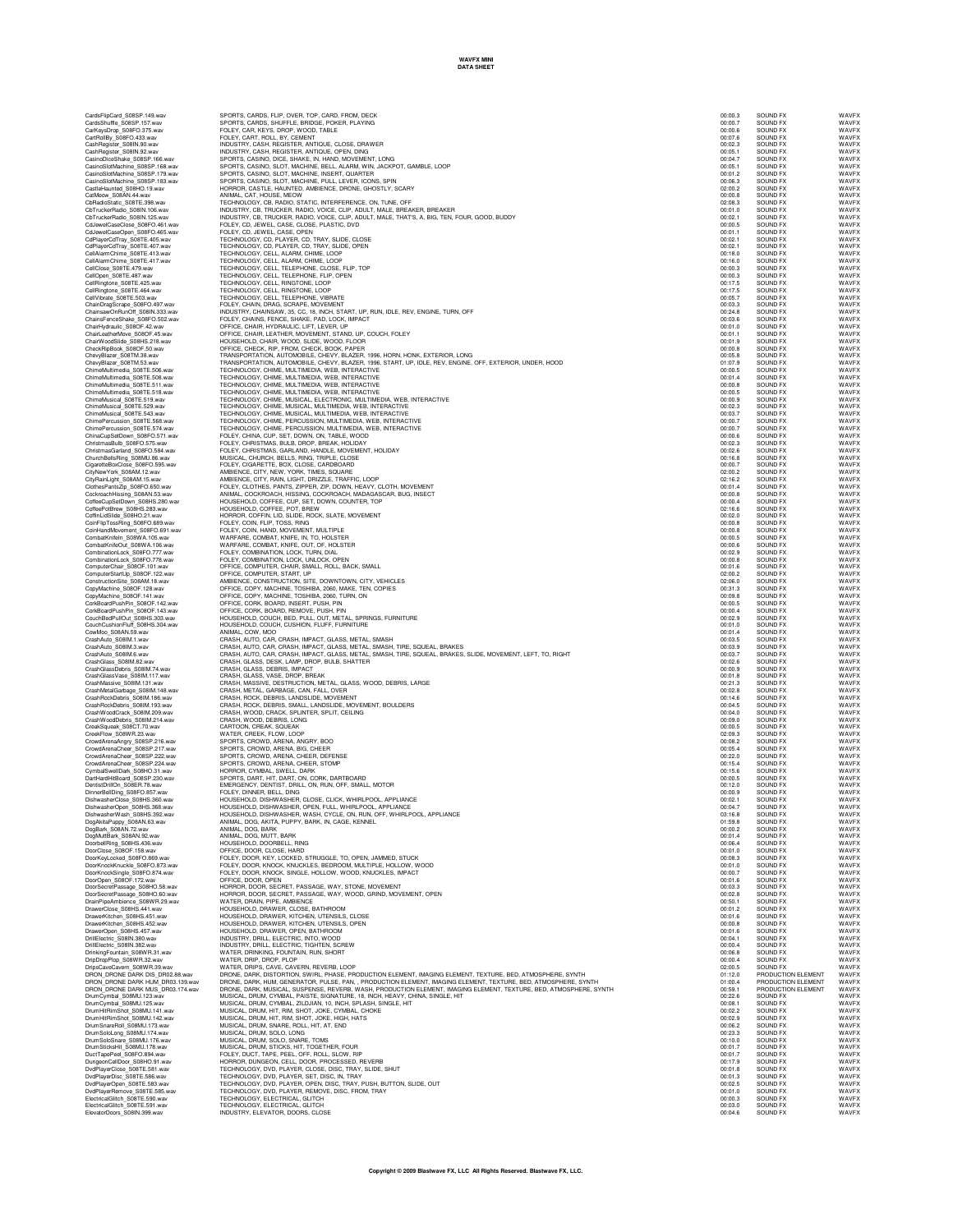| CardsShuffle_S08SP.157.way<br>CarKeysDrop_S08FO.375.v<br>CartRollBy_S08FO.433.wav<br>S08FO.375.wav                                                                                                                                                              |
|-----------------------------------------------------------------------------------------------------------------------------------------------------------------------------------------------------------------------------------------------------------------|
|                                                                                                                                                                                                                                                                 |
| CashRegister_S08IN.90.wav<br>CashRegister_S08IN.92.wav                                                                                                                                                                                                          |
| CasinoDiceShake_S08SP.166.wav                                                                                                                                                                                                                                   |
| CasinoSlotMachine_S08SP.168.wav                                                                                                                                                                                                                                 |
| CasinoSlotMachine_S08SP.179.wav<br>CasinoSlotMachine_S08SP.183.wav<br>CasinoSlotMachine                                                                                                                                                                         |
| CastleHaunted_S08HO.19<br>CatMeow_S08AN.44.wav<br>S08HO.19.wav                                                                                                                                                                                                  |
|                                                                                                                                                                                                                                                                 |
| CbRadioStatic_S08TE.398.wav<br>CbTruckerRadio_S08IN.106.wav                                                                                                                                                                                                     |
| CbTruckerRadio_S08IN.125.wav                                                                                                                                                                                                                                    |
| CdJewelCaseClose_S08FO.461.wav<br>CdJewelCaseOpen_S08FO.465.wav                                                                                                                                                                                                 |
|                                                                                                                                                                                                                                                                 |
| CdPlayerCdTray_S08TE.405.wav<br>CdPlayerCdTray_S08TE.407.wav<br>CellAlarmChime_S08TE.413.wav<br>CellAlarmChime_S08TE.413.wav                                                                                                                                    |
|                                                                                                                                                                                                                                                                 |
| CellAlarmChime<br>S08TE.417.wav                                                                                                                                                                                                                                 |
| CellClose_S08TE.479.wav<br>CellOpen_S08TE.487.wav                                                                                                                                                                                                               |
| CellRingtone_S08TE.425.wav<br>CellRingtone_S08TE.464.wav                                                                                                                                                                                                        |
|                                                                                                                                                                                                                                                                 |
| CellVibrate_S08TE.503.wav<br>ChainDragScrape_S08FO.497.wav                                                                                                                                                                                                      |
| ChainsawOnRunOff_S08IN.333.wav<br>ChainsFenceShake_S08FO.502.wav                                                                                                                                                                                                |
|                                                                                                                                                                                                                                                                 |
| S08OF.42.wav<br>we_S08OF.45.wav<br>ChairHydraulio                                                                                                                                                                                                               |
| ChairleatherMove_S08OF.45.wav<br>ChairWoodSlide_S08HS.218.wav                                                                                                                                                                                                   |
| CheckRipBook_S08OF.50.wav                                                                                                                                                                                                                                       |
| ChevyBlazer_S08TM.38.wav<br>ChevyBlazer_S08TM.53.wav                                                                                                                                                                                                            |
|                                                                                                                                                                                                                                                                 |
| ChimeMultimedia_S08TE.506.wav<br>ChimeMultimedia_S08TE.508.wav                                                                                                                                                                                                  |
| ChimeMultimedia_S08TE.511.wav<br>ChimeMultimedia_S08TE.518.wav                                                                                                                                                                                                  |
|                                                                                                                                                                                                                                                                 |
| ChimeMusical_S08TE.519.wav<br>ChimeMusical_S08TE.529.wav                                                                                                                                                                                                        |
| ChimeMusical_S08TE.543.way                                                                                                                                                                                                                                      |
| ChimePercussion_S08TE.568.wav<br>ChimePercussion_S08TE.574.wav                                                                                                                                                                                                  |
| ChinaCupSetDown<br>S08FO.57<br>1.way                                                                                                                                                                                                                            |
| ChristmasBulb_S08FO.575.wav                                                                                                                                                                                                                                     |
| ChristmasGarland<br>S08FO.584.way<br>ChurchBellsRing_S08MU.86.wav                                                                                                                                                                                               |
|                                                                                                                                                                                                                                                                 |
| CigaretteBoxClose_S08FO.595.wav<br>CityNewYork_S08AM.12.wav                                                                                                                                                                                                     |
| CityRainLight<br>S08AM.15.wav                                                                                                                                                                                                                                   |
| ClothesPantsZip_S08FO.650.wav                                                                                                                                                                                                                                   |
| CockroachHissing_S08AN.53.wav<br>CoffeeCupSetDown_S08HS.280.wav                                                                                                                                                                                                 |
| Coffeed-up-<br>CoffeePotBrew_S08HS-co-<br>ASlide_S08HO.21.wav=<br>S08HS.283.wav                                                                                                                                                                                 |
|                                                                                                                                                                                                                                                                 |
| CoinFlipTossRing_S08FO.689.wav<br>CoinHandMovement_<br>S08FO.691.wav                                                                                                                                                                                            |
| CombatKnifeln_S08WA.105.wav                                                                                                                                                                                                                                     |
| CombatKnifeOut_S08WA.106.wav                                                                                                                                                                                                                                    |
| CombinationLock_S08FO.777.wav<br>CombinationLock_S08FO.778.wav                                                                                                                                                                                                  |
| S08OF.101.wav                                                                                                                                                                                                                                                   |
| ComputerChair_co<br>ComputerStartUp_S08OF.122.wav<br>Announce S08AM.18.wav<br>.122.wav                                                                                                                                                                          |
|                                                                                                                                                                                                                                                                 |
| CopyMachine_S08OF.128.wav<br>CopyMachine_S08OF.141.wav                                                                                                                                                                                                          |
| :142.wav                                                                                                                                                                                                                                                        |
|                                                                                                                                                                                                                                                                 |
| S08OF.143.wav                                                                                                                                                                                                                                                   |
| CorkBoardPushPin_S08OF.142.wa<br>CorkBoardPushPin_S08OF.143.wa<br>CouchBedPullOut_S08HS.303.wav                                                                                                                                                                 |
| CouchCushionFluff<br>S08HS.304.wav<br>CowMoo<br>S08AN.59.wav                                                                                                                                                                                                    |
| CrashAuto_S08IM.1.wav                                                                                                                                                                                                                                           |
|                                                                                                                                                                                                                                                                 |
| CrashAuto_S08IM.3.wav<br>CrashAuto_S08IM.6.wav                                                                                                                                                                                                                  |
| CrashGlass_S08IM.82.wav<br>CrashGlassDebris_S08IM.74.wav                                                                                                                                                                                                        |
| CrashGlassVase_S08IM.117.wav                                                                                                                                                                                                                                    |
| CrashMassive_S08IM.131.wav<br>S08IM.148.wav                                                                                                                                                                                                                     |
|                                                                                                                                                                                                                                                                 |
| CrashMetalGarbage_S08IM.148.w<br>CrashRockDebris_S08IM.186.wav<br>CrashRockDebris_S08IM.193.wav                                                                                                                                                                 |
| CrashWoodCrack_S08IM.209.wav                                                                                                                                                                                                                                    |
| CrashWoodDebris<br>S08IM.214.wav<br>CreakSqueak_S08CT.70.wav                                                                                                                                                                                                    |
| CreekFlow_S08WR.23.wav                                                                                                                                                                                                                                          |
|                                                                                                                                                                                                                                                                 |
| CrowdArenaAngry_S08SP.216.wav<br>CrowdArenaCheer_S08SP.217.wav<br>CrowdArenaCheer_S08SP.217.wav                                                                                                                                                                 |
| CrowdArenaCheer_S08SP.222.wav                                                                                                                                                                                                                                   |
| CrowdArenaCheer_S08SP.224.wav<br>CymbalSwellDark_S08HO.31.wav                                                                                                                                                                                                   |
| DartHardHitBoard_S08SP.230.wav<br>DentistDrillOn_S08ER.78.wav                                                                                                                                                                                                   |
| DinnerBellDing_S08FO.857.wav                                                                                                                                                                                                                                    |
|                                                                                                                                                                                                                                                                 |
| DishwasherClose_S08HS.360.wav<br>DishwasherOpen_S08HS.368.wav<br>DishwasherWash_S08HS.392.wav                                                                                                                                                                   |
| DogAkitaPuppy<br>S08AN.63.wav                                                                                                                                                                                                                                   |
| S08AN.72.wav<br>DogBark                                                                                                                                                                                                                                         |
| DogMuttBark_S08AN.92.wav                                                                                                                                                                                                                                        |
| DoorbellRing<br>S08HS.436.wav<br>DoorClose_S08OF<br>158.way                                                                                                                                                                                                     |
| DoorKeyLocked_S08FO.869.wav                                                                                                                                                                                                                                     |
| DoorKnockKnuckle S08FO.873.wav                                                                                                                                                                                                                                  |
| DoorKnockSingle<br>Single_S08FO.874.wav<br>S08OF.172.wav<br>DoorOpen                                                                                                                                                                                            |
| DoorSecretPassage_S08HO.58.wav                                                                                                                                                                                                                                  |
| DoorSecretPassage_S08HO.60.wav                                                                                                                                                                                                                                  |
| DrainPipeAmbience<br>S08WR.29.wav<br>DrawerClose_S08HS.441.wa                                                                                                                                                                                                   |
|                                                                                                                                                                                                                                                                 |
| DrawerKitchen_S08HS.451.wav<br>DrawerKitchen_S08HS.452.wav                                                                                                                                                                                                      |
| DrawerOpen_S08HS.457.wav                                                                                                                                                                                                                                        |
| DrillElectric_S08IN.380.wav<br>DrillElectric_S08IN.382.wav                                                                                                                                                                                                      |
| DrinkingFountain<br>S08WR.31<br>.wav                                                                                                                                                                                                                            |
| DripDropPlop_S08WR.32.wav<br>DripsCaveCavern_S08WR.39.wav                                                                                                                                                                                                       |
| DRON_DRONE DARK DIS_<br>DR02.88.wav                                                                                                                                                                                                                             |
| DR03.139.wav<br>DR03.174.wav                                                                                                                                                                                                                                    |
|                                                                                                                                                                                                                                                                 |
|                                                                                                                                                                                                                                                                 |
|                                                                                                                                                                                                                                                                 |
|                                                                                                                                                                                                                                                                 |
|                                                                                                                                                                                                                                                                 |
| DRON_DRONE DARK HUM_<br>DRON_DRONE DARK MUS_<br>DrumCymbal_S08MU.123.wav<br>DrumCymbal_S08MU.125.wav<br>DrumHitRimShot_S08MU.141.wav<br>DrumHitRimShot_S08MU.142.wav<br>DrumSnareRoll_S08MU.173.wa<br>DrumSoloLong_S08MU.174.wav<br>DrumSoloSnare_S08MU.176.wav |
| DrumSticksHit_S08MU.178.wav<br>DuctTapePeel_S08FO.894.wav                                                                                                                                                                                                       |
| S08HO.91.wav                                                                                                                                                                                                                                                    |
| DungeonCellDoor_S08HO.91.wa<br>DvdPlayerClose_S08TE.581.wav                                                                                                                                                                                                     |
| DvdPlayerDisc_S08TE.586.wav<br>DvdPlayerOpen_S08TE.583.wav                                                                                                                                                                                                      |
| DvdPlayerRemove_S08TE.585.wav<br>ElectricalGlitch_S08TE.590.wav                                                                                                                                                                                                 |

CardsHipCard\_S08SP.149.wav SPORTS, CARDS, FLIP, OVER, TOP, CARD, DECK 00:00.3 SOUND FX OVER, TOP, OD D.10.3 SOUND FX WAVFX WAVFX<br>CardsShuffle\_S08SP.157.wav SPORTS, CARDS, SHUFFLE, BRIDGE, POKER, PLAYING COM D. 2000, D.10. Can/osphostostage.com/sect/stage/sect/stage/sect/stage/sect/stage/sect/stage/sect/stage/sect/stage/sect/stage/<br>Can/orling/stage/sect/stage/sect/stage/sect/stage/sect/stage/sect/stage/sect/stage/sect/stage/sect/stage/sect/ CasinoSlotMachine\_S08SP.168.wav SPORTS, CASINO, SLOT, MACHINE, BELL, ALARM, WIN, JACKPOT, GAMBLE, LOOP 00:05.1 SOUND FX WAVFX CasinoSlotMachine\_S08SP.179.wav SPORTS, CASINO, SLOT, MACHINE, INSERT, QUARTER 00:01.2 SOUND FX WAVFX CasinoSlotMachine\_S08SP.183.wav SPORTS, CASINO, SLOT, MACHINE, PULL, LEVER, ICONS, SPIN 00:06.3 SOUND FX WAVFX CastleHaunted\_S08HO.19.wav HORROR, CASTLE, HAUNTED, AMBIENCE, DRONE, GHOSTLY, SCARY 02:00.2 SOUND FX WAVFX CatMeow\_S08AN.44.wav ANIMAL, CAT, HOUSE, MEOW 00:00.8 SOUND FX WAVFX CbRadioStatic\_S08TE.398.wav TECHNOLOGY, CB, RADIO, STATIC, INTERFERENCE, ON, TUNE, OFF 02:08.3 SOUND FX WAVFX CbTruckerRadio\_S08IN.106.wav INDUSTRY, CB, TRUCKER, RADIO, VOICE, CLIP, ADULT, MALE, BREAKER, BREAKER 00:01.0 SOUND FX WAVFX CbTruckerRadio\_S08IN.125.wav INDUSTRY, CB, TRUCKER, RADIO, VOICE, CLIP, ADULT, MALE, THAT'S, A, BIG, TEN, FOUR, GOOD, BUDDY 00:02.1 SOUND FX WAVFX CdJewelCaseClose\_S08FO.461.wav FOLEY, CD, JEWEL, CASE, CLOSE, PLASTIC, DVD 00:00.5 SOUND FX WAVFX CdJewelCaseOpen\_S08FO.465.wav FOLEY, CD, JEWEL, CASE, OPEN 00:01.1 SOUND FX WAVFX CdPlayerCdTray\_S08TE.405.wav TECHNOLOGY, CD, PLAYER, CD, TRAY, SLIDE, CLOSE 00:02.1 SOUND FX WAVFX CdPlayerCdTray\_S08TE.407.wav TECHNOLOGY, CD, PLAYER, CD, TRAY, SLIDE, OPEN 00:02.1 SOUND FX WAVFX CellAlarmChime\_S08TE.413.wav TECHNOLOGY, CELL, ALARM, CHIME, LOOP 00:18.0 SOUND FX WAVFX CellAlarmChime\_S08TE.417.wav TECHNOLOGY, CELL, ALARM, CHIME, LOOP 00:16.0 SOUND FX WAVFX CellClose\_S08TE.479.wav TECHNOLOGY, CELL, TELEPHONE, CLOSE, FLIP, TOP 00:00.3 SOUND FX WAVFX CellOpen\_S08TE.487.wav TECHNOLOGY, CELL, TELEPHONE, FLIP, OPEN 00:00.3 SOUND FX WAVFX CellRingtone\_S08TE.425.wav TECHNOLOGY, CELL, RINGTONE, LOOP 00:17.5 SOUND FX WAVFX CellRingtone\_S08TE.464.wav TECHNOLOGY, CELL, RINGTONE, LOOP 00:17.5 SOUND FX WAVFX CellVibrate\_S08TE.503.wav TECHNOLOGY, CELL, TELEPHONE, VIBRATE 00:05.7 SOUND FX WAVFX ChainDragScrape\_S08FO.497.wav FOLEY, CHAIN, DRAG, SCRAPE, MOVEMENT 00:03.3 SOUND FX WAVFX ChainsawOnRunOff\_S08IN.333.wav INDUSTRY, CHAINSAW, 35, CC, 18, INCH, START, UP, RUN, IDLE, REV, ENGINE, TURN, OFF 00:24.8 SOUND FX WAVFX ChainsFenceShake\_S08FO.502.wav FOLEY, CHAINS, FENCE, SHAKE, PAD, LOCK, IMPACT 00:03.6 SOUND FX WAVFX ChairHydraulic\_S08OF.42.wav OFFICE, CHAIR, HYDRAULIC, LIFT, LEVER, UP 00:01.0 SOUND FX WAVFX ChairLeatherMove\_S08OF.45.wav OFFICE, CHAIR, LEATHER, MOVEMENT, STAND, UP, COUCH, FOLEY 00:01.1 SOUND FX WAVFX ChairWoodSlide\_S08HS.218.wav HOUSEHOLD, CHAIR, WOOD, SLIDE, WOOD, FLOOR 00:01.9 SOUND FX WAVFX CheckRipBook\_S08OF.50.wav OFFICE, CHECK, RIP, FROM, CHECK, BOOK, PAPER 00:00.8 SOUND FX WAVFX ChevyBlazer\_S08TM.38.wav TRANSPORTATION, AUTOMOBILE, CHEVY, BLAZER, 1996, HORN, HONK, EXTERIOR, LONG 00:05.8 SOUND FX WAVFX ChevyBlazer\_S08TM.53.wav TRANSPORTATION, AUTOMOBILE, CHEVY, BLAZER, 1996, START, UP, IDLE, REV, ENGINE, OFF, EXTERIOR, UNDER, HOOD 01:07.9 SOUND FX WAVFX ChimeMultimedia\_S08TE.506.wav TECHNOLOGY, CHIME, MULTIMEDIA, WEB, INTERACTIVE 00:00.5 SOUND FX WAVFX ChimeMultimedia\_S08TE.508.wav TECHNOLOGY, CHIME, MULTIMEDIA, WEB, INTERACTIVE 00:01.4 SOUND FX WAVFX ChimeMultimedia\_S08TE.511.wav TECHNOLOGY, CHIME, MULTIMEDIA, WEB, INTERACTIVE 00:00.8 SOUND FX WAVFX ChimeMultimedia\_S08TE.518.wav TECHNOLOGY, CHIME, MULTIMEDIA, WEB, INTERACTIVE 00:00.5 SOUND FX WAVFX ChimeMusical\_S08TE.519.wav TECHNOLOGY, CHIME, MUSICAL, ELECTRONIC, MULTIMEDIA, WEB, INTERACTIVE 00:00.9 SOUND FX WAVFX ChimeMusical\_S08TE.529.wav TECHNOLOGY, CHIME, MUSICAL, MULTIMEDIA, WEB, INTERACTIVE 00:02.3 SOUND FX WAVFX ChimeMusical\_S08TE.543.wav TECHNOLOGY, CHIME, MUSICAL, MULTIMEDIA, WEB, INTERACTIVE 00:03.7 SOUND FX WAVFX ChimePercussion\_S08TE.568.wav TECHNOLOGY, CHIME, PERCUSSION, MULTIMEDIA, WEB, INTERACTIVE 00:00.7 SOUND FX WAVFX ChimePercussion\_S08TE.574.wav TECHNOLOGY, CHIME, PERCUSSION, MULTIMEDIA, WEB, INTERACTIVE 00:00.7 SOUND FX WAVFX ChinaCupSetDown\_S08FO.571.wav FOLEY, CHINA, CUP, SET, DOWN, ON, TABLE, WOOD 00:00.6 SOUND FX WAVFX ChristmasBulb\_S08FO.575.wav FOLEY, CHRISTMAS, BULB, DROP, BREAK, HOLIDAY 00:02.3 SOUND FX WAVFX ChristmasGarland\_S08FO.584.wav FOLEY, CHRISTMAS, GARLAND, HANDLE, MOVEMENT, HOLIDAY 00:02.6 SOUND FX WAVFX ChurchBellsRing\_S08MU.86.wav MUSICAL, CHURCH, BELLS, RING, TRIPLE, CLOSE 00:16.8 SOUND FX WAVFX CigaretteBoxClose\_S08FO.595.wav FOLEY, CIGARETTE, BOX, CLOSE, CARDBOARD 00:00.7 SOUND FX WAVFX CityNewYork\_S08AM.12.wav AMBIENCE, CITY, NEW, YORK, TIMES, SQUARE 02:00.2 SOUND FX WAVFX CityRainLight\_S08AM.15.wav AMBIENCE, CITY, RAIN, LIGHT, DRIZZLE, TRAFFIC, LOOP 02:16.2 SOUND FX WAVFX ClothesPantsZip\_S08FO.650.wav FOLEY, CLOTHES, PANTS, ZIPPER, ZIP, DOWN, HEAVY, CLOTH, MOVEMENT 00:01.4 SOUND FX WAVFX CockroachHissing\_S08AN.53.wav ANIMAL, COCKROACH, HISSING, COCKROACH, MADAGASCAR, BUG, INSECT 00:00.8 SOUND FX WAVFX CoffeeCupSetDown\_S08HS.280.wav HOUSEHOLD, COFFEE, CUP, SET, DOWN, COUNTER, TOP 00:00.4 SOUND FX WAVFX CoffeePotBrew\_S08HS.283.wav HOUSEHOLD, COFFEE, POT, BREW 02:16.6 SOUND FX WAVFX CoffinLidSlide\_S08HO.21.wav HORROR, COFFIN, LID, SLIDE, ROCK, SLATE, MOVEMENT 00:02.0 SOUND FX WAVFX CoinFlipTossRing\_S08FO.689.wav FOLEY, COIN, FLIP, TOSS, RING 00:00.8 SOUND FX WAVFX CoinHandMovement\_S08FO.691.wav FOLEY, COIN, HAND, MOVEMENT, MULTIPLE 00:00.8 SOUND FX WAVFX CombatKnifeIn\_S08WA.105.wav WARFARE, COMBAT, KNIFE, IN, TO, HOLSTER 00:00.5 SOUND FX WAVFX CombatKnifeOut\_S08WA.106.wav WARFARE, COMBAT, KNIFE, OUT, OF, HOLSTER 00:00.6 SOUND FX WAVFX CombinationLock\_S08FO.777.wav FOLEY, COMBINATION, LOCK, TURN, DIAL 00:02.9 SOUND FX WAVFX CombinationLock\_S08FO.778.wav FOLEY, COMBINATION, LOCK, UNLOCK, OPEN 00:00.8 SOUND FX WAVFX ComputerChair\_S08OF.101.wav OFFICE, COMPUTER, CHAIR, SMALL, ROLL, BACK, SMALL 00:01.6 SOUND FX WAVFX ComputerStartUp\_S08OF.122.wav OFFICE, COMPUTER, START, UP 02:00.2 SOUND FX WAVFX ConstructionSite\_S08AM.18.wav AMBIENCE, CONSTRUCTION, SITE, DOWNTOWN, CITY, VEHICLES 02:06.0 SOUND FX WAVFX CopyMachine\_S08OF.12&wav OFFICE,COPY, MACHINE,TOSHIBA,2060, MAKE,TEN, COPIES<br>CopyMachine\_S08OF.141.wav OFFICE, COPY, MACHINE, TOSHIBA, 2060, TURN, ON<br>ConkBoardPushPin, S08OF.142.wav OFFICE, CORK, BOARD, INS Condendrum Solen 19, 2006, 143. Wave on the Second Monday (2006) and the Maximum of the Maximum of the Maximum<br>Counterpartial Solen Solen Maximum of the Second Maximum of the Maximum of the Maximum of the Maximum of the Ma CrashMetalGarbage\_S08M.148.wav CRASH, METAL, GARBAGE, CAN, FALL, OVER<br>CrashRockOdebris\_S09M.188.wav CRASH, ROCK, DEBRIS, LANDSLIDE, MOVEMENT<br>CrashRockDebris\_S08M.1183.wav CRASH, ROCK, DEBRIS, SMALL, LANDSLIDE, CrashWoodCrack\_S08IM.209.wav CRASH, WOOD, CRACK, SPLINTER, SPLIT, CEILING 00:04.0 SOUND FX WAVFX CrashWoodDebris\_S08IM.214.wav CRASH, WOOD, DEBRIS, LONG 00:09.0 SOUND FX WAVFX CreakSqueak\_S08CT.70.wav CARTOON, CREAK, SQUEAK 00:00.5 SOUND FX WAVFX CrowdAena.Angry\_2008P2.216.wav www.fire.check.Fi.Chew.Lowe.Netwitch.com/demonstrations/interventions/interventions/interventions/interventions/interventions/interventions/interventions/interventions/interventions/intervent DishwasherWash\_S08HS.392.wav HOUSEHOLD, DISHWASHER, WASH, CYCLE, ON, RUN, OFF, WHIRLPOOL, APPLIANCE 03:16.8 SOUND FX WAVFX DogAkitaPuppy\_S08AN.63.wav ANIMAL, DOG, AKITA, PUPPY, BARK, IN, CAGE, KENNEL 01:59.8 SOUND FX WAVFX DogBark\_S08AN.72.wav ANIMAL, DOG, BARK 00:00.2 SOUND FX WAVFX DogMuttBark\_S08AN.92.wav ANIMAL, DOG, MUTT, BARK 00:01.4 SOUND FX WAVFX DoorbellRing\_S08HS.436.wav HOUSEHOLD, DOORBELL, RING 00:06.4 SOUND FX WAVFX DoorClose\_S08OF.158.wav OFFICE, DOOR, CLOSE, HARD 00:01.0 SOUND FX WAVFX DoorKeyLocked\_S08FO.869.wav FOLEY, DOOR, KEY, LOCKED, STRUGGLE, TO, OPEN, JAMMED, STUCK 00:08.3 SOUND FX WAVFX DoorKnockKnuckle\_S08FO.873.wav FOLEY, DOOR, KNOCK, KNUCKLES, BEDROOM, MULTIPLE, HOLLOW, WOOD 00:01.0 SOUND FX WAVFX DoorKnockSingle\_S08FO.874.wav FOLEY, DOOR, KNOCK, SINGLE, HOLLOW, WOOD, KNUCKLES, IMPACT 00:00.7 SOUND FX WAVFX DoorOpen\_S08OF.172.wav OFFICE, DOOR, OPEN 00:01.6 SOUND FX WAVFX DoorSecretPassage\_S08HO.58.wav HORROR, DOOR, SECRET, PASSAGE, WAY, STONE, MOVEMENT 00:03.3 SOUND FX WAVFX DoorSecretPassage\_S08HO.60.wav HORROR, DOOR, SECRET, PASSAGE, WAY, WOOD, GRIND, MOVEMENT, OPEN 00:02.8 SOUND FX WAVFX DrainPipeAmbience\_S08WR.29.wav WATER, DRAIN, PIPE, AMBIENCE 00:50.1 SOUND FX WAVFX DrawerClose\_S08HS.441.wav HOUSEHOLD, DRAWER, CLOSE, BATHROOM 00:01.2 SOUND FX WAVFX DrawerKitchen\_S08HS.451.wav HOUSEHOLD, DRAWER, KITCHEN, UTENSILS, CLOSE 00:01.6 SOUND FX WAVFX DrawerKitchen\_S08HS.452.wav HOUSEHOLD, DRAWER, KITCHEN, UTENSILS, OPEN 00:00.8 SOUND FX WAVFX DrawerOpen\_S08HS.457.wav HOUSEHOLD, DRAWER, OPEN, BATHROOM 00:01.6 SOUND FX WAVFX DrillElectric\_S08IN.380.wav INDUSTRY, DRILL, ELECTRIC, INTO, WOOD 00:04.1 SOUND FX WAVFX DrillElectric\_S08IN.382.wav INDUSTRY, DRILL, ELECTRIC, TIGHTEN, SCREW 00:00.4 SOUND FX WAVFX DrinkingFountain\_S08WR.31.wav WATER, DRINKING, FOUNTAIN, RUN, SHORT 00:06.8 SOUND FX WAVFX DripDropPlop\_S08WR.32.wav WATER, DRIP, DROP, PLOP 00:00.4 SOUND FX WAVFX DripsCaveCavern\_S08WR.39.wav WATER, DRIPS, CAVE, CAVERN, REVERB, LOOP 02:00.5 SOUND FX WAVFX DRON\_DRONE DARK DIS\_DR02.88.wav DRONE, DARK, DISTORTION, SWIRL, PHASE, PRODUCTION ELEMENT, IMAGING ELEMENT, TEXTURE, BED, ATMOSPHERE, SYNTH 01:12.0 PRODUCTION ELEMENT WAVFX DRON\_DRONE DARK HUM\_DR03.139.wav DRONE, DARK, HUM, GENERATOR, PULSE, PAN, , PRODUCTION ELEMENT, IMAGING ELEMENT, TEXTURE, BED, ATMOSPHERE, SYNTH 01:00.4 PRODUCTION ELEMENT WAVFX DRON\_DRONE DARK MUS\_DR03.174.wav DRONE, DARK, MUSICAL, SUSPENSE, REVERB, WASH, PRODUCTION ELEMENT, IMAGING ELEMENT, TEXTURE, BED, ATMOSPHERE, SYNTH 00:59.1 PRODUCTION ELEMENT WAVFX DrumCymbal\_S08MU.123.wav MUSICAL, DRUM, CYMBAL, PAISTE, SIGNATURE, 18, INCH, HEAVY, CHINA, SINGLE, HIT 00:22.6 SOUND FX WAVFX DrumCymbal\_S08MU.125.wav MUSICAL, DRUM, CYMBAL, ZILDJIAN, 10, INCH, SPLASH, SINGLE, HIT 00:08.1 SOUND FX WAVFX DrumHitRimShot\_S08MU.141.wav MUSICAL, DRUM, HIT, RIM, SHOT, JOKE, CYMBAL, CHOKE 00:02.2 SOUND FX WAVFX DrumHitRimShot\_S08MU.142.wav MUSICAL, DRUM, HIT, RIM, SHOT, JOKE, HIGH, HATS 00:02.9 SOUND FX WAVFX DrumSnareRoll\_S08MU.173.wav MUSICAL, DRUM, SNARE, ROLL, HIT, AT, END 00:06.2 SOUND FX WAVFX DrumSoloLong\_S08MU.174.wav MUSICAL, DRUM, SOLO, LONG 00:23.3 SOUND FX WAVFX DrumSoloSnare\_S08MU.176.wav MUSICAL, DRUM, SOLO, SNARE, TOMS 00:10.0 SOUND FX WAVFX DrumSticksHit\_S08MU.178.wav MUSICAL, DRUM, STICKS, HIT, TOGETHER, FOUR 00:01.7 SOUND FX WAVFX DuctTapePeel\_S08FO.894.wav FOLEY, DUCT, TAPE, PEEL, OFF, ROLL, SLOW, RIP 00:01.7 SOUND FX WAVFX DungeonCellDoor\_S08HO.91.wav HORROR, DUNGEON, CELL, DOOR, PROCESSED, REVERB 00:17.9 SOUND FX WAVFX DvdPlayerClose\_S08TE.581.wav TECHNOLOGY, DVD, PLAYER, CLOSE, DISC, TRAY, SLIDE, SHUT 00:01.8 SOUND FX WAVFX DvdPlayerDisc\_S08TE.586.wav TECHNOLOGY, DVD, PLAYER, SET, DISC, IN, TRAY 00:01.3 SOUND FX WAVFX DvdPlayerOpen\_S08TE.583.wav TECHNOLOGY, DVD, PLAYER, OPEN, DISC, TRAY, PUSH, BUTTON, SLIDE, OUT 00:02.5 SOUND FX WAVFX DvdPlayerRemove\_S08TE.585.wav TECHNOLOGY, DVD, PLAYER, REMOVE, DISC, FROM, TRAY 00:01.0 SOUND FX WAVFX ElectricalGlitch\_S08TE.590.wav TECHNOLOGY, ELECTRICAL, GLITCH 00:00.3 SOUND FX WAVFX ElectricalGlitch\_S08TE.591.wav TECHNOLOGY, ELECTRICAL, GLITCH 00:03.0 SOUND FX WAVFX ElevatorDoors\_S08IN.399.wav INDUSTRY, ELEVATOR, DOORS, CLOSE 00:04.6 SOUND FX WAVFX

| SOUND FX                                              |                       | WA۱               |
|-------------------------------------------------------|-----------------------|-------------------|
| <b>OUND FX</b><br>S                                   |                       | WA\               |
| <b>JUND FX</b><br>S<br>SOUND FX                       |                       | WA\<br><br>WA\    |
| SOUND F                                               | X:                    | WA\               |
| SOUND FX                                              |                       | WA\               |
| SOUND FX<br>SOUND FX                                  |                       | WA\<br>WA\        |
| SOUND FX                                              |                       | WA\               |
| <b>JUND F</b><br>S                                    | X:                    | WA\               |
| SOUND FX<br>SOUND FX                                  |                       | WA\<br>WA\        |
| SOUND FX                                              |                       | WA\               |
| SOUND FX                                              |                       | WA\<br>WA\        |
| SOUND FX                                              |                       |                   |
| SOLIND EX<br>SOUND F                                  | ïΧ                    | WA١<br>WA\        |
| <b>JUND FX</b><br>S                                   |                       | WA\               |
| SOUND FX                                              |                       | WA\<br>WA\        |
| SOUND FX                                              |                       |                   |
| SOUND F<br>SOUND FX                                   | X                     | WA\<br>WA\        |
| SOUND FX                                              |                       | WA\<br>WA\        |
| SOUND FX<br>SOUND FX                                  |                       |                   |
| SOUND F                                               | ïΧ                    | WA\<br>WA\        |
| <b>JUND FX</b><br>S                                   |                       | WA\               |
| SOUND FX                                              |                       | WA\<br>WA\        |
| SOUND FX<br>SOUND F                                   | X                     |                   |
| SOUND FX                                              |                       | WA\<br>WA\        |
| SOUND FX                                              |                       | WA\<br>WA\        |
| SOUND FX                                              |                       | WA\               |
| SOUND FX<br>SOUND FX                                  | X:                    | WA\               |
| SOUND FX<br>SOUND FX                                  |                       | WA\               |
|                                                       |                       | WA\               |
| SOUND FX<br>SOUND FX                                  |                       | WA\               |
| SOUND FX                                              |                       | WA\<br>WA\        |
| SOUND FX                                              |                       | WA\               |
| SOUND FX<br>SOUND FX                                  |                       | WA\<br><br>WA\    |
| SOUND FX                                              |                       | WA\<br>WA\        |
| SOUND FX                                              |                       |                   |
| SOUND FX                                              |                       | WA\<br>WA\        |
| SOUND FX<br>SOUND FX                                  |                       |                   |
| SOUND FX                                              |                       | WA\<br>WA\        |
| SOUND FX                                              |                       | WA\               |
| SOUND FX<br><b>JUND FX</b><br>S                       |                       | WA\<br><br>WA\    |
| SOUND FX                                              |                       | wal<br>WAI        |
| SOUND FX                                              |                       |                   |
| SOUND FX<br>SOUND FX                                  |                       | <br>WA\<br>WA\    |
| SOUND FX                                              |                       |                   |
| SOUND FX                                              |                       | WA\<br>WA\        |
| SOUND FX<br>SOUND FX                                  |                       | WA\<br>WA\        |
|                                                       |                       |                   |
| SOUND FX<br>SOUND FX                                  |                       | wa<br>WA\         |
| SOUND FX                                              |                       | WA\               |
| SOUND FX<br>SOUND FX                                  |                       |                   |
| SOUND FX                                              |                       | WA\<br>WA\<br>WA\ |
| SOUND F                                               | ïΧ                    | WA\<br>WA\        |
| <b>JUND FX</b><br>S<br>SOUND FX                       |                       |                   |
| SOUND FX                                              |                       | WA\<br>WA\        |
| SOUND F                                               | X                     | WA\<br>WA\        |
| SOUND FX<br>SOUND FX                                  |                       |                   |
| SOUND FX                                              |                       | WA\<br>WA\        |
| SOUND FX                                              |                       | WA١               |
| SOUND F<br><b>JUND FX</b><br>S                        | ïΧ                    | WA\<br>WA\        |
| SOUND FX                                              |                       |                   |
| SOUND FX                                              |                       | WA\<br>WA\        |
| SOUND F                                               | χ                     | .<br>WA\<br>WA\   |
| SOUND FX<br>SOUND FX                                  |                       |                   |
| SOUND FX                                              |                       | WA\<br>WA\        |
| SOUND FX<br>SOUND FX                                  |                       | WA\               |
|                                                       | X:                    | WA\<br>WA\        |
| SOUND FX<br>SOUND FX                                  |                       | WA\               |
| SOUND FX                                              |                       | WA\               |
| SOUND FX                                              |                       | WA\<br>WA\        |
| SOUND FX<br>SOUND EX                                  |                       | WA\               |
| SOUND F                                               | ïΧ                    | WA\               |
| <b>JUND FX</b><br>S<br>SOUND FX                       |                       | WA\<br>WA\        |
| SOUND FX                                              |                       | WA\               |
| SOUND FX                                              |                       | WA\               |
| ś<br><b>SOUND</b>                                     | FX                    | WA١               |
| SOUND FX<br>SOUND FX                                  |                       | WA\<br>WA\        |
| SOUND FX                                              |                       | WA\               |
| SOUND F<br>SOUND FX                                   | ïΧ                    | WA\<br>WA\        |
| <b>JUND FX</b><br>$\overline{\mathbf{s}}$             |                       |                   |
| SOUND FX                                              |                       | WA\<br>WA\        |
| SOUND FX                                              |                       | WA\               |
| SOUND FX<br>SOUND FX                                  |                       | WA\               |
| SOUND FX                                              |                       | WA\<br>WA\        |
| SOUND FX<br>SOUND FX                                  | ·x                    | WA\<br>WA\        |
|                                                       |                       |                   |
| SOUND FX                                              |                       | WA\<br>WA\        |
| SOUND FX                                              |                       | WA\               |
| SOUND FX<br>SOUND FX                                  |                       | WA\<br>WA\        |
| SOUND FX                                              |                       | WA\               |
| SOUND FX                                              |                       | WA\               |
| <b>JUND FX</b><br>S                                   |                       | <br>WA\           |
|                                                       | PRODUCTION ELEMENT    | WA\<br>WA\        |
| PRODL                                                 | <b>JCTION ELEMENT</b> | WA\               |
| SOUND FX<br>SOUND FX                                  |                       | WA\               |
| SOUND FX                                              |                       | WA١<br>WA\        |
| SOUND FX                                              |                       | WA\               |
| SOUND F                                               | ïΧ                    | WA\<br>WA\        |
| SOUND FX<br><b>JUND FX</b><br>$\overline{\mathbf{s}}$ |                       |                   |
| SOUND FX                                              |                       | WA\<br>WA\        |
| SOUND F                                               | $\mathsf{\hat{x}}$    | WA\               |
| SOUND FX<br>SOUND FX                                  |                       | WA\<br>WA\        |
| SOUND                                                 | <b>FX</b>             | WA\               |
| SOUND FX                                              |                       | WA\               |
| SOUND F                                               | ·x                    | WA\<br>WA\        |
|                                                       |                       |                   |
| SOUND FX<br>SOUND FX                                  |                       | WA\<br>18181      |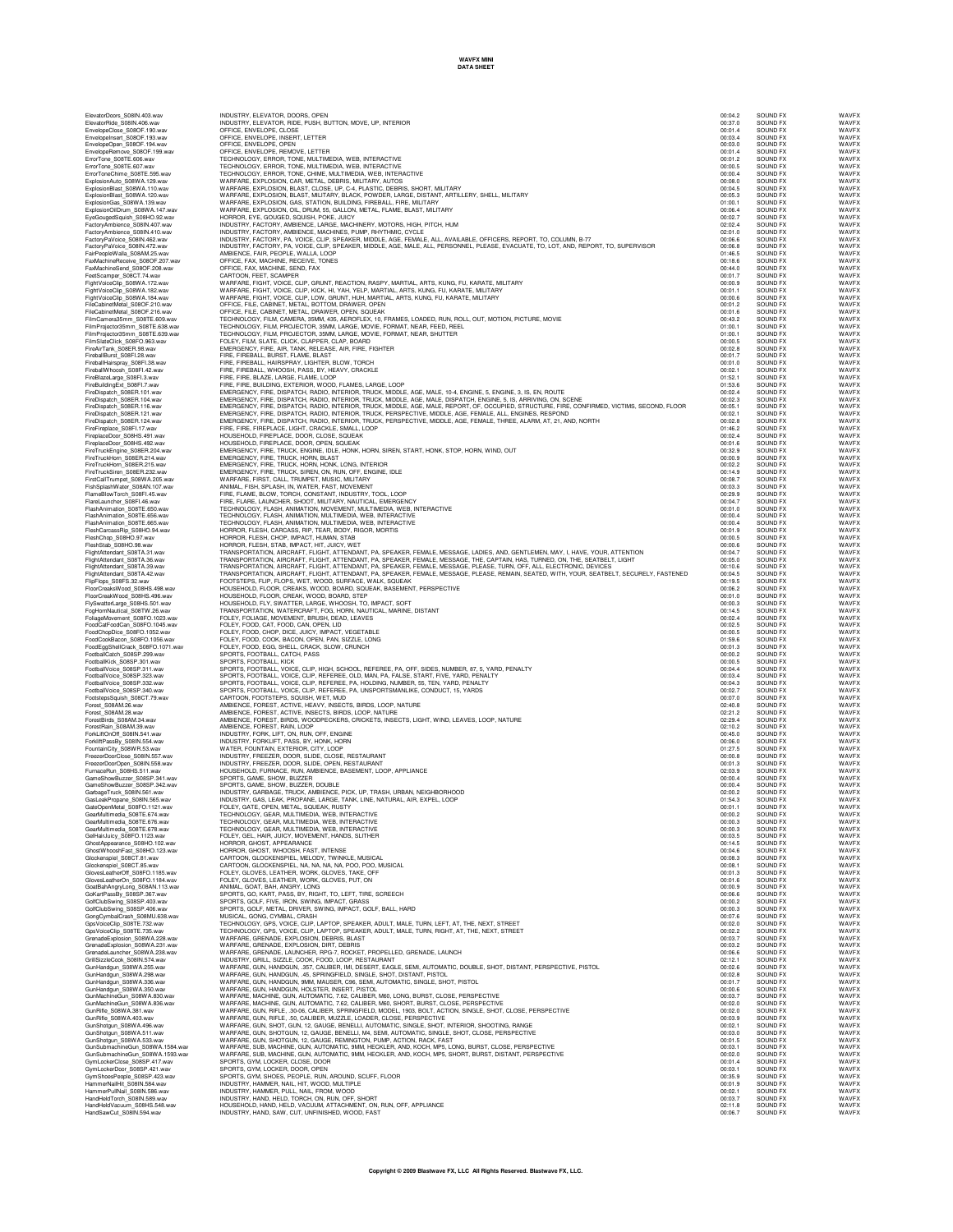| ElevatorDoors S08IN.403.wav                               | INDUSTRY, ELEVATOR, DOORS, OPEN                                                                                                                                                                                                   | 00:04.2            | SOUND FX             | WAVFX          |
|-----------------------------------------------------------|-----------------------------------------------------------------------------------------------------------------------------------------------------------------------------------------------------------------------------------|--------------------|----------------------|----------------|
| ElevatorRide_S08IN.406.wav                                | INDUSTRY, ELEVATOR, RIDE, PUSH, BUTTON, MOVE, UP, INTERIOR                                                                                                                                                                        | 00:37.0            | SOUND FX             | WAVEX          |
| EnvelopeClose S08OF.190.wav                               | OFFICE, ENVELOPE, CLOSE                                                                                                                                                                                                           | 00:01.4            | SOUND FX             | WAVFX          |
| EnvelopeInsert_S08OF.193.wav                              | OFFICE, ENVELOPE, INSERT, LETTER                                                                                                                                                                                                  | 00:03.4            | SOUND FX             | WAVFX          |
| EnvelopeOpen_S08OF.194.wav                                | OFFICE, ENVELOPE, OPEN                                                                                                                                                                                                            | 00:03.0            | SOUND FX             | WAVFX          |
| EnvelopeRemove_S08OF.199.wav                              | OFFICE, ENVELOPE, REMOVE, LETTER                                                                                                                                                                                                  | 00:01.4            | SOUND FX             | WAVFX          |
| ErrorTone_S08TE.606.wav                                   | TECHNOLOGY, ERROR, TONE, MULTIMEDIA, WEB, INTERACTIVE                                                                                                                                                                             | 00:01.2            | SOUND FX             | WAVFX          |
| ErrorTone_S08TE.607.wav                                   | TECHNOLOGY, ERROR, TONE, MULTIMEDIA, WEB, INTERACTIVE                                                                                                                                                                             | 00:00.5            | SOUND FX             | WAVFX          |
| ErrorToneChime_S08TE.595.wav                              | TECHNOLOGY, ERROR, TONE, CHIME, MULTIMEDIA, WEB, INTERACTIVE                                                                                                                                                                      | 00:00.4            | SOUND FX             | WAVEX          |
| ExplosionAuto_S08WA.129.wav                               | WARFARE, EXPLOSION, CAR, METAL, DEBRIS, MILITARY, AUTOS                                                                                                                                                                           | 00:08.0            | SOUND FX             | WAVEX          |
| ExplosionBlast_S08WA.110.wav                              | WARFARE, EXPLOSION, BLAST, CLOSE, UP, C-4, PLASTIC, DEBRIS, SHORT, MILITARY<br>WARFARE, EXPLOSION, BLAST, MILITARY, BLACK, POWDER, LARGE, DISTANT, ARTILLERY, SHELL, MILITARY                                                     | 00:04.5            | SOUND FX             | WAVEX          |
| ExplosionBlast_S08WA.120.wav                              |                                                                                                                                                                                                                                   | 00:05.3            | SOUND FX             | WAVEX          |
| ExplosionGas_S08WA.139.wav                                | WARFARE, EXPLOSION, GAS, STATION, BUILDING, FIREBALL, FIRE, MILITARY                                                                                                                                                              | 01:00.1            | SOUND FX             | WAVFX          |
| ExplosionOilDrum_S08WA.147.wav                            | WARFARE, EXPLOSION, OIL, DRUM, 55, GALLON, METAL, FLAME, BLAST, MILITARY                                                                                                                                                          | 00:06.4            | SOUND FX             | WAVFX          |
| EyeGougedSquish_S08HO.92.wav                              | HORROR, EYE, GOUGED, SQUISH, POKE, JUICY                                                                                                                                                                                          | 00:02.7            | SOUND FX             | WAVFX          |
| FactoryAmbience_S08IN.407.wav                             | INDUSTRY, FACTORY, AMBIENCE, LARGE, MACHINERY, MOTORS, HIGH, PITCH, HUM                                                                                                                                                           | 02:02.4            | SOUND FX             | WAVFX          |
| FactoryAmbience_S08IN.410.wav                             | INDUSTRY, FACTORY, AMBIENCE, MACHINES, PUMP, RHYTHMIC, CYCLE                                                                                                                                                                      | 02:01.0            | SOUND FX             | WAVEX          |
| FactoryPaVoice_S08IN.462.wav                              | INDUSTRY, FACTORY, PA, VOICE, CLIP, SPEAKER, MIDDLE, AGE, FEMALE, ALL, AVAILABLE, OFFICERS, REPORT, TO, COLUMN, B-77                                                                                                              | 00:06.6            | SOUND FX             | WAVEX          |
| FactoryPaVoice_S08IN.472.wav                              | INDUSTRY, FACTORY, PA, VOICE, CLIP, SPEAKER, MIDDLE, AGE, MALE, ALL, PERSONNEL, PLEASE, EVACUATE, TO, LOT, AND, REPORT, TO, SUPERVISOR                                                                                            | 00:06.8            | SOUND FX             | WAVEX          |
| FairPeopleWalla_S08AM.25.wav                              | AMBIENCE, FAIR, PEOPLE, WALLA, LOOP                                                                                                                                                                                               | 01:46.5            | SOUND FX             | WAVFX          |
| FaxMachineReceive_S08OF.207.wav                           | OFFICE, FAX, MACHINE, RECEIVE, TONES                                                                                                                                                                                              | 00:18.6            | SOUND FX             | WAVFX          |
| FaxMachineSend_S08OF.208.wav                              | OFFICE, FAX, MACHINE, SEND, FAX                                                                                                                                                                                                   | 00:44.0            | SOUND FX             | WAVFX          |
| FeetScamper_S08CT.74.wav                                  | CARTOON, FEET, SCAMPER                                                                                                                                                                                                            | 00:01.7            | SOUND FX             | WAVFX          |
| FightVoiceClip_S08WA.172.wav                              | WARFARE, FIGHT, VOICE, CLIP, GRUNT, REACTION, RASPY, MARTIAL, ARTS, KUNG, FU, KARATE, MILITARY                                                                                                                                    | 00:00.9            | SOUND FX             | WAVFX          |
| FightVoiceClip_S08WA.182.wav                              | WARFARE, FIGHT, VOICE, CLIP, KICK, HI, YAH, YELP, MARTIAL, ARTS, KUNG, FU, KARATE, MILITARY                                                                                                                                       | 00:01.1            | SOUND FX             | WAVFX          |
| FightVoiceClip_S08WA.184.wav                              | WARFARE, FIGHT, VOICE, CLIP, LOW, GRUNT, HUH, MARTIAL, ARTS, KUNG, FU, KARATE, MILITARY                                                                                                                                           | 00:00.6            | SOUND FX             | WAVEX          |
| FileCabinetMetal_S08OF.210.wav                            | OFFICE, FILE, CABINET, METAL, BOTTOM, DRAWER, OPEN                                                                                                                                                                                | 00:01.2            | SOUND FX             | WAVEX          |
| FileCabinetMetal_S08OF.216.wav                            | OFFICE, FILE, CABINET, METAL, DRAWER, OPEN, SQUEAK                                                                                                                                                                                | 00:01.6            | SOUND FX             | WAVEX          |
| FilmCamera35mm_S08TE.609.wav                              | TECHNOLOGY, FILM, CAMERA, 35MM, 435, AEROFLEX, 10, FRAMES, LOADED, RUN, ROLL, OUT, MOTION, PICTURE, MOVIE                                                                                                                         | 00:43.2            | SOUND FX             | WAVFX          |
| FilmProjector35mm_S08TE.638.wav                           | TECHNOLOGY, FILM, PROJECTOR, 35MM, LARGE, MOVIE, FORMAT, NEAR, FEED, REEL                                                                                                                                                         | 01:00.1            | SOUND FX             | WAVFX          |
| FilmProjector35mm_S08TE.639.wav                           | TECHNOLOGY, FILM, PROJECTOR, 35MM, LARGE, MOVIE, FORMAT, NEAR, SHUTTER                                                                                                                                                            | 01:00.1            | SOUND FX             | WAVFX          |
| FilmSlateClick_S08FO.963.wav                              | FOLEY, FILM, SLATE, CLICK, CLAPPER, CLAP, BOARD                                                                                                                                                                                   | 00:00.5            | SOUND FX             | WAVFX          |
| FireAirTank_S08ER.98.wav                                  | EMERGENCY, FIRE, AIR, TANK, RELEASE, AIR, FIRE, FIGHTER                                                                                                                                                                           | 00:02.8            | SOUND FX             | WAVFX          |
| FireballBurst_S08FI.28.wav                                | FIRE, FIREBALL, BURST, FLAME, BLAST                                                                                                                                                                                               | 00:01.7            | SOUND FX             | WAVEX          |
| FireballHairspray_S08FI.38.wav                            | FIRE, FIREBALL, HAIRSPRAY, LIGHTER, BLOW, TORCH                                                                                                                                                                                   | 00:01.0            | SOUND FX<br>SOUND FX | WAVEX<br>WAVEX |
| FireballWhoosh_S08FI.42.wav<br>FireBlazeLarge_S08FI.3.wav | FIRE, FIREBALL, WHOOSH, PASS, BY, HEAVY, CRACKLE<br>FIRE, FIRE, BLAZE, LARGE, FLAME, LOOP                                                                                                                                         | 00:02.1<br>01:52.1 | SOUND FX             | WAVEX          |
| FireBuildingExt_S08FI.7.wav                               | FIRE, FIRE, BUILDING, EXTERIOR, WOOD, FLAMES, LARGE, LOOP                                                                                                                                                                         | 01:53.6            | SOUND FX             | WAVFX          |
| FireDispatch_S08ER.101.wav                                | EMERGENCY, FIRE, DISPATCH, RADIO, INTERIOR, TRUCK, MIDDLE, AGE, MALE, 10-4, ENGINE, 5, ENGINE, 3, IS, EN, ROUTE                                                                                                                   | 00:02.4            | SOUND FX             | WAVFX          |
| FireDispatch_S08ER.104.wav                                | EMERGENCY, FIRE, DISPATCH, RADIO, INTERIOR, TRUCK, MIDDLE, AGE, MALE, DISPATCH, ENGINE, 5, IS, ARRIVING, ON, SCENE                                                                                                                | 00:02.3            | SOUND FX             | WAVFX          |
| FireDispatch_S08ER.116.wav                                | EMERGENCY, FIRE, DISPATCH, RADIO, INTERIOR, TRUCK, MIDDLE, AGE, MALE, REPORT, OF, OCCUPIED, STRUCTURE, FIRE, CONFIRMED, VICTIMS, SECOND, FLOOR                                                                                    | 00:05.1            | SOUND FX             | WAVFX          |
| FireDispatch_S08ER.121.wav                                | EMERGENCY, FIRE, DISPATCH, RADIO, INTERIOR, TRUCK, PERSPECTIVE, MIDDLE, AGE, FEMALE, ALL, ENGINES, RESPOND                                                                                                                        | 00:02.1            | SOUND FX             | WAVEX          |
| FireDispatch S08ER.124.wav                                | EMERGENCY, FIRE, DISPATCH, RADIO, INTERIOR, TRUCK, PERSPECTIVE, MIDDLE, AGE, FEMALE, THREE, ALARM, AT, 21, AND, NORTH                                                                                                             | 00:02.8            | SOUND FX             | WAVEX          |
| FireFireplace_S08FI.17.wav                                | FIRE, FIRE, FIREPLACE, LIGHT, CRACKLE, SMALL, LOOP                                                                                                                                                                                | 01:46.2            | SOUND FX             | WAVEX          |
| FireplaceDoor_S08HS.491.wav                               | HOUSEHOLD, FIREPLACE, DOOR, CLOSE, SQUEAK                                                                                                                                                                                         | 00:02.4            | SOUND FX             | WAVEX          |
| FireplaceDoor_S08HS.492.wav                               | HOUSEHOLD, FIREPLACE, DOOR, OPEN, SQUEAK                                                                                                                                                                                          | 00:01.6            | SOUND FX             | WAVFX          |
| FireTruckEngine_S08ER.204.wav                             | EMERGENCY, FIRE, TRUCK, ENGINE, IDLE, HONK, HORN, SIREN, START, HONK, STOP, HORN, WIND, OUT                                                                                                                                       | 00:32.9            | SOUND FX             | WAVFX          |
| FireTruckHorn_S08ER.214.wav                               | EMERGENCY, FIRE, TRUCK, HORN, BLAST                                                                                                                                                                                               | 00:00.9            | SOUND FX             | WAVFX          |
| FireTruckHorn S08ER.215.wav                               | EMERGENCY, FIRE, TRUCK, HORN, HONK, LONG, INTERIOR                                                                                                                                                                                | 00:02.2            | SOUND FX             | WAVFX          |
| FireTruckSiren_S08ER.232.wav                              | EMERGENCY, FIRE, TRUCK, SIREN, ON, RUN, OFF, ENGINE, IDLE                                                                                                                                                                         | 00:14.9            | SOUND FX             | WAVFX          |
| FirstCallTrumpet_S08WA.205.wav                            | WARFARE, FIRST, CALL, TRUMPET, MUSIC, MILITARY                                                                                                                                                                                    | 00:08.7            | SOUND FX             | WAVEX          |
| FishSplashWater_S08AN.107.wav                             | ANIMAL, FISH, SPLASH, IN, WATER, FAST, MOVEMENT                                                                                                                                                                                   | 00:03.3            | SOUND FX             | WAVEX          |
| FlameBlowTorch_S08FI.45.wav                               | FIRE, FLAME, BLOW, TORCH, CONSTANT, INDUSTRY, TOOL, LOOP                                                                                                                                                                          | 00:29.9            | SOUND FX             | WAVFX          |
| FlareLauncher_S08FI.46.wav                                | FIRE, FLARE, LAUNCHER, SHOOT, MILITARY, NAUTICAL, EMERGENCY                                                                                                                                                                       | 00:04.7            | SOUND FX             | WAVFX          |
| FlashAnimation_S08TE.650.wav                              | TECHNOLOGY, FLASH, ANIMATION, MOVEMENT, MULTIMEDIA, WEB, INTERACTIVE                                                                                                                                                              | 00:01.0            | SOUND FX             | WAVFX          |
| FlashAnimation_S08TE.656.wav                              | TECHNOLOGY, FLASH, ANIMATION, MULTIMEDIA, WEB, INTERACTIVE                                                                                                                                                                        | 00:00.4            | SOUND FX             | WAVFX          |
| FlashAnimation_S08TE.665.wav                              | TECHNOLOGY, FLASH, ANIMATION, MULTIMEDIA, WEB, INTERACTIVE                                                                                                                                                                        | 00:00.4            | SOUND FX             | WAVFX          |
| FleshCarcassRip_S08HO.94.wav                              | HORROR, FLESH, CARCASS, RIP, TEAR, BODY, RIGOR, MORTIS                                                                                                                                                                            | 00:01.9            | SOUND FX             | WAVFX          |
| FleshChop_S08HO.97.wav                                    | HORROR, FLESH, CHOP, IMPACT, HUMAN, STAB                                                                                                                                                                                          | 00:00.5            | SOUND FX             | WAVEX          |
| FleshStab_S08HO.98.wav                                    | HORROR, FLESH, STAB, IMPACT, HIT, JUICY, WET                                                                                                                                                                                      | 00:00.6            | SOUND FX             | WAVEX          |
| FlightAttendant_S08TA.31.wav                              | TRANSPORTATION, AIRCRAFT, FLIGHT, ATTENDANT, PA, SPEAKER, FEMALE, MESSAGE, LADIES, AND, GENTLEMEN, MAY, I, HAVE, YOUR, ATTENTION<br>TRANSPORTATION, AIRCRAFT, FLIGHT, ATTENDANT, PA, SPEAKER, FEMALE, MESSAGE, THE, CAPTAIN, HAS, | 00:04.7            | SOUND FX             | WAVEX          |
| FlightAttendant_S08TA.36.wav                              | TRANSPORTATION, AIRCRAFT, FLIGHT, ATTENDANT, PA, SPEAKER, FEMALE, MESSAGE, PLEASE, TURN, OFF, ALL, ELECTRONIC, DEVICES                                                                                                            | 00:05.0            | SOUND FX             | WAVEX          |
| FlightAttendant_S08TA.39.wav                              |                                                                                                                                                                                                                                   | 00:10.6            | SOUND FX             | WAVFX          |
| FlightAttendant_S08TA.42.wav                              | TRANSPORTATION, AIRCRAFT, FLIGHT, ATTENDANT, PA, SPEAKER, FEMALE, MESSAGE, PLEASE, REMAIN, SEATED, WITH, YOUR, SEATBELT, SECURELY, FASTENED                                                                                       | 00:04.5            | SOUND FX             | WAVFX          |
| FlipFlops_S08FS.32.wav                                    | FOOTSTEPS, FLIP, FLOPS, WET, WOOD, SURFACE, WALK, SQUEAK                                                                                                                                                                          | 00:19.5            | SOUND FX             | WAVEX          |
| FloorCreaksWood_S08HS.498.wav                             | HOUSEHOLD, FLOOR, CREAKS, WOOD, BOARD, SQUEAK, BASEMENT, PERSPECTIVE                                                                                                                                                              | 00:06.2            | SOUND FX             | WAVFX          |
| FloorCreakWood_S08HS.496.wav                              | HOUSEHOLD, FLOOR, CREAK, WOOD, BOARD, STEP                                                                                                                                                                                        | 00:01.0            | SOUND FX             | WAVEX          |
| FlySwatterLarge_S08HS.501.wav                             | HOUSEHOLD, FLY, SWATTER, LARGE, WHOOSH, TO, IMPACT, SOFT                                                                                                                                                                          | 00:00.3            | SOUND FX             | WAVEX          |
| FogHornNautical_S08TW.26.wav                              | TRANSPORTATION, WATERCRAFT, FOG, HORN, NAUTICAL, MARINE, DISTANT                                                                                                                                                                  | 00:14.5            | SOUND FX             | WAVEX          |
| FoliageMovement_S08FO.1023.wav                            | FOLEY, FOLIAGE, MOVEMENT, BRUSH, DEAD, LEAVES                                                                                                                                                                                     | 00:02.4            | SOUND FX             | WAVEX          |
| FoodCatFoodCan_S08FO.1045.wav                             | FOLEY, FOOD, CAT, FOOD, CAN, OPEN, LID                                                                                                                                                                                            | 00:02.5            | SOUND FX             | WAVFX          |
| FoodChopDice_S08FO.1052.wav                               | FOLEY, FOOD, CHOP, DICE, JUICY, IMPACT, VEGETABLE                                                                                                                                                                                 | 00:00.5            | SOUND FX             | WAVFX          |
| FoodCookBacon_S08FO.1056.wav                              | FOLEY, FOOD, COOK, BACON, OPEN, PAN, SIZZLE, LONG                                                                                                                                                                                 | 01:59.6            | SOUND FX             | WAVFX          |
| FoodEggShellCrack_S08FO.1071.wav                          | FOLEY, FOOD, EGG, SHELL, CRACK, SLOW, CRUNCH                                                                                                                                                                                      | 00:01.3            | SOUND FX             | WAVEX          |
| FootballCatch_S08SP.299.wav                               | SPORTS, FOOTBALL, CATCH, PASS                                                                                                                                                                                                     | 00:00.2            | SOUND FX             | WAVFX          |
| FootballKick_S08SP.301.wav                                | SPORTS, FOOTBALL, KICK                                                                                                                                                                                                            | 00:00.5            | SOUND FX             | WAVEX          |
| FootballVoice_S08SP.311.wav                               | SPORTS, FOOTBALL, VOICE, CLIP, HIGH, SCHOOL, REFEREE, PA, OFF, SIDES, NUMBER, 87, 5, YARD, PENALTY                                                                                                                                | 00:04.4            | SOUND FX             | WAVEX          |
| FootballVoice_S08SP.323.wav                               | SPORTS, FOOTBALL, VOICE, CLIP, REFEREE, OLD, MAN, PA, FALSE, START, FIVE, YARD, PENALTY                                                                                                                                           | 00:03.4            | SOUND FX             | WAVEX          |
| FootballVoice_S08SP.332.wav                               | SPORTS, FOOTBALL, VOICE, CLIP, REFEREE, PA, HOLDING, NUMBER, 55, TEN, YARD, PENALTY                                                                                                                                               | 00:04.3            | SOUND FX             | WAVEX          |
| FootballVoice_S08SP.340.wav                               | SPORTS, FOOTBALL, VOICE, CLIP, REFEREE, PA, UNSPORTSMANLIKE, CONDUCT, 15, YARDS                                                                                                                                                   | 00:02.7            | SOUND FX             | WAVFX          |
| FootstepsSquish_S08CT.79.wav                              | CARTOON, FOOTSTEPS, SQUISH, WET, MUD                                                                                                                                                                                              | 00:07.0            | SOUND FX             | WAVFX          |
| Forest_S08AM.26.wav                                       | AMBIENCE, FOREST, ACTIVE, HEAVY, INSECTS, BIRDS, LOOP, NATURE                                                                                                                                                                     | 02:40.8            | SOUND FX             | WAVFX          |
| Forest_S08AM.28.wav                                       | AMBIENCE, FOREST, ACTIVE, INSECTS, BIRDS, LOOP, NATURE                                                                                                                                                                            | 02:21.2            | SOUND FX             | WAVFX          |
| ForestBirds S08AM.34.wav                                  | AMBIENCE, FOREST, BIRDS, WOODPECKERS, CRICKETS, INSECTS, LIGHT, WIND, LEAVES, LOOP, NATURE                                                                                                                                        | 02:29.4            | SOUND FX             | WAVEX          |
| ForestRain S08AM.39.wav                                   | AMBIENCE, FOREST, RAIN, LOOP                                                                                                                                                                                                      | 02:10.2            | SOUND EX             | WAVEX          |
| ForkLiftOnOff_S08IN.541.wav                               | INDUSTRY, FORK, LIFT, ON, RUN, OFF, ENGINE                                                                                                                                                                                        | 00:45.0            | SOUND FX             | WAVEX          |
| ForkliftPassBy_S08IN.554.wav                              | INDUSTRY, FORKLIFT, PASS, BY, HONK, HORN                                                                                                                                                                                          | 00:06.0            | SOUND FX             | WAVFX          |
| FountainCity_S08WR.53.wav                                 | WATER, FOUNTAIN, EXTERIOR, CITY, LOOP                                                                                                                                                                                             | 01:27.5            | SOUND FX             | WAVFX          |
| FreezerDoorClose_S08IN.557.wav                            | INDUSTRY, FREEZER, DOOR, SLIDE, CLOSE, RESTAURANT                                                                                                                                                                                 | 00:00.8            | SOUND FX             | WAVFX          |
| FreezerDoorOpen_S08IN.558.wav                             | INDUSTRY, FREEZER, DOOR, SLIDE, OPEN, RESTAURANT                                                                                                                                                                                  | 00:01.3            | SOUND FX             | WAVFX          |
| FurnaceRun_S08HS.511.wav                                  | HOUSEHOLD, FURNACE, RUN, AMBIENCE, BASEMENT, LOOP, APPLIANCE                                                                                                                                                                      | 02:03.9            | SOUND FX             | WAVFX          |
| GameShowBuzzer_S08SP.341.wav                              | SPORTS, GAME, SHOW, BUZZER                                                                                                                                                                                                        | 00:00.4            | SOUND FX             | WAVEX          |
| GameShowBuzzer S08SP.342.wav                              | SPORTS, GAME, SHOW, BUZZER, DOUBLE                                                                                                                                                                                                | 00:00.4            | SOUND FX             | WAVEX          |
| GarbageTruck_S08IN.561.wav                                | INDUSTRY, GARBAGE, TRUCK, AMBIENCE, PICK, UP, TRASH, URBAN, NEIGHBORHOOD<br>INDUSTRY, GARBAGE, TRUCK, AMBIENCE, PICK, UP, TRASH, URBAN, NEIGHBORHOOD                                                                              | 02:00.2            | SOUND FX             | WAVEX          |
| GasLeakPropane_S08IN.565.wav                              |                                                                                                                                                                                                                                   | 01:54.3            | SOUND FX             | WAVFX          |
| GearMultimedia S08TE.674.wav                              | MFTAI<br>SQUEAK, RUST<br>TECHNOLOGY, GEAR, MULTIMEDIA, WEB, INTERACTIVE                                                                                                                                                           | 00:00.2            | SOUND<br>SOUND FX    | WAVFX<br>WAVFX |
| GearMultimedia S08TE.676.way                              | TECHNOLOGY, GEAR, MULTIMEDIA, WEB, INTERACTIVE                                                                                                                                                                                    | 00:00.3            | SOUND FX             | WAVFX          |
| GearMultimedia_S08TE.678.wav                              | TECHNOLOGY, GEAR, MULTIMEDIA, WEB, INTERACTIVE                                                                                                                                                                                    | 00:00.3            | SOUND FX             | WAVFX          |
| GelHairJuicy_S08FO.1123.wav                               | FOLEY, GEL, HAIR, JUICY, MOVEMENT, HANDS, SLITHER                                                                                                                                                                                 | 00:03.5            | SOUND FX             | WAVEX          |
| GhostAppearance S08HO.102.way                             | HORROR, GHOST, APPEARANCE                                                                                                                                                                                                         | 00:14.5            | SOUND FX             | WAVEX          |
| GhostWhooshFast S08HO.123.wav                             | HORROR, GHOST, WHOOSH, FAST, INTENSE                                                                                                                                                                                              | 00:04.6            | SOUND FX             | WAVEX          |
| Glockenspiel_S08CT.81.wav                                 | CARTOON, GLOCKENSPIEL, MELODY, TWINKLE, MUSICAL                                                                                                                                                                                   | 00:08.3            | SOUND FX             | WAVEX          |
| Glockenspiel_S08CT.85.wav                                 | CARTOON, GLOCKENSPIEL, NA, NA, NA, NA, POO, POO, MUSICAL                                                                                                                                                                          | 00:08.1            | SOUND FX             | WAVEX          |
| GlovesLeatherOff_S08FO.1185.wav                           | FOLEY, GLOVES, LEATHER, WORK, GLOVES, TAKE, OFF                                                                                                                                                                                   | 00:01.3            | SOUND FX             | WAVFX          |
| GlovesLeatherOn S08FO.1184.wav                            | FOLEY, GLOVES, LEATHER, WORK, GLOVES, PUT, ON                                                                                                                                                                                     | 00:01.6            | SOUND FX             | WAVFX          |
| GoatBahAngryLong_S08AN.113.wav                            | ANIMAL, GOAT, BAH, ANGRY, LONG                                                                                                                                                                                                    | 00:00.9            | SOUND FX             | WAVEX          |
| GoKartPassBy S08SP.367.wav                                | SPORTS, GO, KART, PASS, BY, RIGHT, TO, LEFT, TIRE, SCREECH                                                                                                                                                                        | 00:06.6            | SOUND FX             | WAVEX          |
| GolfClubSwing_S08SP.403.wav                               | SPORTS, GOLF, FIVE, IRON, SWING, IMPACT, GRASS                                                                                                                                                                                    | 00:00.2            | SOUND EX             | WAVEX          |
| GolfClubSwing S08SP.406.wav                               | SPORTS, GOLF, METAL, DRIVER, SWING, IMPACT, GOLF, BALL, HARD                                                                                                                                                                      | 00:00.3            | SOUND FX             | WAVEX          |
| GongCymbalCrash_S08MU.638.wav                             | MUSICAL, GONG, CYMBAL, CRASH                                                                                                                                                                                                      | 00:07.6            | SOUND FX             | WAVEX          |
| GpsVoiceClip_S08TE.732.wav                                | TECHNOLOGY, GPS, VOICE, CLIP, LAPTOP, SPEAKER, ADULT, MALE, TURN, LEFT, AT, THE, NEXT, STREET                                                                                                                                     | 00:02.0            | SOUND FX             | WAVEX          |
| GpsVoiceClip_S08TE.735.wav                                | TECHNOLOGY, GPS, VOICE, CLIP, LAPTOP, SPEAKER, ADULT, MALE, TURN, RIGHT, AT, THE, NEXT, STREET                                                                                                                                    | 00:02.2            | SOUND FX             | WAVFX          |
| GrenadeExplosion S08WA.228.wav                            | WARFARE, GRENADE, EXPLOSION, DEBRIS, BLAST                                                                                                                                                                                        | 00:03.7            | SOUND FX             | WAVFX          |
| GrenadeExplosion_S08WA.231.wav                            | WARFARE, GRENADE, EXPLOSION, DIRT, DEBRIS                                                                                                                                                                                         | 00:03.2            | SOUND FX             | WAVEX          |
| GrenadeLauncher S08WA.238.wav                             | WARFARE, GRENADE, LAUNCHER, RPG-7, ROCKET, PROPELLED, GRENADE, LAUNCH                                                                                                                                                             | 00:06.6            | SOUND FX             | WAVFX          |
| GrillSizzleCook S08IN 574 way                             | INDUSTRY, GRILL, SIZZLE, COOK, FOOD, LOOP, RESTAURANT                                                                                                                                                                             | 02:12.1            | SOUND FX             | WAVEX          |
| GunHandgun S08WA.255.way                                  | WARFARE, GUN, HANDGUN, .357, CALIBER, IMI, DESERT, EAGLE, SEMI, AUTOMATIC, DOUBLE, SHOT, DISTANT, PERSPECTIVE, PISTOL                                                                                                             | 00:02.6            | SOUND FX             | WAVEX          |
| GunHandgun_S08WA.298.wav                                  | WARFARE, GUN, HANDGUN, .45, SPRINGFIELD, SINGLE, SHOT, DISTANT, PISTOL                                                                                                                                                            | 00:02.8            | SOUND FX             | WAVEX          |
| GunHandgun_S08WA.336.wav                                  | WARFARE, GUN, HANDGUN, 9MM, MAUSER, C96, SEMI, AUTOMATIC, SINGLE, SHOT, PISTOL                                                                                                                                                    | 00:01.7            | SOUND FX             | WAVEX          |
| GunHandgun_S08WA.350.wav                                  | WARFARE, GUN, HANDGUN, HOLSTER, INSERT, PISTOL                                                                                                                                                                                    | 00:00.6            | SOUND FX             | WAVFX          |
| GunMachineGun_S08WA.830.wav                               | WARFARE, MACHINE, GUN, AUTOMATIC, 7.62, CALIBER, M60, LONG, BURST, CLOSE, PERSPECTIVE                                                                                                                                             | 00:03.7            | SOUND FX             | WAVFX          |
| GunMachineGun_S08WA.836.wav                               | WARFARE, MACHINE, GUN, AUTOMATIC, 7.62, CALIBER, M60, SHORT, BURST, CLOSE, PERSPECTIVE                                                                                                                                            | 00:02.0            | SOUND FX             | WAVFX          |
| GunRifle_S08WA.381.wav                                    | WARFARE, GUN, RIFLE, .30-06, CALIBER, SPRINGFIELD, MODEL, 1903, BOLT, ACTION, SINGLE, SHOT, CLOSE, PERSPECTIVE                                                                                                                    | 00:02.0            | SOUND FX             | WAVEX          |
| GunRifle_S08WA.403.wav                                    | WARFARE, GUN, RIFLE, .50, CALIBER, MUZZLE, LOADER, CLOSE, PERSPECTIVE                                                                                                                                                             | 00:03.9            | SOUND FX             | WAVFX          |
| GunShotgun S08WA.496.way                                  | WARFARE, GUN, SHOT, GUN, 12, GAUGE, BENELLI, AUTOMATIC, SINGLE, SHOT, INTERIOR, SHOOTING, RANGE                                                                                                                                   | 00:02.1            | SOUND FX             | WAVEX          |
| GunShotgun_S08WA.511.wav                                  | WARFARE, GUN, SHOTGUN, 12, GAUGE, BENELLI, M4, SEMI, AUTOMATIC, SINGLE, SHOT, CLOSE, PERSPECTIVE                                                                                                                                  | 00:03.0            | SOUND FX             | WAVEX          |
| GunShotgun_S08WA.533.wav                                  | WARFARE, GUN, SHOTGUN, 12, GAUGE, REMINGTON, PUMP, ACTION, RACK, FAST                                                                                                                                                             | 00:01.5            | SOUND FX             | WAVEX          |
| GunSubmachineGun_S08WA.1584.wav                           | WARFARE, SUB, MACHINE, GUN, AUTOMATIC, 9MM, HECKLER, AND, KOCH, MP5, LONG, BURST, CLOSE, PERSPECTIVE                                                                                                                              | 00:03.1            | SOUND FX             | WAVEX          |
| GunSubmachineGun S08WA.1593.wav                           | WARFARE, SUB, MACHINE, GUN, AUTOMATIC, 9MM, HECKLER, AND, KOCH, MP5, SHORT, BURST, DISTANT, PERSPECTIVE                                                                                                                           | 00:02.0            | SOUND FX             | WAVFX          |
| GymLockerClose_S08SP.417.wav                              | SPORTS, GYM, LOCKER, CLOSE, DOOR                                                                                                                                                                                                  | 00:01.4            | SOUND FX             | WAVFX          |
| GymLockerDoor_S08SP.421.wav                               | SPORTS, GYM, LOCKER, DOOR, OPEN                                                                                                                                                                                                   | 00:03.1            | SOUND FX             | WAVFX          |
| GymShoesPeople S08SP.423.wav                              | SPORTS, GYM, SHOES, PEOPLE, RUN, AROUND, SCUFF, FLOOR                                                                                                                                                                             | 00:35.9            | SOUND FX             | WAVEX          |
| HammerNailHit S08IN.584.wav                               | INDUSTRY, HAMMER, NAIL, HIT, WOOD, MULTIPLE                                                                                                                                                                                       | 00:01.9            | SOUND FX             | WAVEX          |
| HammerPullNail S08IN.586.wav                              | INDUSTRY, HAMMER, PULL, NAIL, FROM, WOOD                                                                                                                                                                                          | 00:02.1            | SOUND FX             | WAVEX          |
| HandHeldTorch S08IN.589.wav                               | INDUSTRY, HAND, HELD, TORCH, ON, RUN, OFF, SHORT                                                                                                                                                                                  | 00:03.7            | SOUND FX             | WAVEX          |
| HandHeldVacuum S08HS.548.wav                              | HOUSEHOLD, HAND, HELD, VACUUM, ATTACHMENT, ON, RUN, OFF, APPLIANCE                                                                                                                                                                | 02:11.8            | SOUND FX             | WAVEX          |
| HandSawCut S08IN.594.wav                                  | INDUSTRY, HAND, SAW, CUT, UNFINISHED, WOOD, FAST                                                                                                                                                                                  | 00:06.7            | SOUND FX             | WAVFX          |

**Copyright © 2009 Blastwave FX, LLC All Rights Reserved. Blastwave FX, LLC.**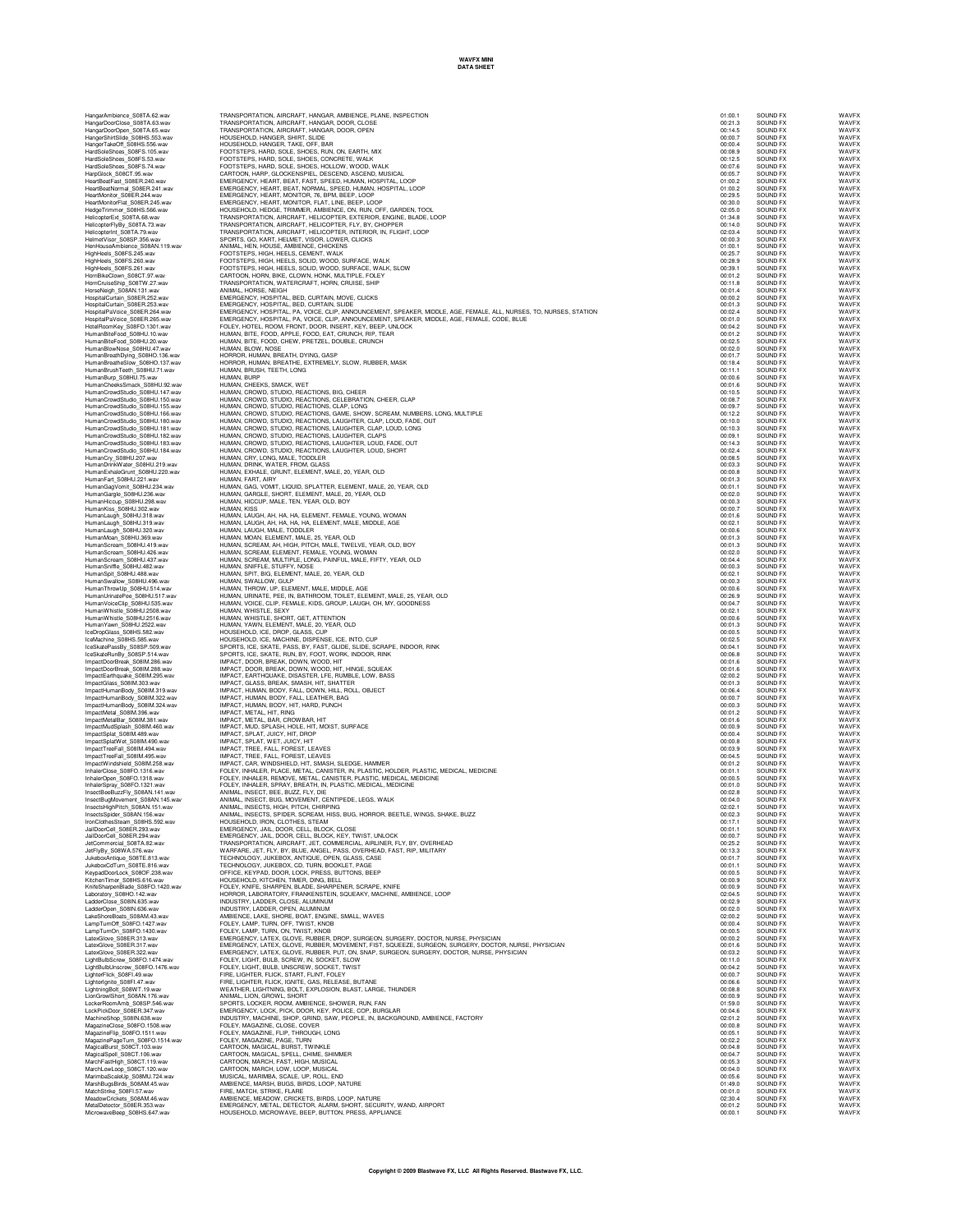| HangerShirtSlide S08HS.553.wav                                   | HOUSEHOLD, HANGER, SHIRT, SLIDE                                                                                                                                                                                    | 00:00.7            | SOUND FX             | WAVEX          |
|------------------------------------------------------------------|--------------------------------------------------------------------------------------------------------------------------------------------------------------------------------------------------------------------|--------------------|----------------------|----------------|
| HangerTakeOff_S08HS.556.wav                                      | HOUSEHOLD, HANGER, TAKE, OFF, BAR                                                                                                                                                                                  | 00:00.4            | SOUND FX             | WAVFX          |
| HardSoleShoes_S08FS.105.wav                                      | FOOTSTEPS, HARD, SOLE, SHOES, RUN, ON, EARTH, MIX                                                                                                                                                                  | 00:08.9            | SOUND FX             | WAVFX          |
| HardSoleShoes_S08FS.53.wav                                       | FOOTSTEPS, HARD, SOLE, SHOES, CONCRETE, WALK                                                                                                                                                                       | 00:12.5            | SOUND FX             | WAVFX          |
| HardSoleShoes S08FS.74.wav                                       | FOOTSTEPS, HARD, SOLE, SHOES, HOLLOW, WOOD, WALK                                                                                                                                                                   | 00:07.6            | SOUND FX             | WAVEX          |
| HarpGlock_S08CT.95.wav                                           | CARTOON, HARP, GLOCKENSPIEL, DESCEND, ASCEND, MUSICAL<br>EMERGENCY, HEART, BEAT, FAST, SPEED, HUMAN, HOSPITAL, LOOP                                                                                                | 00:05.7            | SOUND EX             | WAVEX          |
| HeartBeatFast S08ER.240.wav                                      |                                                                                                                                                                                                                    | 01:00.2            | SOUND FX             | WAVFX          |
| HeartBeatNormal S08ER.241.wav                                    | EMERGENCY, HEART, BEAT, NORMAL, SPEED, HUMAN, HOSPITAL, LOOP                                                                                                                                                       | 01:00.2            | SOUND FX             | WAVFX          |
| HeartMonitor_S08ER.244.wav                                       | EMERGENCY, HEART, MONITOR, 76, BPM, BEEP, LOOP                                                                                                                                                                     | 00:29.5            | SOUND FX             | WAVFX          |
| HeartMonitorFlat_S08ER.245.wav                                   | EMERGENCY, HEART, MONITOR, FLAT, LINE, BEEP, LOOP                                                                                                                                                                  | 00:30.0            | SOUND FX             | WAVFX          |
| HedgeTrimmer_S08HS.566.wav                                       | HOUSEHOLD, HEDGE, TRIMMER, AMBIENCE, ON, RUN, OFF, GARDEN, TOOL                                                                                                                                                    | 02:05.0            | SOUND FX             | WAVEX          |
| HelicopterExt_S08TA.68.wav                                       | TRANSPORTATION, AIRCRAFT, HELICOPTER, EXTERIOR, ENGINE, BLADE, LOOP                                                                                                                                                | 01:34.8            | SOUND FX             | WAVEX          |
| HelicopterFlyBy_S08TA.73.wav                                     | TRANSPORTATION, AIRCRAFT, HELICOPTER, FLY, BY, CHOPPER                                                                                                                                                             | 00:14.0            | SOUND FX             | WAVFX          |
| HelicopterInt_S08TA.79.wav                                       | TRANSPORTATION, AIRCRAFT, HELICOPTER, INTERIOR, IN, FLIGHT, LOOP                                                                                                                                                   | 02:03.4            | SOUND FX             | WAVFX          |
| HelmetVisor_S08SP.356.wav                                        | SPORTS, GO, KART, HELMET, VISOR, LOWER, CLICKS                                                                                                                                                                     | 00:00.3            | SOUND FX             | WAVEX          |
| HenHouseAmbience_S08AN.119.wav                                   | ANIMAL, HEN, HOUSE, AMBIENCE, CHICKENS                                                                                                                                                                             | 01:00.1            | SOUND FX             | WAVEX          |
| HighHeels_S08FS.245.wav                                          | FOOTSTEPS, HIGH, HEELS, CEMENT, WALK                                                                                                                                                                               | 00:25.7            | SOUND EX             | WAVEX          |
| HighHeels_S08FS.260.wav                                          |                                                                                                                                                                                                                    | 00:28.9            | SOUND EX             | WAVEX          |
| HighHeels_S08FS.261.wav                                          | FOOTSTEPS, HIGH, HEELS, SOLID, WOOD, SURFACE, WALK<br>FOOTSTEPS, HIGH, HEELS, SOLID, WOOD, SURFACE, WALK, SLOW                                                                                                     | 00:39.1            | SOUND FX             | WAVFX          |
| HomBikeClown_S08CT.97.wav                                        | CARTOON, HORN, BIKE, CLOWN, HONK, MULTIPLE, FOLEY                                                                                                                                                                  | 00:01.2            | SOUND FX             | WAVEX          |
| HornCruiseShip_S08TW.27.wav                                      | TRANSPORTATION, WATERCRAFT, HORN, CRUISE, SHIP                                                                                                                                                                     | 00:11.8            | SOUND FX             | WAVFX          |
| HorseNeigh S08AN.131.wav                                         | ANIMAL, HORSE, NEIGH                                                                                                                                                                                               | 00:01.4            | SOUND FX             | WAVFX          |
| HospitalCurtain_S08ER.252.wav                                    | EMERGENCY, HOSPITAL, BED, CURTAIN, MOVE, CLICKS                                                                                                                                                                    | 00:00.2            | SOUND FX             | WAVFX          |
| HospitalCurtain_S08ER.253.wav                                    | EMERGENCY, HOSPITAL, BED, CURTAIN, SLIDE                                                                                                                                                                           | 00:01.3            | SOUND FX             | WAVEX          |
| HospitalPaVoice_S08ER.264.wav                                    |                                                                                                                                                                                                                    | 00:02.4            | SOUND FX             | WAVEX          |
| HospitalPaVoice S08ER.265.wav                                    | EMERGENCY, HOSPITAL, PA, VOICE, CLIP, ANNOUNCEMENT, SPEAKER, MIDDLE, AGE, FEMALE, ALL, NURSES, TO, NURSES, STATION<br>EMERGENCY, HOSPITAL, PA, VOICE, CLIP, ANNOUNCEMENT, SPEAKER, MIDDLE, AGE, FEMALE, CODE, BLUE | 00:01.0            | SOUND FX             | WAVEX          |
| HotelRoomKey_S08FO.1301.wav                                      |                                                                                                                                                                                                                    |                    | SOUND FX             | WAVEX          |
| HumanBiteFood S08HU.10.wav                                       | FOLEY, HOTEL, ROOM, FRONT, DOOR, INSERT, KEY, BEEP, UNLOCK<br>HUMAN, BITE, FOOD, APPLE, FOOD, EAT, CRUNCH, RIP, TEAR                                                                                               | 00:04.2<br>00:01.2 | SOUND FX             | WAVEX          |
| HumanBiteFood S08HU.20.wav                                       | HUMAN, BITE, FOOD, CHEW, PRETZEL, DOUBLE, CRUNCH                                                                                                                                                                   | 00:02.5            | SOUND EX             | WAVEX          |
| HumanBlowNose S08HU.47.wav                                       | HUMAN, BLOW, NOSE                                                                                                                                                                                                  | 00:02.0            | SOUND FX             | WAVEX          |
| HumanBreathDying_S08HO.136.wav                                   | HORROR, HUMAN, BREATH, DYING, GASP                                                                                                                                                                                 | 00:01.7            | SOUND FX             | WAVEX          |
| HumanBreatheSlow_S08HO.137.wav                                   | HORROR, HUMAN, BREATHE, EXTREMELY, SLOW, RUBBER, MASK                                                                                                                                                              | 00:18.4            | SOUND FX             | WAVEX          |
| HumanBrushTeeth_S08HU.71.wav                                     | HUMAN, BRUSH, TEETH, LONG                                                                                                                                                                                          | 00:11.1            | SOUND FX             | WAVFX          |
| HumanBurp_S08HU.75.wav                                           | HUMAN, BURP                                                                                                                                                                                                        | 00:00.6            | SOUND FX             | WAVFX          |
| HumanCheeksSmack_S08HU.92.wav                                    | HUMAN, CHEEKS, SMACK, WET                                                                                                                                                                                          | 00:01.6            | SOUND FX             | WAVFX          |
| HumanCrowdStudio_S08HU.147.wav                                   | HUMAN, CROWD, STUDIO, REACTIONS, BIG, CHEER                                                                                                                                                                        | 00:10.5            | SOUND FX             | WAVFX          |
| HumanCrowdStudio_S08HU.150.wav                                   |                                                                                                                                                                                                                    | 00:08.7            | SOUND FX             | WAVFX          |
| HumanCrowdStudio S08HU.155.wav                                   | HUMAN, CROWD, STUDIO, REACTIONS, CELEBRATION, CHEER, CLAP                                                                                                                                                          | 00:09.7            | SOUND FX             | WAVEX          |
|                                                                  | HUMAN, CROWD, STUDIO, REACTIONS, CLAP, LONG                                                                                                                                                                        |                    |                      | WAVEX          |
| HumanCrowdStudio_S08HU.166.wav<br>HumanCrowdStudio S08HU.180.wav | HUMAN, CROWD, STUDIO, REACTIONS, GAME, SHOW, SCREAM, NUMBERS, LONG, MULTIPLE<br>HUMAN, CROWD, STUDIO, REACTIONS, LAUGHTER, CLAP, LOUD, FADE, OUT                                                                   | 00:12.2            | SOUND FX<br>SOUND FX | WAVEX          |
|                                                                  | HUMAN, CROWD, STUDIO, REACTIONS, LAUGHTER, CLAP, LOUD, LONG                                                                                                                                                        | 00:10.0<br>00:10.3 | SOUND EX             | WAVEX          |
| HumanCrowdStudio S08HU.181.way                                   | HUMAN, CROWD, STUDIO, REACTIONS, LAUGHTER, CLAPS                                                                                                                                                                   |                    |                      |                |
| HumanCrowdStudio S08HU.182.wav                                   | HUMAN, CROWD, STUDIO, REACTIONS, LAUGHTER, LOUD, FADE, OUT                                                                                                                                                         | 00:09.1            | SOUND FX             | WAVEX          |
| HumanCrowdStudio_S08HU.183.wav                                   |                                                                                                                                                                                                                    | 00:14.3            | SOUND FX             | WAVEX          |
| HumanCrowdStudio_S08HU.184.wav                                   | HUMAN, CROWD, STUDIO, REACTIONS, LAUGHTER, LOUD, SHORT                                                                                                                                                             | 00:02.4            | SOUND FX             | WAVFX          |
| HumanCry_S08HU.207.wav                                           | HUMAN, CRY, LONG, MALE, TODDLER                                                                                                                                                                                    | 00:08.5            | SOUND FX             | WAVFX          |
| HumanDrinkWater_S08HU.219.wav                                    | HUMAN, DRINK, WATER, FROM, GLASS                                                                                                                                                                                   | 00:03.3            | SOUND FX             | WAVFX          |
| HumanExhaleGrunt_S08HU.220.wav                                   | HUMAN, EXHALE, GRUNT, ELEMENT, MALE, 20, YEAR, OLD                                                                                                                                                                 | 00:00.8            | SOUND FX             | WAVEX          |
| HumanFart_S08HU.221.wav                                          | HUMAN, FART, AIRY                                                                                                                                                                                                  | 00:01.3            | SOUND FX             | WAVFX          |
| HumanGagVomit_S08HU.234.wav                                      | HUMAN, GAG, VOMIT, LIQUID, SPLATTER, ELEMENT, MALE, 20, YEAR, OLD                                                                                                                                                  | 00:01.1            | SOUND FX             | WAVEX          |
| HumanGargle_S08HU.236.wav                                        | HUMAN, GARGLE, SHORT, ELEMENT, MALE, 20, YEAR, OLD<br>HUMAN, HICCUP, MALE, TEN, YEAR, OLD, BOY                                                                                                                     | 00:02.0            | SOUND FX             | WAVEX          |
| HumanHiccup S08HU.298.wav                                        |                                                                                                                                                                                                                    | 00:00.3            | SOUND FX             | WAVEX          |
| HumanKiss_S08HU.302.wav                                          | HUMAN, KISS                                                                                                                                                                                                        | 00:00.7            | SOUND FX             | WAVEX          |
| HumanLaugh_S08HU.318.wav                                         | HUMAN, LAUGH, AH, HA, HA, ELEMENT, FEMALE, YOUNG, WOMAN                                                                                                                                                            | 00:01.6            | SOUND FX             | WAVEX          |
| HumanLaugh S08HU.319.wav                                         | HUMAN, LAUGH, AH, HA, HA, HA, ELEMENT, MALE, MIDDLE, AGE                                                                                                                                                           | 00:02.1            | SOUND FX             | WAVFX          |
| HumanLaugh_S08HU.320.wav                                         | HUMAN, LAUGH, MALE, TODDLER                                                                                                                                                                                        | 00:00.6            | SOUND FX             | WAVEX          |
| HumanMoan_S08HU.369.wav                                          | HUMAN, MOAN, ELEMENT, MALE, 25, YEAR, OLD                                                                                                                                                                          | 00:01.3            | SOUND FX             | WAVEX          |
| HumanScream_S08HU.419.wav                                        | HUMAN, SCREAM, AH, HIGH, PITCH, MALE, TWELVE, YEAR, OLD, BOY                                                                                                                                                       | 00:01.3            | SOUND FX             | WAVFX          |
| HumanScream_S08HU.426.wav                                        | HUMAN, SCREAM, ELEMENT, FEMALE, YOUNG, WOMAN                                                                                                                                                                       | 00:02.0            | SOUND FX             | WAVFX          |
| HumanScream_S08HU.437.wav                                        | HUMAN, SCREAM, MULTIPLE, LONG, PAINFUL, MALE, FIFTY, YEAR, OLD                                                                                                                                                     | 00:04.4            | SOUND FX             | WAVEX          |
| HumanSniffle_S08HU.482.wav                                       | HUMAN, SNIFFLE, STUFFY, NOSE                                                                                                                                                                                       | 00:00.3            | SOUND FX             | WAVEX          |
| HumanSpit S08HU.488.wav                                          | HUMAN, SPIT, BIG, ELEMENT, MALE, 20, YEAR, OLD                                                                                                                                                                     | 00:02.1            | SOUND FX             | WAVEX          |
| HumanSwallow_S08HU.496.wav                                       | HUMAN, SWALLOW, GULP                                                                                                                                                                                               | 00:00.3            | SOUND FX             | WAVEX          |
| HumanThrowUp S08HU.514.wav                                       | HUMAN, THROW, UP, ELEMENT, MALE, MIDDLE, AGE                                                                                                                                                                       | 00:00.6            | SOUND FX             | WAVEX          |
| HumanUrinatePee S08HU.517.wav                                    | HUMAN, URINATE, PEE, IN, BATHROOM, TOILET, ELEMENT, MALE, 25, YEAR, OLD                                                                                                                                            | 00:26.9            | SOUND FX             | WAVFX          |
| HumanVoiceClip_S08HU.535.wav                                     | HUMAN, VOICE, CLIP, FEMALE, KIDS, GROUP, LAUGH, OH, MY, GOODNESS                                                                                                                                                   | 00:04.7            | SOUND FX             | WAVEX          |
| HumanWhistle S08HU.2508.wav                                      | HUMAN, WHISTLE, SEXY                                                                                                                                                                                               | 00:02.1            | SOUND FX             | WAVFX          |
| HumanWhistle_S08HU.2516.wav                                      | HUMAN, WHISTLE, SHORT, GET, ATTENTION                                                                                                                                                                              | 00:00.6            | SOUND FX             | WAVEX          |
| HumanYawn_S08HU.2522.wav                                         | HUMAN, YAWN, ELEMENT, MALE, 20, YEAR, OLD                                                                                                                                                                          | 00:01.3            | SOUND FX             | WAVFX          |
| IceDropGlass_S08HS.582.wav                                       | HOUSEHOLD, ICE, DROP, GLASS, CUP                                                                                                                                                                                   | 00:00.5            | SOUND FX             | WAVFX          |
| IceMachine_S08HS.585.wav                                         | HOUSEHOLD, ICE, MACHINE, DISPENSE, ICE, INTO, CUP                                                                                                                                                                  | 00:02.5            | SOUND FX             | WAVFX          |
| IceSkatePassBy_S08SP.509.wav                                     | SPORTS, ICE, SKATE, PASS, BY, FAST, GLIDE, SLIDE, SCRAPE, INDOOR, RINK<br>SPORTS, ICE, SKATE, RUN, BY, FOOT, WORK, INDOOR, RINK                                                                                    | 00:04.1            | SOUND FX             | WAVEX          |
| IceSkateRunBy_S08SP.514.wav                                      |                                                                                                                                                                                                                    | 00:06.8            | SOUND FX             | WAVEX          |
| ImpactDoorBreak S08IM.286.wav                                    |                                                                                                                                                                                                                    | 00:01.6            | SOUND EX             | WAVEX          |
| ImpactDoorBreak S08IM.288.wav                                    | IMPACT, DOOR, BREAK, DOWN, WOOD, HIT<br>IMPACT, DOOR, BREAK, DOWN, WOOD, HIT, HINGE, SQUEAK                                                                                                                        | 00:01.6            | SOUND FX             | WAVEX          |
| ImpactEarthquake S08IM.295.wav                                   | IMPACT, EARTHQUAKE, DISASTER, LFE, RUMBLE, LOW, BASS                                                                                                                                                               | 02:00.2            | SOUND FX             | WAVFX          |
| ImpactGlass_S08IM.303.wav                                        | IMPACT, GLASS, BREAK, SMASH, HIT, SHATTER                                                                                                                                                                          | 00:01.3            | SOUND FX             | WAVFX          |
| ImpactHumanBody_S08IM.319.wav                                    | IMPACT, HUMAN, BODY, FALL, DOWN, HILL, ROLL, OBJECT                                                                                                                                                                | 00:06.4            | SOUND FX             | WAVFX          |
| ImpactHumanBody_S08IM.322.wav                                    | IMPACT, HUMAN, BODY, FALL, LEATHER, BAG                                                                                                                                                                            | 00:00.7            | SOUND FX             | WAVEX          |
| ImpactHumanBody_S08IM.324.wav                                    | IMPACT, HUMAN, BODY, HIT, HARD, PUNCH                                                                                                                                                                              | 00:00.3            | SOUND FX             | WAVEX          |
| ImpactMetal_S08IM.396.wav                                        | IMPACT, METAL, HIT, RING                                                                                                                                                                                           | 00:01.2            | SOUND FX             | WAVFX          |
| ImpactMetalBar_S08IM.381.wav                                     | IMPACT, METAL, BAR, CROWBAR, HIT                                                                                                                                                                                   | 00:01.6            | SOUND FX             | WAVFX          |
| ImpactMudSplash_S08IM.460.wav                                    | IMPACT, MUD, SPLASH, HOLE, HIT, MOIST, SURFACE                                                                                                                                                                     | 00:00.9            | SOUND FX             | WAVEX          |
| ImpactSplat_S08IM.489.wav                                        | IMPACT, SPLAT, JUICY, HIT, DROP                                                                                                                                                                                    | 00:00.4            | SOUND FX             | WAVFX          |
| ImpactSplatWet S08IM.490.wav                                     | IMPACT, SPLAT, WET, JUICY, HIT                                                                                                                                                                                     | 00:00.8            | SOUND FX             | WAVEX          |
| ImpactTreeFall_S08IM.494.wav                                     | IMPACT, TREE, FALL, FOREST, LEAVES                                                                                                                                                                                 | 00:03.9            | SOUND FX             | WAVEX          |
| ImpactTreeFall S08IM.495.wav                                     | IMPACT, TREE, FALL, FOREST, LEAVES                                                                                                                                                                                 | 00:04.5            | SOUND FX             | WAVEX          |
| ImpactWindshield_S08IM.258.wav                                   | IMPACT, CAR, WINDSHIELD, HIT, SMASH, SLEDGE, HAMMER                                                                                                                                                                | 00:01.2            | SOUND FX             | WAVEX          |
| InhalerClose_S08FO.1316.wav                                      | FOLEY, INHALER, PLACE, METAL, CANISTER, IN, PLASTIC, HOLDER, PLASTIC, MEDICAL, MEDICINE                                                                                                                            | 00:01.1            | SOUND FX             | WAVFX          |
| InhalerOpen_S08FO.1318.wav                                       | FOLEY, INHALER, REMOVE, METAL, CANISTER, PLASTIC, MEDICAL, MEDICINE                                                                                                                                                | 00:00.5            | SOUND FX             | WAVFX          |
| InhalerSpray_S08FO.1321.wav                                      | FOLEY, INHALER, SPRAY, BREATH, IN, PLASTIC, MEDICAL, MEDICINE                                                                                                                                                      | 00:01.0            | SOUND FX             | WAVEX          |
| InsectBeeBuzzFly_S08AN.141.wav                                   | ANIMAL, INSECT, BEE, BUZZ, FLY, DIE                                                                                                                                                                                | 00:02.8            | SOUND FX             | WAVEX          |
| InsectBugMovement_S08AN.145.wav                                  | ANIMAL, INSECT, BUG, MOVEMENT, CENTIPEDE, LEGS, WALK                                                                                                                                                               | 00:04.0            | SOUND FX             | WAVFX          |
| InsectsHighPitch_S08AN.151.wav                                   | ANIMAL, INSECTS, HIGH, PITCH, CHIRPING                                                                                                                                                                             | 02:02.1            | SOUND FX             | WAVFX          |
|                                                                  | ANIMAL, INSECTS, SPIDER, SCREAM, HISS, BUG, HORROR, BEETLE, WINGS, SHAKE, BUZZ                                                                                                                                     |                    | SOUND FX             | WAVEX          |
| InsectsSpider_S08AN.156.wav<br>IronClothesSteam S08HS 592 way    | HOUSEHOLD, IRON, CLOTHES, STEAM                                                                                                                                                                                    | 00:02.3<br>00:17.1 | SOUND EX             | WAVEX          |
| JailDoorCell_S08ER.293.wav                                       |                                                                                                                                                                                                                    | 00:01:1            | SOUND EX             | WAVEX          |
| JailDoorCell S08ER.294.wav                                       | EMERGENCY, JAIL, DOOR, CELL, BLOCK, CLOSE<br>EMERGENCY, JAIL, DOOR, CELL, BLOCK, KEY, TWIST, UNLOCK                                                                                                                | 00:00.7            | SOUND FX             | WAVEX          |
| JetCommercial S08TA.82.wav                                       | TRANSPORTATION, AIRCRAFT, JET, COMMERCIAL, AIRLINER, FLY, BY, OVERHEAD                                                                                                                                             | 00:25.2            | SOUND FX             | WAVEX          |
| JetFlyBy_S08WA.576.wav                                           | WARFARE, JET, FLY, BY, BLUE, ANGEL, PASS, OVERHEAD, FAST, RIP, MILITARY                                                                                                                                            | 00:13.3            | SOUND FX             | WAVFX          |
|                                                                  | TECHNOLOGY, JUKEBOX, ANTIQUE, OPEN, GLASS, CASE                                                                                                                                                                    |                    |                      |                |
| JukeboxAntique_S08TE.813.wav<br>JukeboxCdTurn_S08TE.816.wav      |                                                                                                                                                                                                                    | 00:01.7<br>00:01.1 | SOUND FX<br>SOUND FX | WAVFX<br>WAVEX |
|                                                                  | TECHNOLOGY, JUKEBOX, CD, TURN, BOOKLET, PAGE                                                                                                                                                                       | 00:00.5            | SOUND FX             | WAVEX          |
| KeypadDoorLock_S08OF.238.wav                                     | OFFICE, KEYPAD, DOOR, LOCK, PRESS, BUTTONS, BEEP<br>HOUSEHOLD, KITCHEN, TIMER, DING, BELL                                                                                                                          | 00:00.9            | SOUND FX             | WAVFX          |
| KitchenTimer_S08HS.616.wav                                       |                                                                                                                                                                                                                    |                    |                      |                |

| l                            |
|------------------------------|
| WAVI<br>WAVI<br>WAVI<br>WAVI |
| <br>NAVF                     |
|                              |
|                              |
|                              |
|                              |
|                              |
|                              |
|                              |
|                              |
|                              |
|                              |
|                              |
|                              |
|                              |
|                              |
|                              |
|                              |
|                              |
|                              |
|                              |
|                              |
|                              |
|                              |
|                              |
|                              |
|                              |
|                              |

HangarAmbience\_S08TA.62.wav TRANSPORTATION, AIRCRAFT, HANGAR, AMBIENCE, PLANE, INSPECTION<br>HangarDoorClose\_S08TA.63.wav TRANSPORTATION, AIRCRAFT, HANGAR, DOOR, CLOSE<br>HangarDoorOpen\_S08TA.65.wav TRANSPORTATION, JetCommercial\_S08TA.82.wav TRANSPORTATION, AIRCRAFT, JET, COMMERCIAL, AIRLINER, FLY, BY, OVERHEAD 00:25.2 SOUND FX WAVFX JetFlyBy\_S08WA.576.wav WARFARE, JET, FLY, BY, BLUE, ANGEL, PASS, OVERHEAD, FAST, RIP, MILITARY 00:13.3 SOUND FX WAVFX JukeboxAntique\_S08TE.813.wav TECHNOLOGY, JUKEBOX, ANTIQUE, OPEN, GLASS, CASE 00:01.7 SOUND FX WAVFX JukeboxCdTurn\_S08TE.816.wav TECHNOLOGY, JUKEBOX, CD, TURN, BOOKLET, PAGE 00:01.1 SOUND FX WAVFX KeypadDoorLock\_S08OF.238.wav OFFICE, KEYPAD, DOOR, LOCK, PRESS, BUTTONS, BEEP 00:00.5 SOUND FX WAVFX KitchenTimer\_S08HS.616.wav HOUSEHOLD, KITCHEN, TIMER, DING, BELL 00:00.9 SOUND FX WAVFX KnifeSharpenBlade\_S08FO.1420.wav FOLEY, KNIFE, SHARPEN, BLADE, SHARPENER, SCRAPE, KNIFE 00:00.9 SOUND FX WAVFX Laboratory\_S08HO.142.wav HORROR, LABORATORY, FRANKENSTEIN, SQUEAKY, MACHINE, AMBIENCE, LOOP 02:04.5 SOUND FX WAVFX LadderClose\_S08IN.635.wav INDUSTRY, LADDER, CLOSE, ALUMINUM 00:02.9 SOUND FX WAVFX LadderOpen\_S08IN.636.wav INDUSTRY, LADDER, OPEN, ALUMINUM 00:02.0 SOUND FX WAVFX LakeShoreBoats\_S08AM.43.wav AMBIENCE, LAKE, SHORE, BOAT, ENGINE, SMALL, WAVES 02:00.2 SOUND FX WAVFX LampTurnOff\_S08FO.1427.wav FOLEY, LAMP, TURN, OFF, TWIST, KNOB 00:00.4 SOUND FX WAVFX LampTurnOn\_S08FO.1430.wav FOLEY, LAMP, TURN, ON, TWIST, KNOB 00:00.5 SOUND FX WAVFX LatexGlove\_S08ER.313.wav EMERGENCY, LATEX, GLOVE, RUBBER, DROP, SURGEON, SURGERY, DOCTOR, NURSE, PHYSICIAN 00:00.2 SOUND FX WAVFX LatexGlove\_S08ER.317.wav EMERGENCY, LATEX, GLOVE, RUBBER, MOVEMENT, FIST, SQUEEZE, SURGEON, SURGERY, DOCTOR, NURSE, PHYSICIAN 00:01.6 SOUND FX WAVFX LatexGlove\_S08ER.322.wav EMERGENCY, LATEX, GLOVE, RUBBER, PUT, ON, SNAP, SURGEON, SURGERY, DOCTOR, NURSE, PHYSICIAN 00:03.2 SOUND FX WAVFX LightBulbScrew\_S08FO.1474.wav FOLEY, LIGHT, BULB, SCREW, IN, SOCKET, SLOW 00:11.0 SOUND FX WAVFX LightBulbUnscrew\_S08FO.1476.wav FOLEY, LIGHT, BULB, UNSCREW, SOCKET, TWIST 00:04.2 SOUND FX WAVFX LighterFlick\_S08FI.49.wav FIRE, LIGHTER, FLICK, START, FLINT, FOLEY 00:00.7 SOUND FX WAVFX LighterIgnite\_S08FI.47.wav FIRE, LIGHTER, FLICK, IGNITE, GAS, RELEASE, BUTANE 00:06.6 SOUND FX WAVFX LightningBolt\_S08WT.19.wav WEATHER, LIGHTNING, BOLT, EXPLOSION, BLAST, LARGE, THUNDER 00:08.8 SOUND FX WAVFX LionGrowlShort\_S08AN.176.wav ANIMAL, LION, GROWL, SHORT 00:00.9 SOUND FX WAVFX LockerRoomAmb\_S08SP.546.wav SPORTS, LOCKER, ROOM, AMBIENCE, SHOWER, RUN, FAN 01:59.0 SOUND FX WAVFX LockPickDoor\_S08ER.347.wav EMERGENCY, LOCK, PICK, DOOR, KEY, POLICE, COP, BURGLAR 00:04.6 SOUND FX WAVFX MachineShop\_S08IN.638.wav INDUSTRY, MACHINE, SHOP, GRIND, SAW, PEOPLE, IN, BACKGROUND, AMBIENCE, FACTORY 02:01.2 SOUND FX WAVFX MagazineClose\_S08FO.1508.wav FOLEY, MAGAZINE, CLOSE, COVER 00:00.8 SOUND FX WAVFX MagazineFlip\_S08FO.1511.wav FOLEY, MAGAZINE, FLIP, THROUGH, LONG 00:05.1 SOUND FX WAVFX MagazinePageTurn\_S08FO.1514.wav FOLEY, MAGAZINE, PAGE, TURN 00:02.2 SOUND FX WAVFX MagicalBurst\_S08CT.103.wav CARTOON, MAGICAL, BURST, TWINKLE 00:04.8 SOUND FX WAVFX MagicalSpell\_S08CT.106.wav CARTOON, MAGICAL, SPELL, CHIME, SHIMMER 00:04.7 SOUND FX WAVFX MarchFastHigh\_S08CT.119.wav CARTOON, MARCH, FAST, HIGH, MUSICAL 00:05.3 SOUND FX WAVFX MarchLowLoop\_S08CT.120.wav CARTOON, MARCH, LOW, LOOP, MUSICAL 00:04.0 SOUND FX WAVFX MarimbaScaleUp\_S08MU.724.wav MUSICAL, MARIMBA, SCALE, UP, ROLL, END 00:05.6 SOUND FX WAVFX MarshBugsBirds\_S08AM.45.wav AMBIENCE, MARSH, BUGS, BIRDS, LOOP, NATURE 01:49.0 SOUND FX WAVFX MatchStrike\_S08FI.57.wav FIRE, MATCH, STRIKE, FLARE 00:01.0 SOUND FX WAVFX MeadowCrickets\_S08AM.46.wav AMBIENCE, MEADOW, CRICKETS, BIRDS, LOOP, NATURE 02:30.4 SOUND FX WAVFX MetalDetector\_S08ER.353.wav EMERGENCY, METAL, DETECTOR, ALARM, SHORT, SECURITY, WAND, AIRPORT 00:01.2 SOUND FX WAVFX MicrowaveBeep\_S08HS.647.wav HOUSEHOLD, MICROWAVE, BEEP, BUTTON, PRESS, APPLIANCE 00:00.1 SOUND FX WAVFX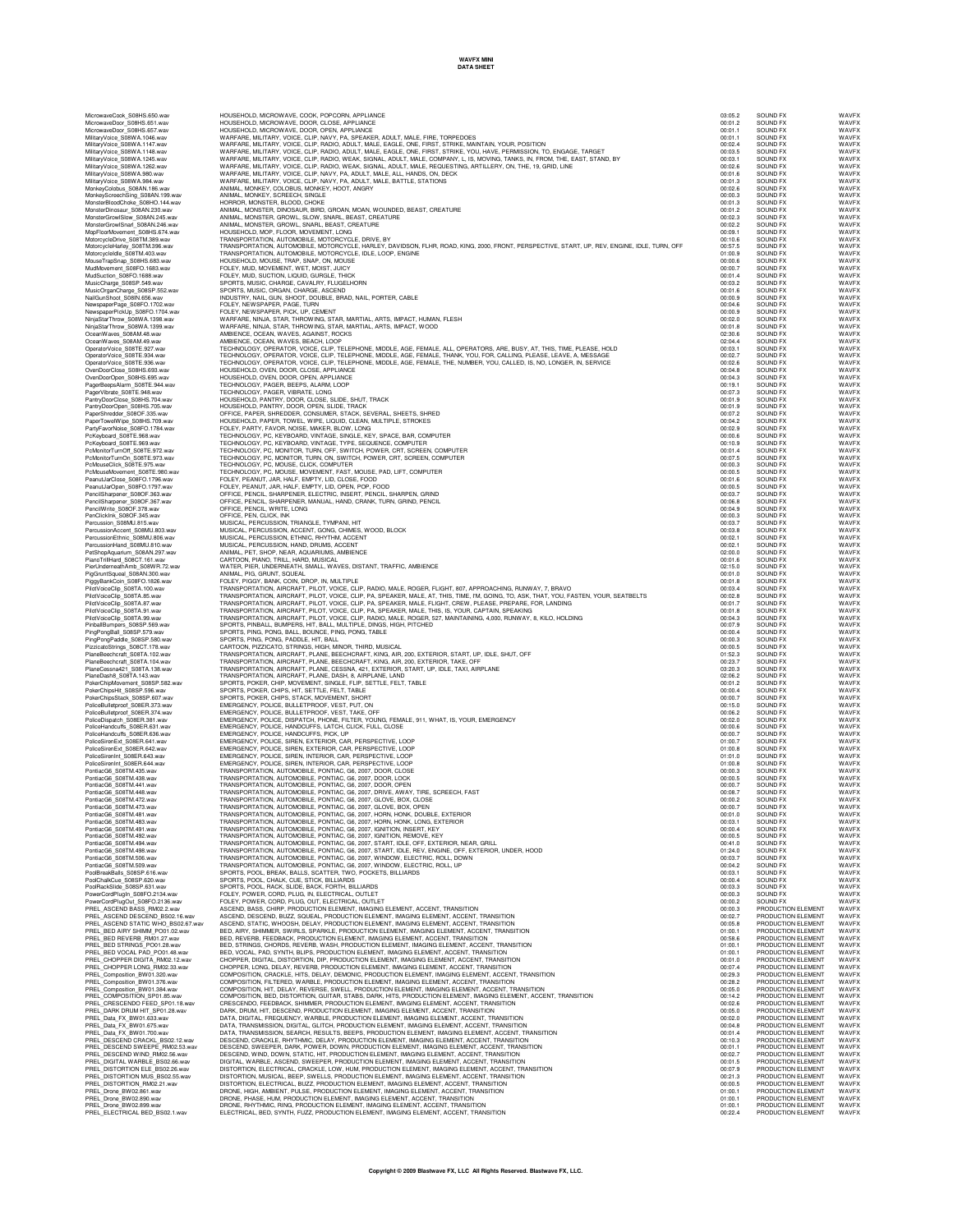MicrowaveCook\_S08HS.650.wav HOUSEHOLD, MICROWAVE, COOK, POPCORN, APPLIANCE 03:05.2 SOUND FX WAVFX MicrowaveDoor\_S08HS.651.wav HOUSEHOLD, MICROWAVE, DOOR, CLOSE, APPLIANCE 00:01.2 SOUND FX WAVFX MicrowaveDoor\_S08HS.657.wav HOUSEHOLD, MICROWAVE, DOOR, OPEN, APPLIANCE 00:01.1 SOUND FX WAVFX MilitaryVoice\_S08WA.1046.wav WARFARE, MILITARY, VOICE, CLIP, NAVY, PA, SPEAKER, ADULT, MALE, FIRE, TORPEDOES 00:01.1 SOUND FX WAVFX MilitaryVoice\_S08WA.1147.wav WARFARE, MILITARY, VOICE, CLIP, RADIO, ADULT, MALE, EAGLE, ONE, FIRST, STRIKE, MAINTAIN, YOUR, POSITION 00:02.4 SOUND FX WAVFX MilitaryVoice\_S08WA.1148.wav WARFARE, MILITARY, VOICE, CLIP, RADIO, ADULT, MALE, EAGLE, ONE, FIRST, STRIKE, YOU, HAVE, PERMISSION, TO, ENGAGE, TARGET 00:03.5 SOUND FX WAVFX MilitaryVoice\_S08WA.1245.wav WARFARE, MILITARY, VOICE, CLIP, RADIO, WEAK, SIGNAL, ADULT, MALE, COMPANY, L, IS, MOVING, TANKS, IN, FROM, THE, EAST, STAND, BY 00:03.1 SOUND FX WAVFX MilitaryVoice\_S08WA.1262.wav WARFARE, MILITARY, VOICE, CLIP, RADIO, WEAK, SIGNAL, ADULT, MALE, REQUESTING, ARTILLERY, ON, THE, 19, GRID, LINE 00:02.6 SOUND FX WAVFX MilitaryVoice\_S08WA.980.wav WARFARE, MILITARY, VOICE, CLIP, NAVY, PA, ADULT, MALE, ALL, HANDS, ON, DECK 00:01.6 SOUND FX WAVFX MilitaryVoice\_S08WA.984.wav WARFARE, MILITARY, VOICE, CLIP, NAVY, PA, ADULT, MALE, BATTLE, STATIONS 00:01.3 SOUND FX WAVFX MonkeyColobus\_S08AN.186.wav ANIMAL, MONKEY, COLOBUS, MONKEY, HOOT, ANGRY 00:02.6 SOUND FX WAVFX MonkeyScreechSing\_S08AN.199.wav ANIMAL, MONKEY, SCREECH, SINGLE 00:00.3 SOUND FX WAVFX MonsterBloodChoke\_S08HO.144.wav HORROR, MONSTER, BLOOD, CHOKE 00:01.3 SOUND FX WAVFX MonsterDinosaur\_S08AN.230.wav ANIMAL, MONSTER, DINOSAUR, BIRD, GROAN, MOAN, WOUNDED, BEAST, CREATURE 00:01.2 SOUND FX WAVFX MonsterGrowlSlow\_S08AN.245.wav ANIMAL, MONSTER, GROWL, SLOW, SNARL, BEAST, CREATURE 00:02.3 SOUND FX WAVFX MonsterGrowlSnarl\_S08AN.246.wav ANIMAL, MONSTER, GROWL, SNARL, BEAST, CREATURE 00:02.2 SOUND FX WAVFX MopFloorMovement\_S08HS.674.wav HOUSEHOLD, MOP, FLOOR, MOVEMENT, LONG 00:09.1 SOUND FX WAVFX MotorcycleDrive\_S08TM.389.wav TRANSPORTATION, AUTOMOBILE, MOTORCYCLE, DRIVE, BY 00:10.6 SOUND FX WAVFX MotorcycleHarley\_S08TM.396.wav TRANSPORTATION, AUTOMOBILE, MOTORCYCLE, HARLEY, DAVIDSON, FLHR, ROAD, KING, 2000, FRONT, PERSPECTIVE, START, UP, REV, ENGINE, IDLE, TURN, OFF 00:57.5 SOUND FX WAVFX MotorcycleIdle\_S08TM.403.wav TRANSPORTATION, AUTOMOBILE, MOTORCYCLE, IDLE, LOOP, ENGINE 01:00.9 SOUND FX WAVFX MouseTrapSnap\_S08HS.683.wav HOUSEHOLD, MOUSE, TRAP, SNAP, ON, MOUSE 00:00.6 SOUND FX WAVFX MudMovement\_S08FO.1683.wav FOLEY, MUD, MOVEMENT, WET, MOIST, JUICY 00:00.7 SOUND FX WAVFX MudSuction\_S08FO.1688.wav FOLEY, MUD, SUCTION, LIQUID, GURGLE, THICK 00:01.4 SOUND FX WAVFX MusicCharge\_S08SP.549.wav SPORTS, MUSIC, CHARGE, CAVALRY, FLUGELHORN 00:03.2 SOUND FX WAVFX MusicOrganCharge\_S08SP.552.wav SPORTS, MUSIC, ORGAN, CHARGE, ASCEND 00:01.6 SOUND FX WAVFX NailGunShoot\_S08IN.656.wav INDUSTRY, NAIL, GUN, SHOOT, DOUBLE, BRAD, NAIL, PORTER, CABLE 00:00.9 SOUND FX WAVFX NewspaperPage\_S08FO.1702.wav FOLEY, NEWSPAPER, PAGE, TURN 00:04.6 SOUND FX WAVFX NewspaperPickUp\_S08FO.1704.wav FOLEY, NEWSPAPER, PICK, UP, CEMENT 00:00.9 SOUND FX WAVFX NinjaStarThrow\_S08WA.1398.wav WARFARE, NINJA, STAR, THROWING, STAR, MARTIAL, ARTS, IMPACT, HUMAN, FLESH 00:02.0 SOUND FX WAVFX NinjaStarThrow\_S08WA.1399.wav WARFARE, NINJA, STAR, THROWING, STAR, MARTIAL, ARTS, IMPACT, WOOD 00:01.8 SOUND FX WAVFX OceanWaves\_S08AM.48.wav AMBIENCE, OCEAN, WAVES, AGAINST, ROCKS 02:30.6 SOUND FX WAVFX OceanWaves\_S08AM.49.wav AMBIENCE, OCEAN, WAVES, BEACH, LOOP 02:04.4 SOUND FX WAVFX OperatorVoice\_S08TE.927.wav TECHNOLOGY, OPERATOR, VOICE, CLIP, TELEPHONE, MIDDLE, AGE, FEMALE, ALL, OPERATORS, ARE, BUSY, AT, THIS, TIME, PLEASE, HOLD 00:03.1 SOUND FX WAVFX OperatorVoice\_S08TE.934.wav TECHNOLOGY, OPERATOR, VOICE, CLIP, TELEPHONE, MIDDLE, AGE, FEMALE, THANK, YOU, FOR, CALLING, PLEASE, LEAVE, A, MESSAGE 00:02.7 SOUND FX WAVFX OperatorVoice\_S08TE.936.wav TECHNOLOGY, OPERATOR, VOICE, CLIP, TELEPHONE, MIDDLE, AGE, FEMALE, THE, NUMBER, YOU, CALLED, IS, NO, LONGER, IN, SERVICE 00:02.6 SOUND FX WAVFX OvenDoorClose\_S08HS.693.wav HOUSEHOLD, OVEN, DOOR, CLOSE, APPLIANCE 00:04.8 SOUND FX WAVFX OvenDoorOpen\_S08HS.695.wav HOUSEHOLD, OVEN, DOOR, OPEN, APPLIANCE 00:04.3 SOUND FX WAVFX PagerBeepsAlarm\_S08TE.944.wav TECHNOLOGY, PAGER, BEEPS, ALARM, LOOP 00:19.1 SOUND FX WAVFX PagerVibrate\_S08TE.948.wav TECHNOLOGY, PAGER, VIBRATE, LONG 00:07.3 SOUND FX WAVFX PantryDoorClose\_S08HS.704.wav HOUSEHOLD, PANTRY, DOOR, CLOSE, SLIDE, SHUT, TRACK 00:01.9 SOUND FX WAVFX PantryDoorOpen\_S08HS.705.wav HOUSEHOLD, PANTRY, DOOR, OPEN, SLIDE, TRACK 00:01.9 SOUND FX WAVFX PaperShredder\_S08OF.335.wav OFFICE, PAPER, SHREDDER, CONSUMER, STACK, SEVERAL, SHEETS, SHRED 00:07.2 SOUND FX WAVFX PaperTowelWipe\_S08HS.709.wav HOUSEHOLD, PAPER, TOWEL, WIPE, LIQUID, CLEAN, MULTIPLE, STROKES 00:04.2 SOUND FX WAVFX PartyFavorNoise\_S08FO.1784.wav FOLEY, PARTY, FAVOR, NOISE, MAKER, BLOW, LONG 00:02.9 SOUND FX WAVFX PcKeyboard\_S08TE.968.wav TECHNOLOGY, PC, KEYBOARD, VINTAGE, SINGLE, KEY, SPACE, BAR, COMPUTER 00:00.6 SOUND FX WAVFX PcKeyboard\_S08TE.969.wav TECHNOLOGY, PC, KEYBOARD, VINTAGE, TYPE, SEQUENCE, COMPUTER 00:10.9 SOUND FX WAVFX PcMonitorTurnOff\_S08TE.972.wav TECHNOLOGY, PC, MONITOR, TURN, OFF, SWITCH, POWER, CRT, SCREEN, COMPUTER 00:01.4 SOUND FX WAVFX PcMonitorTurnOn\_S08TE.973.wav TECHNOLOGY, PC, MONITOR, TURN, ON, SWITCH, POWER, CRT, SCREEN, COMPUTER 00:07.5 SOUND FX WAVFX PcMouseClick\_S08TE.975.wav TECHNOLOGY, PC, MOUSE, CLICK, COMPUTER 00:00.3 SOUND FX WAVFX PcMouseMovement\_S08TE.980.wav TECHNOLOGY, PC, MOUSE, MOVEMENT, FAST, MOUSE, PAD, LIFT, COMPUTER 00:00.5 SOUND FX WAVFX PeanutJarClose\_S08FO.1796.wav FOLEY, PEANUT, JAR, HALF, EMPTY, LID, CLOSE, FOOD 00:01.6 SOUND FX WAVFX PeanutJarOpen\_S08FO.1797.wav FOLEY, PEANUT, JAR, HALF, EMPTY, LID, OPEN, POP, FOOD 00:00.5 SOUND FX WAVFX PencilSharpener\_S08OF.363.wav OFFICE, PENCIL, SHARPENER, ELECTRIC, INSERT, PENCIL, SHARPEN, GRIND 00:03.7 SOUND FX WAVFX PencilSharpener\_S08OF.367.wav OFFICE, PENCIL, SHARPENER, MANUAL, HAND, CRANK, TURN, GRIND, PENCIL 00:06.8 SOUND FX WAVFX PencilWrite\_S08OF.378.wav OFFICE, PENCIL, WRITE, LONG 00:04.9 SOUND FX WAVFX PenClickInk\_S08OF.345.wav OFFICE, PEN, CLICK, INK 00:00.3 SOUND FX WAVFX Percussion\_S08MU.815.wav MUSICAL, PERCUSSION, TRIANGLE, TYMPANI, HIT 00:03.7 SOUND FX WAVFX PercussionAccent\_S08MU.803.wav MUSICAL, PERCUSSION, ACCENT, GONG, CHIMES, WOOD, BLOCK 00:03.8 SOUND FX WAVFX PercussionEthnic\_S08MU.806.wav MUSICAL, PERCUSSION, ETHNIC, RHYTHM, ACCENT 00:02.1 SOUND FX WAVFX PercussionHand\_S08MU.810.wav MUSICAL, PERCUSSION, HAND, DRUMS, ACCENT 00:02.1 SOUND FX WAVFX PetShopAquarium\_S08AN.297.wav ANIMAL, PET, SHOP, NEAR, AQUARIUMS, AMBIENCE 02:00.0 SOUND FX WAVFX PlanoTrillHard\_S08CT.161.wav CARTOON, PIANO, TRILL, HARD, MUSICAL<br>PierUndemeathAmp\_S020WR.72.wav WATER, PIER, UNDERNEATH, SMALL, WAVES, DISTANT, TRAFFIC, AMBIENCE<br>PigGrundSqueal\_S08AN.300.wav ANIMAL, PIG, GRUNT, SQUEAL WAV PigyBankGoin, S96PO.1926. HOLEY, PIGY, BANK, COIN, DROP, IN, MULTIPLE, DROP, INCHERENT, BOTHONG, INCHERENT, INCHERENT AND THANSPORTATION, AIRCRAFT, PILOT, VICIE, CLP, RADIO, MALE, ROGER, FLIGHT, 807, APPROACHING, RUNWAY, 7 PlaneBeechrand, Data May TRANSPORTATION, AIRCRAFT, PLANE, BEECHCRAFT, KING, AIR, ARE, ARE, AND THE UPPER THE S<br>PlaneBeechrand, SOSTA 104.wav TRANSPORTATION, AIRCRAFT, PLANE, BEECHCRAFT, KING, AIR, 200, EXTERIOR, TAKE, OFF<br> PokeChiphologne.com Special Special Special Special Special Special Special Special Construction of the Special Special Special Special Special Special Special Special Special Special Special Special Special Special Specia PoliceBulletproof\_S08ER.374.wav EMERGENCY, POLICE, BULLETPROOF, VEST, TAKE, OFF 00:06.2 SOUND FX WAVFX PoliceDispatch\_S08ER.381.wav EMERGENCY, POLICE, DISPATCH, PHONE, FILTER, YOUNG, FEMALE, 911, WHAT, IS, YOUR, EMERGENCY 00:02.0 SOUND FX WAVFX PoliceHandcuffs\_S08ER.631.wav EMERGENCY, POLICE, HANDCUFFS, LATCH, CLICK, FULL, CLOSE 00:00.6 SOUND FX WAVFX PoliceHandcuffs\_S08ER.636.wav EMERGENCY, POLICE, HANDCUFFS, PICK, UP 00:00.7 SOUND FX WAVFX PoliceSirenExt\_S08ER.641.wav EMERGENCY, POLICE, SIREN, EXTERIOR, CAR, PERSPECTIVE, LOOP 01:00.7 SOUND FX WAVFX PoliceSirenExt\_S08ER.642.wav EMERGENCY, POLICE, SIREN, EXTERIOR, CAR, PERSPECTIVE, LOOP 01:00.8 SOUND FX WAVFX PoliceSirenInt\_S08ER.643.wav EMERGENCY, POLICE, SIREN, INTERIOR, CAR, PERSPECTIVE, LOOP 01:01.0 SOUND FX WAVFX PoliceSirenInt\_S08ER.644.wav EMERGENCY, POLICE, SIREN, INTERIOR, CAR, PERSPECTIVE, LOOP 01:00.8 SOUND FX WAVFX PontiacG6\_S08TM.435.wav TRANSPORTATION, AUTOMOBILE, PONTIAC, G6, 2007, DOOR, CLOSE 00:00.3 SOUND FX WAVFX PontiacG6\_S08TM.438.wav TRANSPORTATION, AUTOMOBILE, PONTIAC, G6, 2007, DOOR, LOCK 00:00.5 SOUND FX WAVFX PontiacG6\_S08TM.441.wav TRANSPORTATION, AUTOMOBILE, PONTIAC, G6, 2007, DOOR, OPEN 00:00.7 SOUND FX WAVFX PontiacG6\_S08TM.448.wav TRANSPORTATION, AUTOMOBILE, PONTIAC, G6, 2007, DRIVE, AWAY, TIRE, SCREECH, FAST 00:08.7 SOUND FX WAVFX PontiacG6\_S08TM.472.wav TRANSPORTATION, AUTOMOBILE, PONTIAC, G6, 2007, GLOVE, BOX, CLOSE 00:00.2 SOUND FX WAVFX PontiacG6\_S08TM.473.wav TRANSPORTATION, AUTOMOBILE, PONTIAC, G6, 2007, GLOVE, BOX, OPEN 00:00.7 SOUND FX WAVFX PontiacG6\_S08TM.481.wav TRANSPORTATION, AUTOMOBILE, PONTIAC, G6, 2007, HORN, HONK, DOUBLE, EXTERIOR 00:01.0 SOUND FX WAVFX PontiacG6\_S08TM.483.wav TRANSPORTATION, AUTOMOBILE, PONTIAC, G6, 2007, HORN, HONK, LONG, EXTERIOR 00:03.1 SOUND FX WAVFX PontiacG6\_S08TM.491.wav TRANSPORTATION, AUTOMOBILE, PONTIAC, G6, 2007, IGNITION, INSERT, KEY 00:00.4 SOUND FX WAVFX PontiacG6\_S08TM.492.wav TRANSPORTATION, AUTOMOBILE, PONTIAC, G6, 2007, IGNITION, REMOVE, KEY 00:00.5 SOUND FX WAVFX PontiacG6\_S08TM.494.wav TRANSPORTATION, AUTOMOBILE, PONTIAC, G6, 2007, START, IDLE, OFF, EXTERIOR, NEAR, GRILL 00:41.0 SOUND FX WAVFX PontiacG6\_S08TM.498.wav TRANSPORTATION, AUTOMOBILE, PONTIAC, G6, 2007, START, IDLE, REV, ENGINE, OFF, EXTERIOR, UNDER, HOOD 01:24.0 SOUND FX WAVFX PontiacG6\_S08TM.506.wav TRANSPORTATION, AUTOMOBILE, PONTIAC, G6, 2007, WINDOW, ELECTRIC, ROLL, DOWN 00:03.7 SOUND FX WAVFX PontiacG6\_S08TM.509.wav TRANSPORTATION, AUTOMOBILE, PONTIAC, G6, 2007, WINDOW, ELECTRIC, ROLL, UP 00:04.2 SOUND FX WAVFX PoolBreakBalls\_S08SP.616.wav SPORTS, POOL, BREAK, BALLS, SCATTER, TWO, POCKETS, BILLIARDS 00:03.1 SOUND FX WAVFX PoolChalkCue\_S08SP.620.wav SPORTS, POOL, CHALK, CUE, STICK, BILLIARDS 00:00.4 SOUND FX WAVFX PoolRackSlide\_S08SP.631.wav SPORTS, POOL, RACK, SLIDE, BACK, FORTH, BILLIARDS 00:03.3 SOUND FX WAVFX PowerCordPlugIn\_S08FO.2134.wav FOLEY, POWER, CORD, PLUG, IN, ELECTRICAL, OUTLET 00:00.3 SOUND FX WAVFX PowerCordPlugOut\_S08FO.2136.wav FOLEY, POWER, CORD, PLUG, OUT, ELECTRICAL, OUTLET 00:00.2 SOUND FX WAVFX PREL\_ASCEND BASS\_RM02.2.wav ASCEND, BASS, CHIRP, PRODUCTION ELEMENT, IMAGING ELEMENT, ACCENT, TRANSITION 00:00.3 PRODUCTION ELEMENT WAVFX PREL\_ASCEND DESCEND\_BS02.16.wav ASCEND, DESCEND, BUZZ, SQUEAL, PRODUCTION ELEMENT, IMAGING ELEMENT, ACCENT, TRANSITION 00:02.7 PRODUCTION ELEMENT WAVFX PREL\_ASCEND STATIC WHO\_BS02.67.wav ASCEND, STATIC, WHOOSH, DELAY, PRODUCTION ELEMENT, IMAGING ELEMENT, ACCENT, TRANSITION 00:05.8 PRODUCTION ELEMENT WAVFX PREL\_BED AIRY SHIMM\_PO01.02.wav BED, AIRY, SHIMMER, SWIRLS, SPARKLE, PRODUCTION ELEMENT, IMAGING ELEMENT, ACCENT, TRANSITION 01:00.1 PRODUCTION ELEMENT WAVFX PREL\_BED REVERB\_RM01.27.wav BED, REVERB, FEEDBACK, PRODUCTION ELEMENT, IMAGING ELEMENT, ACCENT, TRANSITION 00:58.6 PRODUCTION ELEMENT WAVFX PREL\_BED STRINGS\_PO01.28.wav BED, STRINGS, CHORDS, REVERB, WASH, PRODUCTION ELEMENT, IMAGING ELEMENT, ACCENT, TRANSITION 01:00.1 PRODUCTION ELEMENT WAVFX PREL\_BED VOCAL PAD\_PO01.48.wav BED, VOCAL, PAD, SYNTH, BLIPS, PRODUCTION ELEMENT, IMAGING ELEMENT, ACCENT, TRANSITION 01:00.1 PRODUCTION ELEMENT WAVFX PREL\_CHOPPER DIGITA\_RM02.12.wav CHOPPER, DIGITAL, DISTORTION, DIP, PRODUCTION ELEMENT, IMAGING ELEMENT, ACCENT, TRANSITION 00:01.0 PRODUCTION ELEMENT WAVFX PREL\_CHOPPER LONG\_RM02.33.wav CHOPPER, LONG, DELAY, REVERB, PRODUCTION ELEMENT, IMAGING ELEMENT, ACCENT, TRANSITION 00:07.4 PRODUCTION ELEMENT WAVFX PREL\_Composition\_BW01.320.wav COMPOSITION, CRACKLE, HITS, DELAY, DEMONIC, PRODUCTION ELEMENT, IMAGING ELEMENT, ACCENT, TRANSITION 00:29.3 PRODUCTION ELEMENT WAVFX PREL\_Composition\_BW01.376.wav COMPOSITION, FILTERED, WARBLE, PRODUCTION ELEMENT, IMAGING ELEMENT, ACCENT, TRANSITION 00:28.2 PRODUCTION ELEMENT WAVFX PREL\_Composition\_BW01.384.wav COMPOSITION, HIT, DELAY, REVERSE, SWELL, PRODUCTION ELEMENT, IMAGING ELEMENT, ACCENT, TRANSITION 00:05.0 PRODUCTION ELEMENT WAVFX PREL\_COMPOSITION\_SP01.85.wav COMPOSITION, BED, DISTORTION, GUITAR, STABS, DARK, HITS, PRODUCTION ELEMENT, IMAGING ELEMENT, ACCENT, TRANSITION 00:14.2 PRODUCTION ELEMENT WAVFX PREL\_CRESCENDO FEED\_SP01.18.wav CRESCENDO, FEEDBACK, SHIMMER, PRODUCTION ELEMENT, IMAGING ELEMENT, ACCENT, TRANSITION 00:02.6 PRODUCTION ELEMENT WAVFX PREL\_DARK DRUM HIT\_SP01.28.wav DARK, DRUM, HIT, DESCEND, PRODUCTION ELEMENT, IMAGING ELEMENT, ACCENT, TRANSITION 00:05.0 PRODUCTION ELEMENT WAVFX PREL\_Data\_FX\_BW01.633.wav DATA, DIGITAL, FREQUENCY, WARBLE, PRODUCTION ELEMENT, IMAGING ELEMENT, ACCENT, TRANSITION 00:02.0 PRODUCTION ELEMENT WAVFX PREL\_Data\_FX\_BW01.675.wav DATA, TRANSMISSION, DIGITAL, GLITCH, PRODUCTION ELEMENT, IMAGING ELEMENT, ACCENT, TRANSITION 00:04.8 PRODUCTION ELEMENT WAVFX PREL\_Data\_FX\_BW01.700.wav DATA, TRANSMISSION, SEARCH, RESULTS, BEEPS, PRODUCTION ELEMENT, IMAGING ELEMENT, ACCENT, TRANSITION 00:01.4 PRODUCTION ELEMENT WAVFX PREL\_DESCEND CRACKL\_BS02.12.wav DESCEND, CRACKLE, RHYTHMIC, DELAY, PRODUCTION ELEMENT, IMAGING ELEMENT, ACCENT, TRANSITION 00:10.3 PRODUCTION ELEMENT WAVFX PREL\_DESCEND SWEEPE\_RM02.53.wav DESCEND, SWEEPER, DARK, POWER, DOWN, PRODUCTION ELEMENT, IMAGING ELEMENT, ACCENT, TRANSITION 00:01.1 PRODUCTION ELEMENT WAVFX PREL\_DESCEND WIND\_RM02.56.wav DESCEND, WIND, DOWN, STATIC, HIT, PRODUCTION ELEMENT, IMAGING ELEMENT, ACCENT, TRANSITION 00:02.7 PRODUCTION ELEMENT WAVFX PREL\_DIGITAL WARBLE\_BS02.66.wav DIGITAL, WARBLE, ASCEND, SWEEPER, PRODUCTION ELEMENT, IMAGING ELEMENT, ACCENT, TRANSITION 00:01.5 PRODUCTION ELEMENT WAVFX PREL\_DISTORTION ELE\_BS02.26.wav DISTORTION, ELECTRICAL, CRACKLE, LOW, HUM, PRODUCTION ELEMENT, IMAGING ELEMENT, ACCENT, TRANSITION 00:07.9 PRODUCTION ELEMENT WAVFX PREL\_DISTORTION MUS\_BS02.55.wav DISTORTION, MUSICAL, BEEP, SWELLS, PRODUCTION ELEMENT, IMAGING ELEMENT, ACCENT, TRANSITION 00:21.3 PRODUCTION ELEMENT WAVFX PREL\_DISTORTION\_RM02.21.wav DISTORTION, ELECTRICAL, BUZZ, PRODUCTION ELEMENT, IMAGING ELEMENT, ACCENT, TRANSITION 00:00.5 PRODUCTION ELEMENT WAVFX PREL\_Drone\_BW02.861.wav DRONE, HIGH, AMBIENT, PULSE, PRODUCTION ELEMENT, IMAGING ELEMENT, ACCENT, TRANSITION 01:00.1 PRODUCTION ELEMENT WAVFX PREL\_Drone\_BW02.890.wav DRONE, PHASE, HUM, PRODUCTION ELEMENT, IMAGING ELEMENT, ACCENT, TRANSITION 01:00.1 PRODUCTION ELEMENT WAVFX PREL\_Drone\_BW02.899.wav DRONE, RHYTHMIC, RING, PRODUCTION ELEMENT, IMAGING ELEMENT, ACCENT, TRANSITION 01:00.1 PRODUCTION ELEMENT WAVFX PREL\_ELECTRICAL BED\_BS02.1.wav ELECTRICAL, BED, SYNTH, FUZZ, PRODUCTION ELEMENT, IMAGING ELEMENT, ACCENT, TRANSITION 00:22.4 PRODUCTION ELEMENT WAVFX

**Copyright © 2009 Blastwave FX, LLC All Rights Reserved. Blastwave FX, LLC.**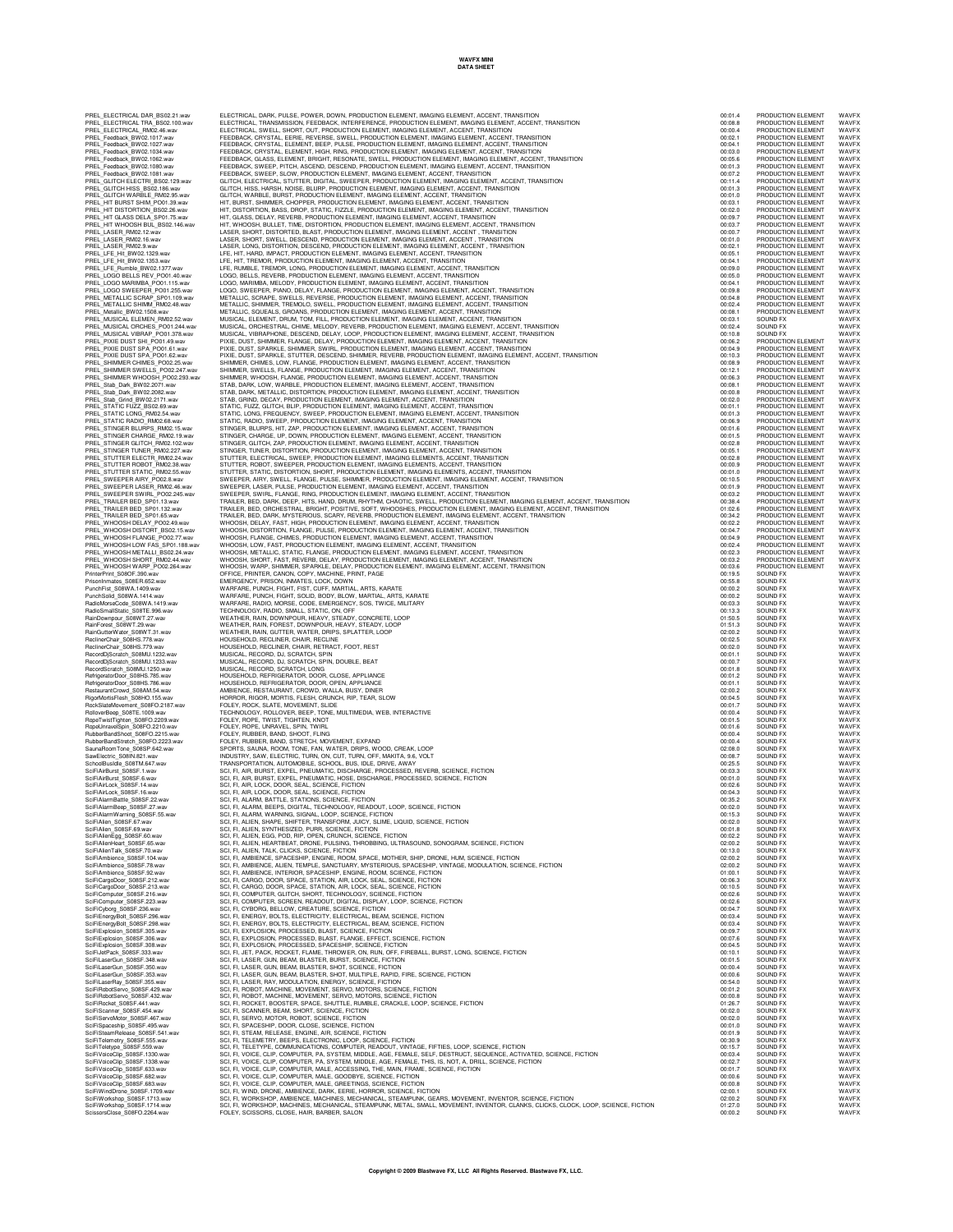**WAVFX MINI DATA SHEET**

| PREL_ELECTRICAL DAR_BS02.21.wav<br>PREL_ELECTRICAL TRA_BS02.100.wa<br>PREL_ELECTRICAL_RM02.46.wav<br>BS02.100.wav                                                                                                                                                                                                    |
|----------------------------------------------------------------------------------------------------------------------------------------------------------------------------------------------------------------------------------------------------------------------------------------------------------------------|
|                                                                                                                                                                                                                                                                                                                      |
| PREL_ELECTRICAL<br>RM02.46.wav                                                                                                                                                                                                                                                                                       |
|                                                                                                                                                                                                                                                                                                                      |
| PREL_Feedback_BW02.1017.wav<br>PREL_Feedback_BW02.1027.wav<br>PDEL_Feedback_BW02.1024.usv                                                                                                                                                                                                                            |
| PREL_Feedback_BW02.1034.wav<br>PREL_Feedback_BW02.1062.wav<br>PREL_Feedback_BW02.1080.wav<br>PREL_Feedback_BW02.1081.wav<br>REL_Feedback_BW02.1081.wav                                                                                                                                                               |
|                                                                                                                                                                                                                                                                                                                      |
|                                                                                                                                                                                                                                                                                                                      |
| PREL_Feedback_DWOL.TOC<br>PREL_GLITCH ELECTRI_BS02.129.wav<br>TREL_GLITCH LIFE RS02.186 Wav                                                                                                                                                                                                                          |
| PREL_GLITCH HISS_BS02.186.wav<br>PREL_GLITCH WARBLE_RM02.95.wav<br>PREL_HIT BURST SHIM_PO01.39.wav<br>PREL_HIT DISTORTION_BS02.26.wav<br>PREL_HIT DISTORTION_BS02.26.wav                                                                                                                                             |
|                                                                                                                                                                                                                                                                                                                      |
|                                                                                                                                                                                                                                                                                                                      |
| PREL_HIT GLASS DELA_SP01.75.wav<br>PREL_HIT WHOOSH BUL_BS02.146.w                                                                                                                                                                                                                                                    |
| BS02.146.wav                                                                                                                                                                                                                                                                                                         |
| PREL_LASER_RM02.12.wav<br>PREL_LASER_RM02.16.wav                                                                                                                                                                                                                                                                     |
| PREL_LASER_RM02.9.wav<br>PREL_LFE_Hit_BW02.1329.wav<br>PREL_LFE_Hit_BW02.1353.wav<br>PREL_LFE_Rumble_BW02.1377.wav<br>PREL_LOGO BELLS REV_PO01.145.w<br>PREL_LOGO MARIMRA_PO01.145.w                                                                                                                                 |
|                                                                                                                                                                                                                                                                                                                      |
|                                                                                                                                                                                                                                                                                                                      |
| PO01.40.wav                                                                                                                                                                                                                                                                                                          |
| PREL_LOGO MARIMBA_PO01.115.wav<br>PREL_LOGO SWEEPER_PO01.255.wav                                                                                                                                                                                                                                                     |
|                                                                                                                                                                                                                                                                                                                      |
| PREL_METALLIC SCRAP_SP01.109.wav<br>PREL_METALLIC SHIMM_RM02.48.wav                                                                                                                                                                                                                                                  |
|                                                                                                                                                                                                                                                                                                                      |
| PREL_Metallic_BW02.1508.wa<br>PREL_MISIGAL ELEMEN_RM02.52.wav<br>PREL_MUSICAL ELEMEN_RM02.52.wav<br>PREL_MUSICAL ORCHES_PO01.324.wav<br>PREL_PIXIE DUST SHI_PO01.49.wav<br>PREL_PIXIE DUST SPA_PO01.62.wav<br>PREL_PIXIE DUST SPA_PO01.61.wav<br>PREL_PIXIE DUST SPA_PO01.62.w                                       |
|                                                                                                                                                                                                                                                                                                                      |
|                                                                                                                                                                                                                                                                                                                      |
|                                                                                                                                                                                                                                                                                                                      |
|                                                                                                                                                                                                                                                                                                                      |
|                                                                                                                                                                                                                                                                                                                      |
| THEL PIXIT DUST SPA PO01.62.wav<br>PREL_SHIMMER CHIMES_PO02.25.wav<br>PREL_SHIMMER SWELLS_PO02.247.wav<br>PREL_SHIMMER WHOOSH_PO02.293.wav<br>PREL_SHIMMER WHOOSH_PO02.293.wav<br>PREL_SHIMMER WHOOSH_PO02.293.wav                                                                                                   |
|                                                                                                                                                                                                                                                                                                                      |
| PREL_Stab_Dark_BW02.2071.wav<br>PREL_Stab_Dark_BW02.2082.wav<br>PREL_Stab_Grind_BW02.2082.wav<br>PREL_STATIC FUZZ_BS02.69.wav                                                                                                                                                                                        |
|                                                                                                                                                                                                                                                                                                                      |
|                                                                                                                                                                                                                                                                                                                      |
| PREL_STATIC LONG_RM02.54.wav<br>PREL_STATIC RADIO_RM02.68.wav                                                                                                                                                                                                                                                        |
|                                                                                                                                                                                                                                                                                                                      |
|                                                                                                                                                                                                                                                                                                                      |
|                                                                                                                                                                                                                                                                                                                      |
| PREL_STINGER BLURPS_RM02.15.wav<br>PREL_STINGER CHARGE_RM02.15.wav<br>PREL_STINGER GLITCH_RM02.102.wav<br>PREL_STINGER TUNER_RM02.227.wav<br>PREL_STINTER ELECTR_RM02.24 wav<br>PREL_STITTER ELECTR_RM02.24 wav                                                                                                      |
|                                                                                                                                                                                                                                                                                                                      |
|                                                                                                                                                                                                                                                                                                                      |
| PREL_STUTTER ELECTRIC MODELS.<br>PREL_STUTTER ROBOT_RM02.38.wav<br>PREL_SWEEPER AIRY_PO02.88.wav<br>PREL_SWEEPER AIRY_PO02.8.wav<br>THE SWITCH STATISTING CONSUSTING STATISTICS.<br>PREL_SWEEPER LASER_RM02.46.wav<br>PREL_SWEEPER SWIRL_PO02.245.wav<br>PREL_SWEEPER SWIRL_PO02.245.wav<br>PREL_TRAILED BER_STATIST |
|                                                                                                                                                                                                                                                                                                                      |
|                                                                                                                                                                                                                                                                                                                      |
|                                                                                                                                                                                                                                                                                                                      |
|                                                                                                                                                                                                                                                                                                                      |
|                                                                                                                                                                                                                                                                                                                      |
|                                                                                                                                                                                                                                                                                                                      |
|                                                                                                                                                                                                                                                                                                                      |
| FREL_TRAILER BED_SP01.13.wav<br>PREL_TRAILER BED_SP01.13.wav<br>PREL_TRAILER BED_SP01.132.wav<br>PREL_WHOOSH DELAY_PO02.49.wav<br>PREL_WHOOSH DELAY_PO02.49.wav<br>PREL_WHOOSH FLANGE_PO02.75.wav<br>PREL_WHOOSH ICMV FAS_SP01.188.wav<br>PREL_WHOO<br>PREL<br>BS02.24.wav                                           |
| WHOOSH METALLI                                                                                                                                                                                                                                                                                                       |
| PREL_WHOOSH SHORT_RM02.44.wav<br>PREL_WHOOSH WARP_PO02.264.wav<br>PREL_WHOOSH WARP_P                                                                                                                                                                                                                                 |
|                                                                                                                                                                                                                                                                                                                      |
|                                                                                                                                                                                                                                                                                                                      |
| PrisonInmates_S08ER.652.wav<br>PunchFist_S08WA.1409.wav<br>PunchSolid_S08WA.1414.wav<br>RadioMorseCode_S08WA.1419.wav                                                                                                                                                                                                |
|                                                                                                                                                                                                                                                                                                                      |
| RadioSmallStatic_S08TE.996.wav                                                                                                                                                                                                                                                                                       |
|                                                                                                                                                                                                                                                                                                                      |
| RainDownpour<br>S08WT.27.wav                                                                                                                                                                                                                                                                                         |
|                                                                                                                                                                                                                                                                                                                      |
| RainForest_S08WT.29.wav<br>RainGutterWater_S08WT.31.wav                                                                                                                                                                                                                                                              |
| ReclinerChair_S08HS.778.wav<br>S08HS.779.wav<br>ReclinerChair                                                                                                                                                                                                                                                        |
| RecordDjScratch_S08MU.1232.wa                                                                                                                                                                                                                                                                                        |
|                                                                                                                                                                                                                                                                                                                      |
| RecordDjScratch_S08MU.1233.wav<br>RecordScratch_S08MU.1250.wav                                                                                                                                                                                                                                                       |
| RefrigeratorDoor_S08HS.785.wav<br>RefrigeratorDoor_S08HS.786.wav                                                                                                                                                                                                                                                     |
|                                                                                                                                                                                                                                                                                                                      |
| RestaurantCrowd_S08AM.54.wav<br>RigorMortisFlesh_S08HO.155.wav                                                                                                                                                                                                                                                       |
|                                                                                                                                                                                                                                                                                                                      |
| RockSlateMovement_S08FO.2187.wav<br>RolloverBeep_S08TE.1009.wav                                                                                                                                                                                                                                                      |
| S08FO.2209.wav<br>RopeTwistTighten_S08FO.2209.wa<br>RopeUnravelSpin_S08FO.2210.wav                                                                                                                                                                                                                                   |
| RubberBandShoot_S08FO.2215.wav                                                                                                                                                                                                                                                                                       |
| RubberBandStretch_S08FO.2223.wav                                                                                                                                                                                                                                                                                     |
| SaunaRoomTone<br>S08SP.642.wav                                                                                                                                                                                                                                                                                       |
| S08lN.821.wav<br>SawElectric                                                                                                                                                                                                                                                                                         |
|                                                                                                                                                                                                                                                                                                                      |
| SchoolBusIdle_S08TM.647.wav<br>SciFiAirBurst_S08SF.1.wav<br>SciFiAirBurst_S08SF.6.wav                                                                                                                                                                                                                                |
|                                                                                                                                                                                                                                                                                                                      |
| SciFiAirLock_S08SF.14.wav<br>SciFiAirLock_S08SF.14.wav                                                                                                                                                                                                                                                               |
| SciFiAlarmBattle_S08SF.22.wav<br>SciFiAlarmBeep_S08SF.27.wav                                                                                                                                                                                                                                                         |
| SciFiAlarmWarning<br>S08SF.55.wav                                                                                                                                                                                                                                                                                    |
| SciFiAlien_S08SF.67.wav                                                                                                                                                                                                                                                                                              |
| SciFiAlien<br>S08SF.69.wav<br>.60.wav<br>SciF                                                                                                                                                                                                                                                                        |
| AlienEgg_S08SF<br>SciFiAlienHeart<br>S08SF.65.wav                                                                                                                                                                                                                                                                    |
| SciFiAlienTalk_S08SF.70.wav                                                                                                                                                                                                                                                                                          |
|                                                                                                                                                                                                                                                                                                                      |
| SciFiAmbience_S08SF.104.wav<br>SciFiAmbience_S08SF.78.wav                                                                                                                                                                                                                                                            |
| SciFiAmbience_S08SF.92.wav                                                                                                                                                                                                                                                                                           |
| SciFiCargoDoor_S08SF.212.wav<br>SciFiCargoDoor<br>213.wav<br>SOBSE                                                                                                                                                                                                                                                   |
| SciFiComputer_S08SF<br>216.wav                                                                                                                                                                                                                                                                                       |
| SciFiComputer_S08SF.223.wav                                                                                                                                                                                                                                                                                          |
| SciFiCyborg_S08SF.236.wav<br>SciFiEnergyBolt_S08SF<br>296.wa                                                                                                                                                                                                                                                         |
| SciFiEnergyBolt_S08SF.298.wav                                                                                                                                                                                                                                                                                        |
|                                                                                                                                                                                                                                                                                                                      |
| SciFiExplosion_S08SF.305.wav<br>SciFiExplosion_S08SF.306.wav<br>S08SF.308.wav                                                                                                                                                                                                                                        |
| SciFiExplosion<br>SciFiJetPack_S08SF.333.wav                                                                                                                                                                                                                                                                         |
| SciFiLaserGun_S08SF.348.wav                                                                                                                                                                                                                                                                                          |
| SciFiLaserGun_S08SF.350.wav                                                                                                                                                                                                                                                                                          |
|                                                                                                                                                                                                                                                                                                                      |
| SciFiLaserGun_S08SF.353.wav<br>SciFiLaserRay_S08SF.355.wav<br>SciFiLaserRay                                                                                                                                                                                                                                          |
| SciFiRobotServo_S08SF.429.way<br>SciFiRobotServo<br>S08SF.432.wav                                                                                                                                                                                                                                                    |
| SciFiRocket_S08SF.441.wav                                                                                                                                                                                                                                                                                            |
| S08SF.454.wav<br>SciFiScanner                                                                                                                                                                                                                                                                                        |
| SciFiServoMotor<br>S08SF.467.wav                                                                                                                                                                                                                                                                                     |
| SciFiSpaceship<br>S08SF.495.wav<br>SciFiSteamRelease<br>S08SF.541.wav                                                                                                                                                                                                                                                |
| SciFiTelemetry_S08SF.555.wav                                                                                                                                                                                                                                                                                         |
| SciFiTeletype_S08SF.559.wav                                                                                                                                                                                                                                                                                          |
| SciFiVoiceClip_S08SF.1330.wav                                                                                                                                                                                                                                                                                        |
|                                                                                                                                                                                                                                                                                                                      |
| SciFiVoiceClip_S08SF.1338.wav<br>SciFiVoiceClip_S08SF.633.wav<br>iVoiceClip_S08SF.682.wav<br>SciF                                                                                                                                                                                                                    |
| SciFiVoiceClip<br>S08SF.683.wav                                                                                                                                                                                                                                                                                      |
| SciFiWindDrone<br>S08SF.1709.way<br>SciFiWorkshop_S08SF.1713.wav<br>SciFiWorkshop_S08SF.1714.wav                                                                                                                                                                                                                     |

PREL\_ELECTRICAL DAR\_BSO221.wav ELECTRICAL, DARK, PULSE, POWER, POUCLY ON THE READER ENGENT, AND THE RANSTICAL TRANSITION ON THE READERT WAVER THE READERT WAVER THE READERT WAVER THE READERT WAVER A STREADERT WAVER A STREAD PREL\_ELECTRICAL\_PM02.46.wav ELECTRICAL\_, SWELL, SHORT, CUT, PRODUCTION ELEMENT, MAGING ELEMENT, TRANSITON<br>PREL\_Feedback\_BW02.107.wav FEEDBACK, CRYSTAL, EERIE: REVERSE, SWELL, PRODUCTION ELEMENT, MAGING ELEMENT, MAGING<br>PREL PREL\_Feedback\_BW02.1080.wav FEEDBACK, SWEEP, PITCH, ASCEND, DESCEND, PRODUCTION ELEMENT, IMAGING ELEMENT, ACCENT, TRANSITION 00:01.3 PRODUCTION ELEMENT WAVFX PREL\_Feedback\_BW02.1081.wav FEEDBACK, SWEEP, SLOW, PRODUCTION ELEMENT, IMAGING ELEMENT, ACCENT, TRANSITION 00:07.2 PRODUCTION ELEMENT WAVFX PREL\_GLITCH ELECTRI\_BS02.129.wav GLITCH, ELECTRICAL, STUTTER, DIGITAL, SWEEPER, PRODUCTION ELEMENT, IMAGING ELEMENT, ACCENT, TRANSITION 00:11.4 PRODUCTION ELEMENT WAVFX PREL\_GLITCH HISS\_BS02.186.wav GLITCH, HISS, HARSH, NOISE, BLURP, PRODUCTION ELEMENT, IMAGING ELEMENT, ACCENT, TRANSITION 00:01.3 PRODUCTION ELEMENT WAVFX PREL\_GLITCH WARBLE\_RM02.95.wav GLITCH, WARBLE, BURST, PRODUCTION ELEMENT, IMAGING ELEMENT, ACCENT, TRANSITION 00:01.0 PRODUCTION ELEMENT WAVFX PREL\_HIT BURST SHIM\_PO01.39.wav HIT, BURST, SHIMMER, CHOPPER, PRODUCTION ELEMENT, IMAGING ELEMENT, ACCENT, TRANSITION 00:03.1 PRODUCTION ELEMENT WAVFX PREL\_HIT DISTORTION\_BS02.26.wav HIT, DISTORTION, BASS, DROP, STATIC, FIZZLE, PRODUCTION ELEMENT, IMAGING ELEMENT, ACCENT, TRANSITION 00:02.0 PRODUCTION ELEMENT WAVFX PREL\_HIT GLASS DELA\_SP01.75.wav HIT, GLASS, DELAY, REVERB, PRODUCTION ELEMENT, IMAGING ELEMENT, ACCENT, TRANSITION 00:09.7 PRODUCTION ELEMENT WAVFX PREL\_HIT WHOOSH BUL\_BS02.146.wav HIT, WHOOSH, BULLET, TIME, DISTORTION, PRODUCTION ELEMENT, IMAGING ELEMENT, ACCENT, TRANSITION 00:03.7 PRODUCTION ELEMENT WAVFX PREL\_LASER\_RM02.12.wav LASER, SHORT, DISTORTED, BLAST, PRODUCTION ELEMENT, IMAGING ELEMENT, ACCENT , TRANSITION 00:00.7 PRODUCTION ELEMENT WAVFX PREL\_LASER\_RM02.16.wav LASER, SHORT, SWELL, DESCEND, PRODUCTION ELEMENT, IMAGING ELEMENT, ACCENT , TRANSITION 00:01.0 PRODUCTION ELEMENT WAVFX PREL\_LASER\_RM02.9.wav LASER, LONG, DISTORTION, DESCEND, PRODUCTION ELEMENT, IMAGING ELEMENT, ACCENT , TRANSITION 00:02.1 PRODUCTION ELEMENT WAVFX PREL\_LFE\_Hit\_BW02.1329.wav LFE, HIT, HARD, IMPACT, PRODUCTION ELEMENT, IMAGING ELEMENT, ACCENT, TRANSITION 00:05.1 PRODUCTION ELEMENT WAVFX PREL\_LFE\_Hit\_BW02.1353.wav LFE, HIT, TREMOR, PRODUCTION ELEMENT, IMAGING ELEMENT, ACCENT, TRANSITION 00:04.1 PRODUCTION ELEMENT WAVFX PREL\_LFE\_Rumble\_BW02.1377.wav LFE, RUMBLE, TREMOR, LONG, PRODUCTION ELEMENT, IMAGING ELEMENT, ACCENT, TRANSITION 00:09.0 PRODUCTION ELEMENT WAVFX PREL\_LOGO BELLS REV\_PO01.40.wav LOGO, BELLS, REVERB, PRODUCTION ELEMENT, IMAGING ELEMENT, ACCENT, TRANSITION 00:05.0 PRODUCTION ELEMENT WAVFX PREL\_LOGO MARIMBA\_PO01.115.wav LOGO, MARIMBA, MELODY, PRODUCTION ELEMENT, IMAGING ELEMENT, ACCENT, TRANSITION 00:04.1 PRODUCTION ELEMENT WAVFX PREL\_LOGO SWEEPER\_PO01.255.wav LOGO, SWEEPER, PIANO, DELAY, FLANGE, PRODUCTION ELEMENT, IMAGING ELEMENT, ACCENT, TRANSITION 00:09.8 PRODUCTION ELEMENT WAVFX PREL\_METALLIC SCRAP\_SP01.109.wav METALLIC, SCRAPE, SWELLS, REVERSE, PRODUCTION ELEMENT, IMAGING ELEMENT, ACCENT, TRANSITION 00:04.8 PRODUCTION ELEMENT WAVFX PREL\_METALLIC SHIMM\_RM02.48.wav METALLIC, SHIMMER, TREMOLO, SWELL, PRODUCTION ELEMENT, IMAGING ELEMENT, ACCENT, TRANSITION 00:02.4 PRODUCTION ELEMENT WAVFX PREL\_Metallic\_BW02.1508.wav METALLIC, SQUEALS, GROANS, PRODUCTION ELEMENT, IMAGING ELEMENT, ACCENT, TRANSITION 00:08.1 PRODUCTION ELEMENT WAVFX PREL\_MUSICAL ELEMEN\_RM02.52.wav MUSICAL, ELEMENT, DRUM, TOM, FILL, PRODUCTION ELEMENT, IMAGING ELEMENT, ACCENT, TRANSITION 00:03.1 SOUND FX WAVFX PREL\_MUSICAL ORCHES\_PO01.244.wav MUSICAL, ORCHESTRAL, CHIME, MELODY, REVERB, PRODUCTION ELEMENT, IMAGING ELEMENT, ACCENT, TRANSITION 00:02.4 SOUND FX WAVFX PREL\_MUSICAL VIBRAP\_PO01.378.wav MUSICAL, VIBRAPHONE, DESCEND, DELAY, LOOP, PRODUCTION ELEMENT, IMAGING ELEMENT, ACCENT, TRANSITION 00:10.8 SOUND FX WAVFX PREL\_PIXIE DUST SHI\_PO01.49.wav PIXIE, DUST, SHIMMER, FLANGE, DELAY, PRODUCTION ELEMENT, IMAGING ELEMENT, ACCENT, TRANSITION 00:06.2 PRODUCTION ELEMENT WAVFX PREL\_PIXIE DUST SPA\_PO01.61.wav PIXIE, DUST, SPARKLE, SHIMMER, SWIRL, PRODUCTION ELEMENT, IMAGING ELEMENT, ACCENT, TRANSITION 00:04.9 PRODUCTION ELEMENT WAVFX PREL\_PIXIE DUST SPA\_PO01.62.wav PIXIE, DUST, SPARKLE, STUTTER, DESCEND, SHIMMER, REVERB, PRODUCTION ELEMENT, IMAGING ELEMENT, ACCENT, TRANSITION 00:10.3 PRODUCTION ELEMENT WAVFX PREL\_SHIMMER CHIMES\_PO02.25.wav SHIMMER, CHIMES, LOW, FLANGE, PRODUCTION ELEMENT, IMAGING ELEMENT, ACCENT, TRANSITION 00:08.9 PRODUCTION ELEMENT WAVFX PREL\_SHIMMER SWELLS\_PO02.247.wav SHIMMER, SWELLS, FLANGE, PRODUCTION ELEMENT, IMAGING ELEMENT, ACCENT, TRANSITION 00:12.1 PRODUCTION ELEMENT WAVFX PREL\_SHIMMER WHOOSH\_PO02.293.wav SHIMMER, WHOOSH, FLANGE, PRODUCTION ELEMENT, IMAGING ELEMENT, ACCENT, TRANSITION 00:06.3 PRODUCTION ELEMENT WAVFX PREL\_Stab\_Dark\_BW02.2071.wav STAB, DARK, LOW, WARBLE, PRODUCTION ELEMENT, IMAGING ELEMENT, ACCENT, TRANSITION 00:08.1 PRODUCTION ELEMENT WAVFX PREL\_Stab\_Dark\_BW02.2082.wav STAB, DARK, METALLIC, DISTORTION, PRODUCTION ELEMENT, IMAGING ELEMENT, ACCENT, TRANSITION 00:00.8 PRODUCTION ELEMENT WAVFX PREL\_Stab\_Grind\_BW02.2171.wav STAB, GRIND, DECAY, PRODUCTION ELEMENT, IMAGING ELEMENT, ACCENT, TRANSITION 00:02.0 PRODUCTION ELEMENT WAVFX PREL\_STATIC FUZZ\_BS02.69.wav STATIC, FUZZ, GLITCH, BLIP, PRODUCTION ELEMENT, IMAGING ELEMENT, ACCENT, TRANSITION 00:01.1 PRODUCTION ELEMENT WAVFX PREL\_STATIC LONG\_RM02.54.wav STATIC, LONG, FREQUENCY, SWEEP, PRODUCTION ELEMENT, IMAGING ELEMENT, ACCENT, TRANSITION 00:01.3 PRODUCTION ELEMENT WAVFX PREL\_STATIC RADIO\_RM02.68.wav STATIC, RADIO, SWEEP, PRODUCTION ELEMENT, IMAGING ELEMENT, ACCENT, TRANSITION 00:06.9 PRODUCTION ELEMENT WAVFX PREL\_STINGER BLURPS\_RM02.15.wav STINGER, BLURPS, HIT, ZAP, PRODUCTION ELEMENT, IMAGING ELEMENT, ACCENT, TRANSITION 00:01.6 PRODUCTION ELEMENT WAVFX PREL\_STINGER CHARGE\_RM02.19.wav STINGER, CHARGE, UP, DOWN, PRODUCTION ELEMENT, IMAGING ELEMENT, ACCENT, TRANSITION 00:01.5 PRODUCTION ELEMENT WAVFX PREL\_STINGER GLITCH\_RM02.102.wav STINGER, GLITCH, ZAP, PRODUCTION ELEMENT, IMAGING ELEMENT, ACCENT, TRANSITION 00:02.8 PRODUCTION ELEMENT WAVFX PREL\_STINGER TUNER\_RM02.227.wav STINGER, TUNER, DISTORTION, PRODUCTION ELEMENT, IMAGING ELEMENT, ACCENT, TRANSITION 00:05.1 PRODUCTION ELEMENT WAVFX PREL\_STUTTER ELECTR\_RM02.24.wav STUTTER, ELECTRICAL, SWEEP, PRODUCTION ELEMENT, IMAGING ELEMENTS, ACCENT, TRANSITION 00:02.8 PRODUCTION ELEMENT WAVFX PREL\_STUTTER ROBOT\_RM02.38.wav STUTTER, ROBOT, SWEEPER, PRODUCTION ELEMENT, IMAGING ELEMENTS, ACCENT, TRANSITION 00:00.9 PRODUCTION ELEMENT WAVFX PREL\_STUTTER STATIC\_RM02.55.wav STUTTER, STATIC, DISTORTION, SHORT, PRODUCTION ELEMENT, IMAGING ELEMENTS, ACCENT, TRANSITION 00:01.0 PRODUCTION ELEMENT WAVFX PREL\_SWEEPER AIRY\_PO02.8.wav SWEEPER, AIRY, SWELL, FLANGE, PULSE, SHIMMER, PRODUCTION ELEMENT, IMAGING ELEMENT, ACCENT, TRANSITION 00:10.5 PRODUCTION ELEMENT WAVFX PREL\_SWEEPER LASER\_RM02.46.wav SWEEPER, LASER, PULSE, PRODUCTION ELEMENT, IMAGING ELEMENT, ACCENT, TRANSITION 00:01.9 PRODUCTION ELEMENT WAVFX PREL\_SWEEPER SWIRL\_PO02.245.wav SWEEPER, SWIRL, FLANGE, RING, PRODUCTION ELEMENT, IMAGING ELEMENT, ACCENT, TRANSITION 00:03.2 PRODUCTION ELEMENT WAVFX PREL\_TRAILER BED\_SP01.13.wav TRAILER, BED, DARK, DEEP, HITS, HAND, DRUM, RHYTHM, CHAOTIC, SWELL, PRODUCTION ELEMENT, IMAGING ELEMENT, ACCENT, TRANSITION 00:38.4 PRODUCTION ELEMENT WAVFX PREL\_TRAILER BED\_SP01.132.wav TRAILER, BED, ORCHESTRAL, BRIGHT, POSITIVE, SOFT, WHOOSHES, PRODUCTION ELEMENT, IMAGING ELEMENT, ACCENT, TRANSITION 01:02.6 PRODUCTION ELEMENT WAVFX PREL\_TRAILER BED\_SP01.65.wav TRAILER, BED, DARK, MYSTERIOUS, SCARY, REVERB, PRODUCTION ELEMENT, IMAGING ELEMENT, ACCENT, TRANSITION 00:34.2 PRODUCTION ELEMENT WAVFX PREL\_WHOOSH DELAY\_PO02.49.wav WHOOSH, DELAY, FAST, HIGH, PRODUCTION ELEMENT, IMAGING ELEMENT, ACCENT, TRANSITION 00:02.2 PRODUCTION ELEMENT WAVFX PREL\_WHOOSH DISTORT\_BS02.15.wav WHOOSH, DISTORTION, FLANGE, PULSE, PRODUCTION ELEMENT, IMAGING ELEMENT, ACCENT, TRANSITION 00:04.7 PRODUCTION ELEMENT WAVFX PREL\_WHOOSH FLANGE\_PO02.77.wav WHOOSH, FLANGE, CHIMES, PRODUCTION ELEMENT, IMAGING ELEMENT, ACCENT, TRANSITION 00:04.9 PRODUCTION ELEMENT WAVFX PREL\_WHOOSH LOW FAS\_SP01.188.wav WHOOSH, LOW, FAST, PRODUCTION ELEMENT, IMAGING ELEMENT, ACCENT, TRANSITION 00:02.4 PRODUCTION ELEMENT WAVFX PREL\_WHOOSH METALLI\_BS02.24.wav WHOOSH, METALLIC, STATIC, FLANGE, PRODUCTION ELEMENT, IMAGING ELEMENT, ACCENT, TRANSITION 00:02.3 PRODUCTION ELEMENT WAVFX PREL\_WHOOSH SHORT\_RM02.44.wav WHOOSH, SHORT, FAST, REVERB, DELAY, PRODUCTION ELEMENT, IMAGING ELEMENT, ACCENT, TRANSITION 00:03.2 PRODUCTION ELEMENT WAVFX PREL\_WHOOSH WARP\_PO02.264.wav WHOOSH, WARP, SHIMMER, SPARKLE, DELAY, PRODUCTION ELEMENT, IMAGING ELEMENT, ACCENT, TRANSITION 00:03.6 PRODUCTION ELEMENT WAVFX PrinterPrint\_S08OF.390.wav OFFICE, PRINTER, CANON, COPY, MACHINE, PRINT, PAGE 00:19.5 SOUND FX WAVFX PrisonInmates\_S08ER.652.wav EMERGENCY, PRISON, INMATES, LOCK, DOWN 00:55.8 SOUND FX WAVFX PunchFist\_S08WA.1409.wav WARFARE, PUNCH, FIGHT, FIST, CUFF, MARTIAL, ARTS, KARATE 00:00.2 SOUND FX WAVFX PunchSolid\_S08WA.1414.wav WARFARE, PUNCH, FIGHT, SOLID, BODY, BLOW, MARTIAL, ARTS, KARATE 00:00.2 SOUND FX WAVFX RadioMorseCode\_S08WA.1419.wav WARFARE, RADIO, MORSE, CODE, EMERGENCY, SOS, TWICE, MILITARY 00:03.3 SOUND FX WAVFX RadioSmallStatic\_S08TE.996.wav TECHNOLOGY, RADIO, SMALL, STATIC, ON, OFF 00:13.3 SOUND FX WAVFX Rain Download March (March March March March March March March March March March 1999) (1999) (1999) (1999) (1<br>RainForest\_508WT.23/wav WEATHER, RAIN, FONNEY, DRIVER, WAREN, DRIVER, INCONNERT INCONNERT (1999) (1999) (1 Record)Scenario.com/internal materials.com/internal materials.com/internal materials.com/internal materials.com/internal materials.com/internal materials.com/internal materials.com/internal materials.com/internal materials RefrigeratorDoor\_S08HS.786.wav HOUSEHOLD, REFRIGERATOR, DOOR, OPEN, APPLIANCE<br>Restaurant/Cowd\_S08AM.54.wav AMBIENCE, RESTAURANT, CROWD, WALLA, BUS, DING, DING, INC. INC. INC. INC. INC<br>RigorMontsFlesh\_S08HO.155.wa **ENGINEERING WAS AN ABSOLUTE THE REPORT OF A SERVICE PROPERTY OF A SERVICE PROPERTY OF A SERVICE PROPERTY AND A<br>CONFIDENTIAL AND CONFIDENTIAL CONFIDENTIAL CONFIDENTIAL CONFIDENTIAL CONFIDENTIAL CONFIDENTIAL CONFIDENTIAL C**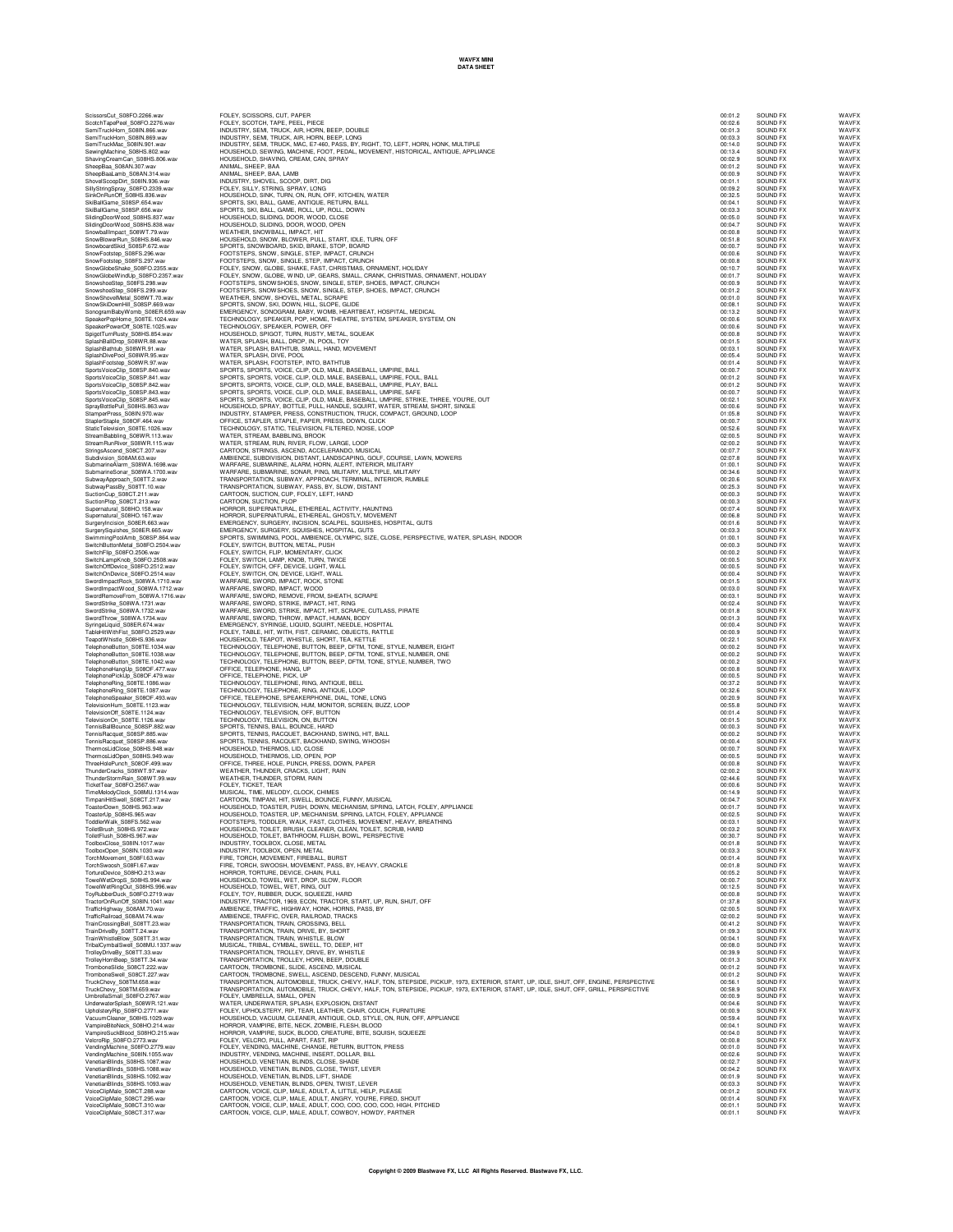## **WAVFX MINI DATA SHEET**

| ScissorsCut<br>ScissorsCut_S08FO.2266.wav<br>ScotchTapePeel_S08FO.2276.wav                                                                                                                                                                          |
|-----------------------------------------------------------------------------------------------------------------------------------------------------------------------------------------------------------------------------------------------------|
|                                                                                                                                                                                                                                                     |
| SemiTruckHorn_S08IN.866.wav<br>SemiTruckHorn_S08IN.869.wav                                                                                                                                                                                          |
| SemiTruckMac_S08IN.901.wav<br>SewingMachine_S08HS.802.w                                                                                                                                                                                             |
|                                                                                                                                                                                                                                                     |
| ShavingCreamCan_508HS.806.wav<br>SheepBaa_508AN.307.wav<br>SheepBaaLamb_508AN.314.wav                                                                                                                                                               |
|                                                                                                                                                                                                                                                     |
| ShovelScoopDirt_S08IN.936.wav                                                                                                                                                                                                                       |
| SillyStringSpray_S08FO.2339.w<br>SinkOnRunOff_S08HS.836.wav<br>2339.wav                                                                                                                                                                             |
|                                                                                                                                                                                                                                                     |
| SkiBallGame_S08SP.654.wav<br>SkiBallGame_S08SP.656.wav                                                                                                                                                                                              |
| SlidingDoorWood_S08HS.837.wav<br>SlidingDoorWood_S08HS.838.wav                                                                                                                                                                                      |
|                                                                                                                                                                                                                                                     |
| Shungbook Web 2008 November 2009                                                                                                                                                                                                                    |
|                                                                                                                                                                                                                                                     |
| SnowboardSkid_S08SP.672.wa<br>SnowFootstep_S08FS.296.wav                                                                                                                                                                                            |
| SnowFootstep_S08FS.297.wav                                                                                                                                                                                                                          |
| SnowGlobeShake_S08FO.2355.wav                                                                                                                                                                                                                       |
| SnowGlobeWindUp_S08FO.2357.wav                                                                                                                                                                                                                      |
| SnowshoeStep_S08FS.298.wav                                                                                                                                                                                                                          |
|                                                                                                                                                                                                                                                     |
| SnowShovelMetal_S08WT.70.wav<br>SnowSkiDownHill_S08SP.669.wav                                                                                                                                                                                       |
| SonogramBabyWomb<br>mb_S08ER.659.wav<br>S08TE.1024.wav                                                                                                                                                                                              |
| SpeakerPopHome_                                                                                                                                                                                                                                     |
|                                                                                                                                                                                                                                                     |
| SpeakerPowerOff_S08TE.1025.wav<br>SpigotTurnRusty_S08HS.854.wav<br>SplashBallDrop_S08WR.88.wav<br>Spigot I um<br>SplashBallDrop_S08W n.oo<br>SplashBalthub_S08W R.91.wav-                                                                           |
|                                                                                                                                                                                                                                                     |
| SplashDivePool_S08WR.95.wav<br>SplashFootstep_S08WR.97.wav                                                                                                                                                                                          |
|                                                                                                                                                                                                                                                     |
| SportsVoiceClip_S08SP.840.wav<br>SportsVoiceClip_S08SP.841.wav                                                                                                                                                                                      |
| SportsVoiceClip_<br>S08SP.842.wav                                                                                                                                                                                                                   |
| SportsVoiceClip_S08SP.843.wav                                                                                                                                                                                                                       |
| S08SP.845.wav<br>SportsVoiceClip_S08SP.845.wav<br>SprayBottlePull_S08HS.863.wav                                                                                                                                                                     |
|                                                                                                                                                                                                                                                     |
| StamperPress_S08IN.970.wav<br>StaplerStaple_S08OF.464.wav                                                                                                                                                                                           |
| StaticTelevision_S08TE.1026.wav<br>StreamBabbling_S08WR.113.wav                                                                                                                                                                                     |
|                                                                                                                                                                                                                                                     |
| StreamRunRiver_S08WR.115.wav<br>StringsAscend_S08CT.207.wav                                                                                                                                                                                         |
| Subdivision_S08AM.63.wav                                                                                                                                                                                                                            |
| SubmarineAlarm_S08WA.1698.wav<br>SubmarineSonar_S08WA.1700.wav                                                                                                                                                                                      |
|                                                                                                                                                                                                                                                     |
| SubwayApproach_S08TT.2.wav<br>SubwayPassBy_S08TT.10.wav                                                                                                                                                                                             |
| SubwayPassBy                                                                                                                                                                                                                                        |
| SuctionCup_S08CT.211.wav<br>SuctionPlop_S08CT.213.wav                                                                                                                                                                                               |
| Supernatural_S08HO.158.wav<br>Supernatural_S08HO.167.wav                                                                                                                                                                                            |
|                                                                                                                                                                                                                                                     |
| SurgeryIncision_S08ER.663.wav<br>SurgerySquishes_S08ER.665.wav                                                                                                                                                                                      |
|                                                                                                                                                                                                                                                     |
| SwimmingPoolAmb_S08SP.864.wav<br>SwimmingPoolAmb_S08SP.864.wav<br>SwitchFlip_S08FO.2506.wav<br>SwitchLampKnob_S08FO.2508.wav                                                                                                                        |
|                                                                                                                                                                                                                                                     |
|                                                                                                                                                                                                                                                     |
| SwitchOffDevice_S08FO.2512.wav<br>SwitchOnDevice_S08FO.2514.wav                                                                                                                                                                                     |
|                                                                                                                                                                                                                                                     |
| SwordImpactRock_S08WA.1710.wav<br>SwordImpactWood_S08WA.1712.wav                                                                                                                                                                                    |
| S08WA.1716.wav                                                                                                                                                                                                                                      |
| SwordRemoveFrom_S08WA.17<br>SwordStrike_S08WA.1731.wav                                                                                                                                                                                              |
|                                                                                                                                                                                                                                                     |
| SwordStrike_S08WA.1732.wav                                                                                                                                                                                                                          |
| S08WA.1734.wav<br>SwordThrow                                                                                                                                                                                                                        |
|                                                                                                                                                                                                                                                     |
|                                                                                                                                                                                                                                                     |
| SyringeLiquid_S08ER.674.wav<br>TableHitWithFist_S08FO.2529.wav<br>TeapotWhistle_S08HS.936.wav                                                                                                                                                       |
|                                                                                                                                                                                                                                                     |
|                                                                                                                                                                                                                                                     |
| TelephoneButton_S08TE.1034.wav<br>TelephoneButton_S08TE.1038.wav<br>TelephoneButton_S08TE.1042.wav<br>TelephoneHangUp_S08OF.477.wav                                                                                                                 |
|                                                                                                                                                                                                                                                     |
| TelephonePickUp_S08OF.479.wav<br>TelephoneRing_S08TE.1086.wav<br>TelephoneRing_S08TE.1087.wav                                                                                                                                                       |
| TelephoneSpeaker_S08OF.493.wav                                                                                                                                                                                                                      |
|                                                                                                                                                                                                                                                     |
|                                                                                                                                                                                                                                                     |
| Teleprium<br>TelevisionOff_S08TE.1123.wav<br>TelevisionOff_S08TE.1124.wav<br>TelevisionOn_S08TE.1126.wav<br>TennisBallBounce_S08SP.882.wav                                                                                                          |
|                                                                                                                                                                                                                                                     |
| TennisBallBounce_S08SP.882.v<br>TennisRacquet_S08SP.885.wav<br>TennisRacquet_S08SP.886.wav                                                                                                                                                          |
|                                                                                                                                                                                                                                                     |
|                                                                                                                                                                                                                                                     |
| ThermosLidClose_S08HS.948.wav<br>ThermosLidClose_S08HS.949.wav<br>ThreeHolePunch_S08OF.499.wav<br>ThunderCracks_S08WT.97.wav                                                                                                                        |
|                                                                                                                                                                                                                                                     |
|                                                                                                                                                                                                                                                     |
|                                                                                                                                                                                                                                                     |
|                                                                                                                                                                                                                                                     |
| ThundreTstorm Rain S08W 1.5/7.W8V<br>TicketTear_S08FO.2567.wav<br>TicketTear_S08FO.2567.wav<br>TimeMelodyClock_S08MU.1314.wav<br>TimpaniHitSwell_S08CT.217.wav<br>Tacated In: S08HS.963.wav<br>Tacated In: S08HS.963.wav<br>ToasterUp_S08HS.965.wav |
| ToddlerWalk_S08FS.562.way                                                                                                                                                                                                                           |
| ToiletBrush_S08HS.972.wav<br>ToiletFlush_S08HS.967.wav                                                                                                                                                                                              |
|                                                                                                                                                                                                                                                     |
| ToolboxClose_S08IN.1017.wav<br>ToolboxOpen_S08IN.1030.wav                                                                                                                                                                                           |
| TorchMovement<br>S08FL63 way                                                                                                                                                                                                                        |
| TorchSwoosh_S08FI.67.wav                                                                                                                                                                                                                            |
| TortureDevice_S08HO.213.way<br>TowelWetDropS<br>S08HS.994.wa                                                                                                                                                                                        |
| TowelWetRingOut_S08HS.996.wav                                                                                                                                                                                                                       |
| ToyRubberDuck_S08FO.2719.wav                                                                                                                                                                                                                        |
| TractorOnRunOff_S08IN.1041.wav                                                                                                                                                                                                                      |
| TrafficHighway_S08AM.70.wav                                                                                                                                                                                                                         |
| S08AM.74.wav<br>TrafficRailroad<br>S08TT.23.wav<br>TrainCrossingBell                                                                                                                                                                                |
| TrainDriveBy<br>S08TT.24.wav                                                                                                                                                                                                                        |
| TrainWhistleBlow_S08TT.31.wav                                                                                                                                                                                                                       |
| TribalCymbalSwell<br>S08MU.1337.wav                                                                                                                                                                                                                 |
| TrolleyDriveBy_S08TT.33.wav<br>TrolleyHornBeep                                                                                                                                                                                                      |
| p_S08TT.34.wav<br>_S08CT.222.wav<br>TromboneSlide                                                                                                                                                                                                   |
| TromboneSwell_S08CT<br>.227.wav                                                                                                                                                                                                                     |
| TruckChevy_S08TM.658.wav                                                                                                                                                                                                                            |
| TruckChevy_S08TM.659.wav<br>ImbrellaSmall S08FO.2767.way<br>Ľ                                                                                                                                                                                       |
| UnderwaterSplash<br>S08WR.121.wa                                                                                                                                                                                                                    |
| UpholsteryRip_S08FO.2771.wav                                                                                                                                                                                                                        |
| S08HS.1029.wav<br>VacuumCleaner                                                                                                                                                                                                                     |
| VampireBiteNeck                                                                                                                                                                                                                                     |
| VampireBiteNeck_S08HO.214.wav<br>VampireSuckBlood_S08HO.215.wav<br>S08FO.2773.wav<br>VelcroRip                                                                                                                                                      |
| VendingMachine_S08F0<br>0.2779.wa                                                                                                                                                                                                                   |
| VendingMachine_S08IN.1055.wa                                                                                                                                                                                                                        |
| VenetianBlinds_S08HS.1087.way                                                                                                                                                                                                                       |
| VenetianBlinds_S08HS.1088.wav                                                                                                                                                                                                                       |
| VenetianBlinds_S08HS.1092.wav<br>1093.wav                                                                                                                                                                                                           |
| VenetianBlinds_S08HS.1093.wi<br>VoiceClipMale_S08CT.288.wav<br>VoiceClipMale_S08CT.295.wav<br>VoiceClinMale_S08CT.295.wav                                                                                                                           |

ScissorsCut\_S08FO.22265.wav FOLEY, SCISSORS, CUT, PAPER<br>ScotchTapePeel\_S08FO.2276.wav FOLEY, SCOTCH, TAPE, PEEL, PIECE 00:02.6 SOUND FX WAVFX WAVFX WAVFX SemiTruckHom\_SOBN MOUSTRY, SEMI, TRUCK, AIR, HORN, BEEP, DOUBLE<br>SemiTruckHom\_SOBN.B68.wav INDUSTRY, SEMI, TRUCK, AIR, HORN, BEEP, DONG<br>SemiTruckMac\_SOBN.901.wav HOUSTRY, SEMI, TRUCK, AIR, HORN, PEEP, LONG<br>Semit SheepBaa\_S08AN.307.wav ANIMAL, SHEEP, BAA 00:01.2 SOUND FX WAVFX SheepBaaLamb\_S08AN.314.wav ANIMAL, SHEEP, BAA, LAMB 00:00.9 SOUND FX WAVFX ShovelScoopDirt\_S08IN.936.wav INDUSTRY, SHOVEL, SCOOP, DIRT, DIG 00:01.1 SOUND FX WAVFX SillyStringSpray\_S08FO.2339.wav FOLEY, SILLY, STRING, SPRAY, LONG 00:09.2 SOUND FX WAVFX SinkOnRunOff\_S08HS.836.wav HOUSEHOLD, SINK, TURN, ON, RUN, OFF, KITCHEN, WATER 00:32.5 SOUND FX WAVFX SkiBallGame\_S08SP.654.wav SPORTS, SKI, BALL, GAME, ANTIQUE, RETURN, BALL 00:04.1 SOUND FX WAVFX SkiBallGame\_S08SP.656.wav SPORTS, SKI, BALL, GAME, ROLL, UP, ROLL, DOWN 00:03.3 SOUND FX WAVFX SlidingDoorWood\_S08HS.837.wav HOUSEHOLD, SLIDING, DOOR, WOOD, CLOSE 00:05.0 SOUND FX WAVFX SlidingDoorWood\_S08HS.838.wav HOUSEHOLD, SLIDING, DOOR, WOOD, OPEN 00:04.7 SOUND FX WAVFX SnowballImpact\_S08WT.79.wav WEATHER, SNOWBALL, IMPACT, HIT 00:00.8 SOUND FX WAVFX SnowBlowerRun\_S08HS.846.wav HOUSEHOLD, SNOW, BLOWER, PULL, START, IDLE, TURN, OFF 00:51.8 SOUND FX WAVFX SnowboardSkid\_S08SP.672.wav SPORTS, SNOWBOARD, SKID, BRAKE, STOP, BOARD 00:00.7 SOUND FX WAVFX SnowFootstep\_S08FS.296.wav FOOTSTEPS, SNOW, SINGLE, STEP, IMPACT, CRUNCH 00:00.6 SOUND FX WAVFX SnowFootstep\_S08FS.297.wav FOOTSTEPS, SNOW, SINGLE, STEP, IMPACT, CRUNCH 00:00.8 SOUND FX WAVFX SnowGlobeShake\_S08FO.2355.wav FOLEY, SNOW, GLOBE, SHAKE, FAST, CHRISTMAS, ORNAMENT, HOLIDAY 00:10.7 SOUND FX WAVFX SnowGlobeWindUp\_S08FO.2357.wav FOLEY, SNOW, GLOBE, WIND, UP, GEARS, SMALL, CRANK, CHRISTMAS, ORNAMENT, HOLIDAY 00:01.7 SOUND FX WAVFX SnowshoeStep\_S08FS.298.wav FOOTSTEPS, SNOWSHOES, SNOW, SINGLE, STEP, SHOES, IMPACT, CRUNCH 00:00.9 SOUND FX WAVFX SnowshoeStep\_S08FS.299.wav FOOTSTEPS, SNOWSHOES, SNOW, SINGLE, STEP, SHOES, IMPACT, CRUNCH 00:01.2 SOUND FX WAVFX SnowShovelMetal\_S08WT.70.wav WEATHER, SNOW, SHOVEL, METAL, SCRAPE 00:01.0 SOUND FX WAVFX SnowSkiDownHill\_S08SP.669.wav SPORTS, SNOW, SKI, DOWN, HILL, SLOPE, GLIDE 00:08.1 SOUND FX WAVFX SonogramBabyWomb\_S08ER.659.wav EMERGENCY, SONOGRAM, BABY, WOMB, HEARTBEAT, HOSPITAL, MEDICAL 00:13.2 SOUND FX WAVFX SpeakerPopHome\_S08TE.1024.wav TECHNOLOGY, SPEAKER, POP, HOME, THEATRE, SYSTEM, SPEAKER, SYSTEM, ON 00:00.6 SOUND FX WAVFX SpeakerPowerOff\_S08TE.1025.wav TECHNOLOGY, SPEAKER, POWER, OFF 00:00.6 SOUND FX WAVFX SpigotTurnRusty\_S08HS.854.wav HOUSEHOLD, SPIGOT, TURN, RUSTY, METAL, SQUEAK 00:00.8 SOUND FX WAVFX SplashBallDrop\_S08WR.88.wav WATER, SPLASH, BALL, DROP, IN, POOL, TOY 00:01.5 SOUND FX WAVFX SplashBathtub\_S08WR.91.wav WATER, SPLASH, BATHTUB, SMALL, HAND, MOVEMENT 00:03.1 SOUND FX WAVFX SplashDivePool\_S08WR.95.wav WATER, SPLASH, DIVE, POOL 00:05.4 SOUND FX WAVFX SplashFootstep\_S08WR.97.wav WATER, SPLASH, FOOTSTEP, INTO, BATHTUB 00:01.4 SOUND FX WAVFX SportsVoiceClip\_S08SP.840.wav SPORTS, SPORTS, VOICE, CLIP, OLD, MALE, BASEBALL, UMPIRE, BALL 00:00.7 SOUND FX WAVFX SportsVoiceClip\_S08SP.841.wav SPORTS, SPORTS, VOICE, CLIP, OLD, MALE, BASEBALL, UMPIRE, FOUL, BALL 00:01.2 SOUND FX WAVFX SportsVoiceClip\_S08SP.842.wav SPORTS, SPORTS, VOICE, CLIP, OLD, MALE, BASEBALL, UMPIRE, PLAY, BALL 00:01.2 SOUND FX WAVFX SportsVoiceClip\_S08SP.843.wav SPORTS, SPORTS, VOICE, CLIP, OLD, MALE, BASEBALL, UMPIRE, SAFE 00:00.7 SOUND FX WAVFX SportsVoiceClip\_S08SP.845.wav SPORTS, SPORTS, VOICE, CLIP, OLD, MALE, BASEBALL, UMPIRE, STRIKE, THREE, YOU'RE, OUT 00:02.1 SOUND FX WAVFX SprayBottlePull\_S08HS.863.wav HOUSEHOLD, SPRAY, BOTTLE, PULL, HANDLE, SQUIRT, WATER, STREAM, SHORT, SINGLE 00:00.6 SOUND FX WAVFX StamperPress\_S08IN.970.wav INDUSTRY, STAMPER, PRESS, CONSTRUCTION, TRUCK, COMPACT, GROUND, LOOP 01:05.8 SOUND FX WAVFX StaplerStaple\_S08OF.464.wav OFFICE, STAPLER, STAPLE, PAPER, PRESS, DOWN, CLICK 00:00.7 SOUND FX WAVFX StaticTelevision\_S08TE.1026.wav TECHNOLOGY, STATIC, TELEVISION, FILTERED, NOISE, LOOP 00:52.6 SOUND FX WAVFX StreamBabbling\_S08WR.113.wav WATER, STREAM, BABBLING, BROOK 02:00.5 SOUND FX WAVFX StreamRunRiver\_S08WR.115.wav WATER, STREAM, RUN, RIVER, FLOW, LARGE, LOOP 02:00.2 SOUND FX WAVFX StringsAscend\_S08CT.207.wav CARTOON, STRINGS, ASCEND, ACCELERANDO, MUSICAL 00:07.7 SOUND FX WAVFX Subdivision\_S08AM.63.wav AMBIENCE, SUBDIVISION, DISTANT, LANDSCAPING, GOLF, COURSE, LAWN, MOWERS 02:07.8 SOUND FX WAVFX SubmarineAlarm\_S08WA.1698.wav WARFARE, SUBMARINE, ALARM, HORN, ALERT, INTERIOR, MILITARY 01:00.1 SOUND FX WAVFX SubmarineSonar\_S08WA.1700.wav WARFARE, SUBMARINE, SONAR, PING, MILITARY, MULTIPLE, MILITARY 00:34.6 SOUND FX WAVFX SubwayApproach\_S08TT.2.wav TRANSPORTATION, SUBWAY, APPROACH, TERMINAL, INTERIOR, RUMBLE 00:20.6 SOUND FX WAVFX SubwayPassBy\_S08TT.10.wav TRANSPORTATION, SUBWAY, PASS, BY, SLOW, DISTANT 00:25.3 SOUND FX WAVFX SuctionCup\_S08CT.211.wav CARTOON, SUCTION, CUP, FOLEY, LEFT, HAND 00:00.3 SOUND FX WAVFX SuctionPlop\_S08CT.213.wav CARTOON, SUCTION, PLOP 00:00.3 SOUND FX WAVFX Supernatural\_S08HO.158.wav HORROR, SUPERNATURAL, ETHEREAL, ACTIVITY, HAUNTING 00:07.4 SOUND FX WAVFX Supernatural\_S08HO.167.wav HORROR, SUPERNATURAL, ETHEREAL, GHOSTLY, MOVEMENT 00:06.8 SOUND FX WAVFX SurgeryIncision\_S08ER.663.wav EMERGENCY, SURGERY, INCISION, SCALPEL, SQUISHES, HOSPITAL, GUTS 00:01.6 SOUND FX WAVFX SurgerySquishes\_S08ER.665.wav EMERGENCY, SURGERY, SQUISHES, HOSPITAL, GUTS 00:03.3 SOUND FX WAVFX SwimmingPoolAmb\_S08SP.864.wav SPORTS, SWIMMING, POOL, AMBIENCE, OLYMPIC, SIZE, CLOSE, PERSPECTIVE, WATER, SPLASH, INDOOR 01:00.1 SOUND FX WAVFX SwitchButtonMetal\_S08FO.2504.wav FOLEY, SWITCH, BUTTON, METAL, PUSH 00:00.3 SOUND FX WAVFX SwitchFlip\_S08FO.2506.wav FOLEY, SWITCH, FLIP, MOMENTARY, CLICK 00:00.2 SOUND FX WAVFX SwitchLampKnob\_S08FO.2508.wav FOLEY, SWITCH, LAMP, KNOB, TURN, TWICE 00:00.5 SOUND FX WAVFX SwitchOffDevice\_S08FO.2512.wav FOLEY, SWITCH, OFF, DEVICE, LIGHT, WALL 00:00.5 SOUND FX WAVFX SwitchOnDevice\_S08FO.2514.wav FOLEY, SWITCH, ON, DEVICE, LIGHT, WALL 00:00.4 SOUND FX WAVFX SwordImpactRock\_S08WA.1710.wav WARFARE, SWORD, IMPACT, ROCK, STONE 00:01.5 SOUND FX WAVFX SwordunpastWood\_508WA.172.wav WARFARE,SWORD,MPART,WOOD<br>SwordSmaceWood\_508WA.172.wav WARFARE,SWORD,REMOVE,FROM,SHEATH,SCRAPE<br>SwordSmace State Warrell Warrell (WARFARE,SWORD,STRIKE,MPACT,HT,RING<br>SwordSmace SOBWA.1731.wav WA SwordThrow\_S00WA.1734.wav = Wan-FarmE, Sword, Throw, Marcotter, Hundard, Booth of Marcotter, 2001.30 and the Marco<br>TableHWMH5ial\_S08FO.2529.wav = EOLEY, TABLE, HIT, WITH, ISIT, CERAMIC, OBJECTS, RATTLE<br>TableHWMH5ial\_S08FO TelephoneButlan\_S08TE.1038.wav TECHNOLOGY, TELEPHONE, BUTTON, BEEP, DFTM, TONE, STYLE, NUMBER, ONE (MORE, NORT<br>TelephoneButlan\_S08TE.1042.wav TECHNOLOGY, TELEPHONE, BUTTON, BEEP, DFTM, TONE, STYLE, NUMBER, TWO<br>TelephonePar TelephoneRing\_S08TE.1086.wav TECHNOLOGY, TELEPHONE, RING, ANTIQUE, BELL<br>TelephoneRing\_S08TE.1087.wav TECHNOLOGY, TELEPHONE, RING, ANTIQUE, LOOP<br>TelephoneSpeaker\_S000F.493.wav OFFICE, TELEPHONE, SPEAKERPHONE, D TelevisionHum\_S08TE.1123.wav TECHNOLOGY, TELEVISION, HUM, MONITOR, SCREEN, BUZZ, LOOP 00:55.8 SOUND FX WAVFX TelevisionOff\_S08TE.1124.wav TECHNOLOGY, TELEVISION, OFF, BUTTON 00:01.4 SOUND FX WAVFX TelevisionOn\_S08TE.1126.wav TECHNOLOGY, TELEVISION, ON, BUTTON 00:01.5 SOUND FX WAVFX TennisBallBounce\_S08SP.882.wav SPORTS, TENNIS, BALL, BOUNCE, HARD 00:00.3 SOUND FX WAVFX TennisRacquet\_S08SP.885.wav SPORTS, TENNIS, RACQUET, BACKHAND, SWING, HIT, BALL 00:00.2 SOUND FX WAVFX TennisRacquet\_S08SP.886.wav SPORTS, TENNIS, RACQUET, BACKHAND, SWING, WHOOSH 00:00.4 SOUND FX WAVFX ThermosLidClose\_S08HS.948.wav HOUSEHOLD, THERMOS, LID, CLOSE 00:00.7 SOUND FX WAVFX ThermosLidOpen\_S08HS.949.wav HOUSEHOLD, THERMOS, LID, OPEN, POP 00:00.5 SOUND FX WAVFX ThreeHolePunch\_S08OF.499.wav OFFICE, THREE, HOLE, PUNCH, PRESS, DOWN, PAPER 00:00.8 SOUND FX WAVFX ThunderCracks\_S08WT.97.wav WEATHER, THUNDER, CRACKS, LIGHT, RAIN 02:00.2 SOUND FX WAVFX ThunderStormRain\_S08WT.99.wav WEATHER, THUNDER, STORM, RAIN 02:44.6 SOUND FX WAVFX TicketTear\_S08FO.2567.wav FOLEY, TICKET, TEAR 00:00.6 SOUND FX WAVFX TimeMelodyClock\_S08MU.1314.wav MUSICAL, TIME, MELODY, CLOCK, CHIMES 00:14.9 SOUND FX WAVFX TimpaniHitSwell\_S08CT.217.wav CARTOON, TIMPANI, HIT, SWELL, BOUNCE, FUNNY, MUSICAL 00:04.7 SOUND FX WAVFX ToasterDown\_S08HS.963.wav HOUSEHOLD, TOASTER, PUSH, DOWN, MECHANISM, SPRING, LATCH, FOLEY, APPLIANCE 00:01.7 SOUND FX WAVFX ToasterUp\_S08HS.965.wav HOUSEHOLD, TOASTER, UP, MECHANISM, SPRING, LATCH, FOLEY, APPLIANCE 00:02.5 SOUND FX WAVFX ToddlerWalk\_S08FS.562.wav FOOTSTEPS, TODDLER, WALK, FAST, CLOTHES, MOVEMENT, HEAVY, BREATHING 00:03.1 SOUND FX WAVFX ToiletBrush\_S08HS.972.wav HOUSEHOLD, TOILET, BRUSH, CLEANER, CLEAN, TOILET, SCRUB, HARD 00:03.2 SOUND FX WAVFX ToiletFlush\_S08HS.967.wav HOUSEHOLD, TOILET, BATHROOM, FLUSH, BOWL, PERSPECTIVE 00:30.7 SOUND FX WAVFX ToolboxClose\_S08IN.1017.wav INDUSTRY, TOOLBOX, CLOSE, METAL 00:01.8 SOUND FX WAVFX ToolboxOpen\_S08IN.1030.wav INDUSTRY, TOOLBOX, OPEN, METAL 00:03.3 SOUND FX WAVFX TorchMovement\_S08FI.63.wav FIRE, TORCH, MOVEMENT, FIREBALL, BURST 00:01.4 SOUND FX WAVFX TorchSwoosh\_S08FI.67.wav FIRE, TORCH, SWOOSH, MOVEMENT, PASS, BY, HEAVY, CRACKLE 00:01.8 SOUND FX WAVFX TortureDevice\_S08HO.213.wav HORROR, TORTURE, DEVICE, CHAIN, PULL 00:05.2 SOUND FX WAVFX TowelWetDropS\_S08HS.994.wav HOUSEHOLD, TOWEL, WET, DROP, SLOW, FLOOR 00:00.7 SOUND FX WAVFX TowelWetRingOut\_S08HS.996.wav HOUSEHOLD, TOWEL, WET, RING, OUT 00:12.5 SOUND FX WAVFX ToyRubberDuck\_S08FO.2719.wav FOLEY, TOY, RUBBER, DUCK, SQUEEZE, HARD 00:00.8 SOUND FX WAVFX TractorOnRunOff\_S08IN.1041.wav INDUSTRY, TRACTOR, 1969, ECON, TRACTOR, START, UP, RUN, SHUT, OFF 01:37.8 SOUND FX WAVFX TrafficHighway\_S08AM.70.wav AMBIENCE, TRAFFIC, HIGHWAY, HONK, HORNS, PASS, BY 02:00.5 SOUND FX WAVFX TrafficRailroad\_S08AM.74.wav AMBIENCE, TRAFFIC, OVER, RAILROAD, TRACKS 02:00.2 SOUND FX WAVFX TrainCrossingBell\_S08TT.23.wav TRANSPORTATION, TRAIN, CROSSING, BELL 00:41.2 SOUND FX WAVFX TrainDriveBy\_S08TT.24.wav TRANSPORTATION, TRAIN, DRIVE, BY, SHORT 01:09.3 SOUND FX WAVFX TrainWhistleBlow\_S08TT.31.wav TRANSPORTATION, TRAIN, WHISTLE, BLOW 00:04.1 SOUND FX WAVFX TribalCymbalSwell\_S08MU.1337.wav MUSICAL, TRIBAL, CYMBAL, SWELL, TO, DEEP, HIT 00:08.0 SOUND FX WAVFX TrolleyDriveBy\_S08TT.33.wav TRANSPORTATION, TROLLEY, DRIVE, BY, WHISTLE 00:39.9 SOUND FX WAVFX TrolleyHornBeep\_S08TT.34.wav TRANSPORTATION, TROLLEY, HORN, BEEP, DOUBLE 00:01.3 SOUND FX WAVFX TromboneSlide\_S08CT.222.wav CARTOON, TROMBONE, SLIDE, ASCEND, MUSICAL 00:01.2 SOUND FX WAVFX TromboneSwell\_S08CT.227.wav CARTOON, TROMBONE, SWELL, ASCEND, DESCEND, FUNNY, MUSICAL 00:01.2 SOUND FX WAVFX TruckChevy\_S08TM.658.wav TRANSPORTATION, AUTOMOBILE, TRUCK, CHEVY, HALF, TON, STEPSIDE, PICKUP, 1973, EXTERIOR, START, UP, IDLE, SHUT, OFF, ENGINE, PERSPECTIVE 00:56.1 SOUND FX WAVFX TruckChevy\_S08TM.659.wav TRANSPORTATION, AUTOMOBILE, TRUCK, CHEVY, HALF, TON, STEPSIDE, PICKUP, 1973, EXTERIOR, START, UP, IDLE, SHUT, OFF, GRILL, PERSPECTIVE 00:58.9 SOUND FX WAVFX UmbrellaSmall\_S08FO.2767.wav FOLEY, UMBRELLA, SMALL, OPEN 00:00.9 SOUND FX WAVFX UnderwaterSplash\_S08WR.121.wav WATER, UNDERWATER, SPLASH, EXPLOSION, DISTANT 00:04.6 SOUND FX WAVFX UpholsteryRip\_S08FO.2771.wav FOLEY, UPHOLSTERY, RIP, TEAR, LEATHER, CHAIR, COUCH, FURNITURE 00:00.9 SOUND FX WAVFX VacuumCleaner\_S08HS.1029.wav HOUSEHOLD, VACUUM, CLEANER, ANTIQUE, OLD, STYLE, ON, RUN, OFF, APPLIANCE 00:59.4 SOUND FX WAVFX VampireBiteNeck\_S08HO.214.wav HORROR, VAMPIRE, BITE, NECK, ZOMBIE, FLESH, BLOOD 00:04.1 SOUND FX WAVFX VampireSuckBlood\_S08HO.215.wav HORROR, VAMPIRE, SUCK, BLOOD, CREATURE, BITE, SQUISH, SQUEEZE 00:04.0 SOUND FX WAVFX VelcroRip\_S08FO.2773.wav FOLEY, VELCRO, PULL, APART, FAST, RIP 00:00.8 SOUND FX WAVFX VendingMachine\_S08FO.2779.wav FOLEY, VENDING, MACHINE, CHANGE, RETURN, BUTTON, PRESS 00:01.0 SOUND FX WAVFX VendingMachine\_S08IN.1055.wav INDUSTRY, VENDING, MACHINE, INSERT, DOLLAR, BILL 00:02.6 SOUND FX WAVFX VenetianBlinds\_S08HS.1087.wav HOUSEHOLD, VENETIAN, BLINDS, CLOSE, SHADE 00:02.7 SOUND FX WAVFX VenetianBlinds\_S08HS.1088.wav HOUSEHOLD, VENETIAN, BLINDS, CLOSE, TWIST, LEVER 00:04.2 SOUND FX WAVFX VenetianBlinds\_S08HS.1092.wav HOUSEHOLD, VENETIAN, BLINDS, LIFT, SHADE 00:01.9 SOUND FX WAVFX VenetianBlinds\_S08HS.1093.wav HOUSEHOLD, VENETIAN, BLINDS, OPEN, TWIST, LEVER 00:03.3 SOUND FX WAVFX VoiceClipMale\_S08CT.288.wav CARTOON, VOICE, CLIP, MALE, ADULT, A, LITTLE, HELP, PLEASE 00:01.2 SOUND FX WAVFX VoiceClipMale\_S08CT.295.wav CARTOON, VOICE, CLIP, MALE, ADULT, ANGRY, YOU'RE, FIRED, SHOUT 00:01.4 SOUND FX WAVFX VoiceClipMale\_S08CT.310.wav CARTOON, VOICE, CLIP, MALE, ADULT, COO, COO, COO, COO, HIGH, PITCHED 00:01.1 SOUND FX WAVFX VoiceClipMale\_S08CT.317.wav CARTOON, VOICE, CLIP, MALE, ADULT, COWBOY, HOWDY, PARTNER 00:01.1 SOUND FX WAVFX